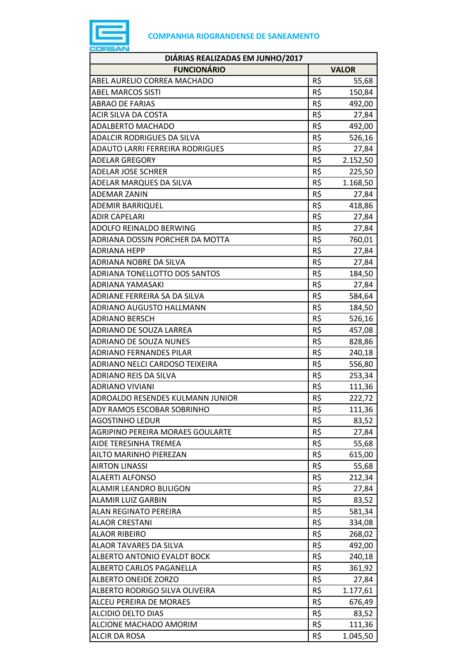

| DIÁRIAS REALIZADAS EM JUNHO/2017       |     |              |
|----------------------------------------|-----|--------------|
| <b>FUNCIONÁRIO</b>                     |     | <b>VALOR</b> |
| ABEL AURELIO CORREA MACHADO            | R\$ | 55,68        |
| <b>ABEL MARCOS SISTI</b>               | R\$ | 150,84       |
| <b>ABRAO DE FARIAS</b>                 | R\$ | 492,00       |
| ACIR SILVA DA COSTA                    | R\$ | 27,84        |
| ADALBERTO MACHADO                      | R\$ | 492,00       |
| <b>ADALCIR RODRIGUES DA SILVA</b>      | R\$ | 526,16       |
| <b>ADAUTO LARRI FERREIRA RODRIGUES</b> | R\$ | 27,84        |
| <b>ADELAR GREGORY</b>                  | R\$ | 2.152,50     |
| <b>ADELAR JOSE SCHRER</b>              | R\$ | 225,50       |
| ADELAR MARQUES DA SILVA                | R\$ | 1.168,50     |
| <b>ADEMAR ZANIN</b>                    | R\$ | 27,84        |
| <b>ADEMIR BARRIQUEL</b>                | R\$ | 418,86       |
| <b>ADIR CAPELARI</b>                   | R\$ | 27,84        |
| ADOLFO REINALDO BERWING                | R\$ | 27,84        |
| ADRIANA DOSSIN PORCHER DA MOTTA        | R\$ | 760,01       |
| <b>ADRIANA HEPP</b>                    | R\$ | 27,84        |
| <b>ADRIANA NOBRE DA SILVA</b>          | R\$ | 27,84        |
| ADRIANA TONELLOTTO DOS SANTOS          | R\$ | 184,50       |
| ADRIANA YAMASAKI                       | R\$ | 27,84        |
| ADRIANE FERREIRA SA DA SILVA           | R\$ | 584,64       |
| ADRIANO AUGUSTO HALLMANN               | R\$ | 184,50       |
| <b>ADRIANO BERSCH</b>                  | R\$ | 526,16       |
| ADRIANO DE SOUZA LARREA                | R\$ | 457,08       |
| ADRIANO DE SOUZA NUNES                 | R\$ | 828,86       |
| ADRIANO FERNANDES PILAR                | R\$ | 240,18       |
| ADRIANO NELCI CARDOSO TEIXEIRA         | R\$ | 556,80       |
| ADRIANO REIS DA SILVA                  | R\$ | 253,34       |
| <b>ADRIANO VIVIANI</b>                 | R\$ | 111,36       |
| ADROALDO RESENDES KULMANN JUNIOR       | R\$ | 222,72       |
| ADY RAMOS ESCOBAR SOBRINHO             | R\$ | 111,36       |
| <b>AGOSTINHO LEDUR</b>                 | R\$ | 83,52        |
| AGRIPINO PEREIRA MORAES GOULARTE       | R\$ | 27,84        |
| AIDE TERESINHA TREMEA                  | R\$ | 55,68        |
| AILTO MARINHO PIEREZAN                 | R\$ | 615,00       |
| <b>AIRTON LINASSI</b>                  | R\$ | 55,68        |
| <b>ALAERTI ALFONSO</b>                 | R\$ | 212,34       |
| ALAMIR LEANDRO BULIGON                 | R\$ | 27,84        |
| <b>ALAMIR LUIZ GARBIN</b>              | R\$ | 83,52        |
| ALAN REGINATO PEREIRA                  | R\$ | 581,34       |
| <b>ALAOR CRESTANI</b>                  | R\$ | 334,08       |
| <b>ALAOR RIBEIRO</b>                   | R\$ | 268,02       |
| ALAOR TAVARES DA SILVA                 | R\$ | 492,00       |
| ALBERTO ANTONIO EVALDT BOCK            | R\$ | 240,18       |
| ALBERTO CARLOS PAGANELLA               | R\$ | 361,92       |
| <b>ALBERTO ONEIDE ZORZO</b>            | R\$ | 27,84        |
| ALBERTO RODRIGO SILVA OLIVEIRA         | R\$ | 1.177,61     |
| ALCEU PEREIRA DE MORAES                | R\$ | 676,49       |
| <b>ALCIDIO DELTO DIAS</b>              | R\$ | 83,52        |
| ALCIONE MACHADO AMORIM                 | R\$ | 111,36       |
| ALCIR DA ROSA                          | R\$ | 1.045,50     |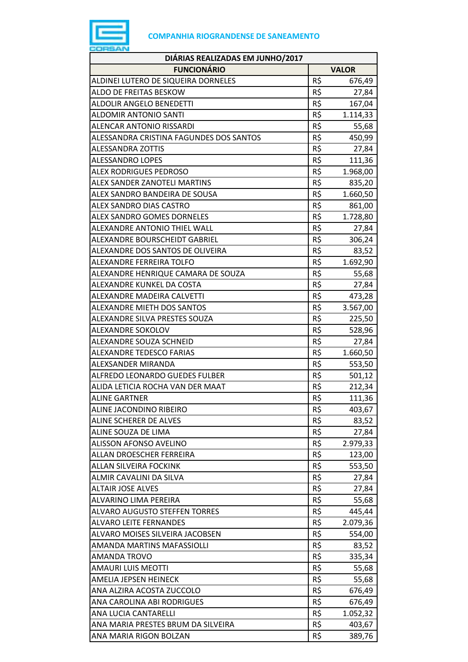

| DIÁRIAS REALIZADAS EM JUNHO/2017        |     |              |
|-----------------------------------------|-----|--------------|
| <b>FUNCIONÁRIO</b>                      |     | <b>VALOR</b> |
| ALDINEI LUTERO DE SIQUEIRA DORNELES     | R\$ | 676,49       |
| ALDO DE FREITAS BESKOW                  | R\$ | 27,84        |
| <b>ALDOLIR ANGELO BENEDETTI</b>         | R\$ | 167,04       |
| <b>ALDOMIR ANTONIO SANTI</b>            | R\$ | 1.114,33     |
| <b>ALENCAR ANTONIO RISSARDI</b>         | R\$ | 55,68        |
| ALESSANDRA CRISTINA FAGUNDES DOS SANTOS | R\$ | 450,99       |
| <b>ALESSANDRA ZOTTIS</b>                | R\$ | 27,84        |
| <b>ALESSANDRO LOPES</b>                 | R\$ | 111,36       |
| <b>ALEX RODRIGUES PEDROSO</b>           | R\$ | 1.968,00     |
| ALEX SANDER ZANOTELI MARTINS            | R\$ | 835,20       |
| ALEX SANDRO BANDEIRA DE SOUSA           | R\$ | 1.660,50     |
| <b>ALEX SANDRO DIAS CASTRO</b>          | R\$ | 861,00       |
| <b>ALEX SANDRO GOMES DORNELES</b>       | R\$ | 1.728,80     |
| ALEXANDRE ANTONIO THIEL WALL            | R\$ | 27,84        |
| ALEXANDRE BOURSCHEIDT GABRIEL           | R\$ | 306,24       |
| ALEXANDRE DOS SANTOS DE OLIVEIRA        | R\$ | 83,52        |
| <b>ALEXANDRE FERREIRA TOLFO</b>         | R\$ | 1.692,90     |
| ALEXANDRE HENRIQUE CAMARA DE SOUZA      | R\$ | 55,68        |
| ALEXANDRE KUNKEL DA COSTA               | R\$ | 27,84        |
| ALEXANDRE MADEIRA CALVETTI              | R\$ | 473,28       |
| ALEXANDRE MIETH DOS SANTOS              | R\$ | 3.567,00     |
| ALEXANDRE SILVA PRESTES SOUZA           | R\$ | 225,50       |
| ALEXANDRE SOKOLOV                       | R\$ | 528,96       |
| ALEXANDRE SOUZA SCHNEID                 | R\$ | 27,84        |
| <b>ALEXANDRE TEDESCO FARIAS</b>         | R\$ | 1.660,50     |
| ALEXSANDER MIRANDA                      | R\$ | 553,50       |
| <b>ALFREDO LEONARDO GUEDES FULBER</b>   | R\$ | 501,12       |
| ALIDA LETICIA ROCHA VAN DER MAAT        | R\$ | 212,34       |
| <b>ALINE GARTNER</b>                    | R\$ | 111,36       |
| ALINE JACONDINO RIBEIRO                 | R\$ | 403,67       |
| ALINE SCHERER DE ALVES                  | R\$ | 83,52        |
| ALINE SOUZA DE LIMA                     | R\$ | 27,84        |
| <b>ALISSON AFONSO AVELINO</b>           | R\$ | 2.979,33     |
| ALLAN DROESCHER FERREIRA                | R\$ | 123,00       |
| ALLAN SILVEIRA FOCKINK                  | R\$ | 553,50       |
| ALMIR CAVALINI DA SILVA                 | R\$ | 27,84        |
| <b>ALTAIR JOSE ALVES</b>                | R\$ | 27,84        |
| ALVARINO LIMA PEREIRA                   | R\$ | 55,68        |
| <b>ALVARO AUGUSTO STEFFEN TORRES</b>    | R\$ | 445,44       |
| <b>ALVARO LEITE FERNANDES</b>           | R\$ | 2.079,36     |
| ALVARO MOISES SILVEIRA JACOBSEN         | R\$ | 554,00       |
| AMANDA MARTINS MAFASSIOLLI              | R\$ | 83,52        |
| <b>AMANDA TROVO</b>                     | R\$ | 335,34       |
| <b>AMAURI LUIS MEOTTI</b>               | R\$ | 55,68        |
| AMELIA JEPSEN HEINECK                   | R\$ | 55,68        |
| ANA ALZIRA ACOSTA ZUCCOLO               | R\$ | 676,49       |
| ANA CAROLINA ABI RODRIGUES              | R\$ | 676,49       |
| ANA LUCIA CANTARELLI                    | R\$ | 1.052,32     |
| ANA MARIA PRESTES BRUM DA SILVEIRA      | R\$ | 403,67       |
| ANA MARIA RIGON BOLZAN                  | R\$ | 389,76       |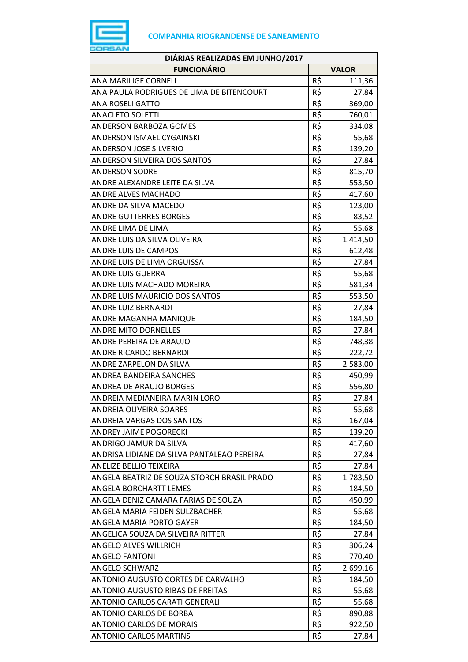

| <b>FUNCIONÁRIO</b><br><b>VALOR</b><br>R\$<br>ANA MARILIGE CORNELI<br>111,36<br>R\$<br>ANA PAULA RODRIGUES DE LIMA DE BITENCOURT<br>27,84<br>R\$<br>ANA ROSELI GATTO<br>369,00<br><b>ANACLETO SOLETTI</b><br>R\$<br>760,01<br>R\$<br>ANDERSON BARBOZA GOMES<br>334,08<br>R\$<br>ANDERSON ISMAEL CYGAINSKI<br>55,68<br>R\$<br><b>ANDERSON JOSE SILVERIO</b><br>139,20<br>R\$<br>ANDERSON SILVEIRA DOS SANTOS<br>27,84<br>R\$<br><b>ANDERSON SODRE</b><br>815,70<br>R\$<br>ANDRE ALEXANDRE LEITE DA SILVA<br>553,50<br>R\$<br>ANDRE ALVES MACHADO<br>417,60<br>R\$<br>ANDRE DA SILVA MACEDO<br>123,00<br>R\$<br><b>ANDRE GUTTERRES BORGES</b><br>83,52<br>R\$<br>ANDRE LIMA DE LIMA<br>55,68<br>R\$<br>ANDRE LUIS DA SILVA OLIVEIRA<br>1.414,50<br>R\$<br><b>ANDRE LUIS DE CAMPOS</b><br>612,48<br>R\$<br>ANDRE LUIS DE LIMA ORGUISSA<br>27,84<br>R\$<br><b>ANDRE LUIS GUERRA</b><br>55,68<br>R\$<br>ANDRE LUIS MACHADO MOREIRA<br>581,34<br>R\$<br>ANDRE LUIS MAURICIO DOS SANTOS<br>553,50<br>R\$<br>ANDRE LUIZ BERNARDI<br>27,84<br>R\$<br>ANDRE MAGANHA MANIQUE<br>184,50<br>R\$<br><b>ANDRE MITO DORNELLES</b><br>27,84<br>R\$<br>ANDRE PEREIRA DE ARAUJO<br>748,38<br>R\$<br>ANDRE RICARDO BERNARDI<br>222,72<br>R\$<br>ANDRE ZARPELON DA SILVA<br>2.583,00<br>R\$<br>ANDREA BANDEIRA SANCHES<br>450,99<br>R\$<br>ANDREA DE ARAUJO BORGES<br>556,80<br>R\$<br>ANDREIA MEDIANEIRA MARIN LORO<br>27,84<br>ANDREIA OLIVEIRA SOARES<br>R\$<br>55,68<br>R\$<br>ANDREIA VARGAS DOS SANTOS<br>167,04<br>R\$<br><b>ANDREY JAIME POGORECKI</b><br>139,20<br>R\$<br>ANDRIGO JAMUR DA SILVA<br>417,60<br>R\$<br>ANDRISA LIDIANE DA SILVA PANTALEAO PEREIRA<br>27,84<br>R\$<br>ANELIZE BELLIO TEIXEIRA<br>27,84<br>R\$<br>ANGELA BEATRIZ DE SOUZA STORCH BRASIL PRADO<br>1.783,50<br>R\$<br>ANGELA BORCHARTT LEMES<br>184,50<br>R\$<br>ANGELA DENIZ CAMARA FARIAS DE SOUZA<br>450,99<br>R\$<br>ANGELA MARIA FEIDEN SULZBACHER<br>55,68<br>R\$<br>ANGELA MARIA PORTO GAYER<br>184,50<br>R\$<br>ANGELICA SOUZA DA SILVEIRA RITTER<br>27,84<br>R\$<br>ANGELO ALVES WILLRICH<br>306,24<br>R\$<br><b>ANGELO FANTONI</b><br>770,40<br>R\$<br><b>ANGELO SCHWARZ</b><br>2.699,16<br>R\$<br>ANTONIO AUGUSTO CORTES DE CARVALHO<br>184,50<br>R\$<br>ANTONIO AUGUSTO RIBAS DE FREITAS<br>55,68<br>R\$<br>55,68<br>ANTONIO CARLOS CARATI GENERALI<br>R\$<br>ANTONIO CARLOS DE BORBA<br>890,88<br>R\$<br><b>ANTONIO CARLOS DE MORAIS</b><br>922,50<br>R\$<br>ANTONIO CARLOS MARTINS<br>27,84 | DIÁRIAS REALIZADAS EM JUNHO/2017 |  |  |  |
|------------------------------------------------------------------------------------------------------------------------------------------------------------------------------------------------------------------------------------------------------------------------------------------------------------------------------------------------------------------------------------------------------------------------------------------------------------------------------------------------------------------------------------------------------------------------------------------------------------------------------------------------------------------------------------------------------------------------------------------------------------------------------------------------------------------------------------------------------------------------------------------------------------------------------------------------------------------------------------------------------------------------------------------------------------------------------------------------------------------------------------------------------------------------------------------------------------------------------------------------------------------------------------------------------------------------------------------------------------------------------------------------------------------------------------------------------------------------------------------------------------------------------------------------------------------------------------------------------------------------------------------------------------------------------------------------------------------------------------------------------------------------------------------------------------------------------------------------------------------------------------------------------------------------------------------------------------------------------------------------------------------------------------------------------------------------------------------------------------------------------------------------------------------------------------------------------------------------------------------------------------------------------------------------------------------------------------------------------------------------------------------------------------------------------------------------------------------------|----------------------------------|--|--|--|
|                                                                                                                                                                                                                                                                                                                                                                                                                                                                                                                                                                                                                                                                                                                                                                                                                                                                                                                                                                                                                                                                                                                                                                                                                                                                                                                                                                                                                                                                                                                                                                                                                                                                                                                                                                                                                                                                                                                                                                                                                                                                                                                                                                                                                                                                                                                                                                                                                                                                        |                                  |  |  |  |
|                                                                                                                                                                                                                                                                                                                                                                                                                                                                                                                                                                                                                                                                                                                                                                                                                                                                                                                                                                                                                                                                                                                                                                                                                                                                                                                                                                                                                                                                                                                                                                                                                                                                                                                                                                                                                                                                                                                                                                                                                                                                                                                                                                                                                                                                                                                                                                                                                                                                        |                                  |  |  |  |
|                                                                                                                                                                                                                                                                                                                                                                                                                                                                                                                                                                                                                                                                                                                                                                                                                                                                                                                                                                                                                                                                                                                                                                                                                                                                                                                                                                                                                                                                                                                                                                                                                                                                                                                                                                                                                                                                                                                                                                                                                                                                                                                                                                                                                                                                                                                                                                                                                                                                        |                                  |  |  |  |
|                                                                                                                                                                                                                                                                                                                                                                                                                                                                                                                                                                                                                                                                                                                                                                                                                                                                                                                                                                                                                                                                                                                                                                                                                                                                                                                                                                                                                                                                                                                                                                                                                                                                                                                                                                                                                                                                                                                                                                                                                                                                                                                                                                                                                                                                                                                                                                                                                                                                        |                                  |  |  |  |
|                                                                                                                                                                                                                                                                                                                                                                                                                                                                                                                                                                                                                                                                                                                                                                                                                                                                                                                                                                                                                                                                                                                                                                                                                                                                                                                                                                                                                                                                                                                                                                                                                                                                                                                                                                                                                                                                                                                                                                                                                                                                                                                                                                                                                                                                                                                                                                                                                                                                        |                                  |  |  |  |
|                                                                                                                                                                                                                                                                                                                                                                                                                                                                                                                                                                                                                                                                                                                                                                                                                                                                                                                                                                                                                                                                                                                                                                                                                                                                                                                                                                                                                                                                                                                                                                                                                                                                                                                                                                                                                                                                                                                                                                                                                                                                                                                                                                                                                                                                                                                                                                                                                                                                        |                                  |  |  |  |
|                                                                                                                                                                                                                                                                                                                                                                                                                                                                                                                                                                                                                                                                                                                                                                                                                                                                                                                                                                                                                                                                                                                                                                                                                                                                                                                                                                                                                                                                                                                                                                                                                                                                                                                                                                                                                                                                                                                                                                                                                                                                                                                                                                                                                                                                                                                                                                                                                                                                        |                                  |  |  |  |
|                                                                                                                                                                                                                                                                                                                                                                                                                                                                                                                                                                                                                                                                                                                                                                                                                                                                                                                                                                                                                                                                                                                                                                                                                                                                                                                                                                                                                                                                                                                                                                                                                                                                                                                                                                                                                                                                                                                                                                                                                                                                                                                                                                                                                                                                                                                                                                                                                                                                        |                                  |  |  |  |
|                                                                                                                                                                                                                                                                                                                                                                                                                                                                                                                                                                                                                                                                                                                                                                                                                                                                                                                                                                                                                                                                                                                                                                                                                                                                                                                                                                                                                                                                                                                                                                                                                                                                                                                                                                                                                                                                                                                                                                                                                                                                                                                                                                                                                                                                                                                                                                                                                                                                        |                                  |  |  |  |
|                                                                                                                                                                                                                                                                                                                                                                                                                                                                                                                                                                                                                                                                                                                                                                                                                                                                                                                                                                                                                                                                                                                                                                                                                                                                                                                                                                                                                                                                                                                                                                                                                                                                                                                                                                                                                                                                                                                                                                                                                                                                                                                                                                                                                                                                                                                                                                                                                                                                        |                                  |  |  |  |
|                                                                                                                                                                                                                                                                                                                                                                                                                                                                                                                                                                                                                                                                                                                                                                                                                                                                                                                                                                                                                                                                                                                                                                                                                                                                                                                                                                                                                                                                                                                                                                                                                                                                                                                                                                                                                                                                                                                                                                                                                                                                                                                                                                                                                                                                                                                                                                                                                                                                        |                                  |  |  |  |
|                                                                                                                                                                                                                                                                                                                                                                                                                                                                                                                                                                                                                                                                                                                                                                                                                                                                                                                                                                                                                                                                                                                                                                                                                                                                                                                                                                                                                                                                                                                                                                                                                                                                                                                                                                                                                                                                                                                                                                                                                                                                                                                                                                                                                                                                                                                                                                                                                                                                        |                                  |  |  |  |
|                                                                                                                                                                                                                                                                                                                                                                                                                                                                                                                                                                                                                                                                                                                                                                                                                                                                                                                                                                                                                                                                                                                                                                                                                                                                                                                                                                                                                                                                                                                                                                                                                                                                                                                                                                                                                                                                                                                                                                                                                                                                                                                                                                                                                                                                                                                                                                                                                                                                        |                                  |  |  |  |
|                                                                                                                                                                                                                                                                                                                                                                                                                                                                                                                                                                                                                                                                                                                                                                                                                                                                                                                                                                                                                                                                                                                                                                                                                                                                                                                                                                                                                                                                                                                                                                                                                                                                                                                                                                                                                                                                                                                                                                                                                                                                                                                                                                                                                                                                                                                                                                                                                                                                        |                                  |  |  |  |
|                                                                                                                                                                                                                                                                                                                                                                                                                                                                                                                                                                                                                                                                                                                                                                                                                                                                                                                                                                                                                                                                                                                                                                                                                                                                                                                                                                                                                                                                                                                                                                                                                                                                                                                                                                                                                                                                                                                                                                                                                                                                                                                                                                                                                                                                                                                                                                                                                                                                        |                                  |  |  |  |
|                                                                                                                                                                                                                                                                                                                                                                                                                                                                                                                                                                                                                                                                                                                                                                                                                                                                                                                                                                                                                                                                                                                                                                                                                                                                                                                                                                                                                                                                                                                                                                                                                                                                                                                                                                                                                                                                                                                                                                                                                                                                                                                                                                                                                                                                                                                                                                                                                                                                        |                                  |  |  |  |
|                                                                                                                                                                                                                                                                                                                                                                                                                                                                                                                                                                                                                                                                                                                                                                                                                                                                                                                                                                                                                                                                                                                                                                                                                                                                                                                                                                                                                                                                                                                                                                                                                                                                                                                                                                                                                                                                                                                                                                                                                                                                                                                                                                                                                                                                                                                                                                                                                                                                        |                                  |  |  |  |
|                                                                                                                                                                                                                                                                                                                                                                                                                                                                                                                                                                                                                                                                                                                                                                                                                                                                                                                                                                                                                                                                                                                                                                                                                                                                                                                                                                                                                                                                                                                                                                                                                                                                                                                                                                                                                                                                                                                                                                                                                                                                                                                                                                                                                                                                                                                                                                                                                                                                        |                                  |  |  |  |
|                                                                                                                                                                                                                                                                                                                                                                                                                                                                                                                                                                                                                                                                                                                                                                                                                                                                                                                                                                                                                                                                                                                                                                                                                                                                                                                                                                                                                                                                                                                                                                                                                                                                                                                                                                                                                                                                                                                                                                                                                                                                                                                                                                                                                                                                                                                                                                                                                                                                        |                                  |  |  |  |
|                                                                                                                                                                                                                                                                                                                                                                                                                                                                                                                                                                                                                                                                                                                                                                                                                                                                                                                                                                                                                                                                                                                                                                                                                                                                                                                                                                                                                                                                                                                                                                                                                                                                                                                                                                                                                                                                                                                                                                                                                                                                                                                                                                                                                                                                                                                                                                                                                                                                        |                                  |  |  |  |
|                                                                                                                                                                                                                                                                                                                                                                                                                                                                                                                                                                                                                                                                                                                                                                                                                                                                                                                                                                                                                                                                                                                                                                                                                                                                                                                                                                                                                                                                                                                                                                                                                                                                                                                                                                                                                                                                                                                                                                                                                                                                                                                                                                                                                                                                                                                                                                                                                                                                        |                                  |  |  |  |
|                                                                                                                                                                                                                                                                                                                                                                                                                                                                                                                                                                                                                                                                                                                                                                                                                                                                                                                                                                                                                                                                                                                                                                                                                                                                                                                                                                                                                                                                                                                                                                                                                                                                                                                                                                                                                                                                                                                                                                                                                                                                                                                                                                                                                                                                                                                                                                                                                                                                        |                                  |  |  |  |
|                                                                                                                                                                                                                                                                                                                                                                                                                                                                                                                                                                                                                                                                                                                                                                                                                                                                                                                                                                                                                                                                                                                                                                                                                                                                                                                                                                                                                                                                                                                                                                                                                                                                                                                                                                                                                                                                                                                                                                                                                                                                                                                                                                                                                                                                                                                                                                                                                                                                        |                                  |  |  |  |
|                                                                                                                                                                                                                                                                                                                                                                                                                                                                                                                                                                                                                                                                                                                                                                                                                                                                                                                                                                                                                                                                                                                                                                                                                                                                                                                                                                                                                                                                                                                                                                                                                                                                                                                                                                                                                                                                                                                                                                                                                                                                                                                                                                                                                                                                                                                                                                                                                                                                        |                                  |  |  |  |
|                                                                                                                                                                                                                                                                                                                                                                                                                                                                                                                                                                                                                                                                                                                                                                                                                                                                                                                                                                                                                                                                                                                                                                                                                                                                                                                                                                                                                                                                                                                                                                                                                                                                                                                                                                                                                                                                                                                                                                                                                                                                                                                                                                                                                                                                                                                                                                                                                                                                        |                                  |  |  |  |
|                                                                                                                                                                                                                                                                                                                                                                                                                                                                                                                                                                                                                                                                                                                                                                                                                                                                                                                                                                                                                                                                                                                                                                                                                                                                                                                                                                                                                                                                                                                                                                                                                                                                                                                                                                                                                                                                                                                                                                                                                                                                                                                                                                                                                                                                                                                                                                                                                                                                        |                                  |  |  |  |
|                                                                                                                                                                                                                                                                                                                                                                                                                                                                                                                                                                                                                                                                                                                                                                                                                                                                                                                                                                                                                                                                                                                                                                                                                                                                                                                                                                                                                                                                                                                                                                                                                                                                                                                                                                                                                                                                                                                                                                                                                                                                                                                                                                                                                                                                                                                                                                                                                                                                        |                                  |  |  |  |
|                                                                                                                                                                                                                                                                                                                                                                                                                                                                                                                                                                                                                                                                                                                                                                                                                                                                                                                                                                                                                                                                                                                                                                                                                                                                                                                                                                                                                                                                                                                                                                                                                                                                                                                                                                                                                                                                                                                                                                                                                                                                                                                                                                                                                                                                                                                                                                                                                                                                        |                                  |  |  |  |
|                                                                                                                                                                                                                                                                                                                                                                                                                                                                                                                                                                                                                                                                                                                                                                                                                                                                                                                                                                                                                                                                                                                                                                                                                                                                                                                                                                                                                                                                                                                                                                                                                                                                                                                                                                                                                                                                                                                                                                                                                                                                                                                                                                                                                                                                                                                                                                                                                                                                        |                                  |  |  |  |
|                                                                                                                                                                                                                                                                                                                                                                                                                                                                                                                                                                                                                                                                                                                                                                                                                                                                                                                                                                                                                                                                                                                                                                                                                                                                                                                                                                                                                                                                                                                                                                                                                                                                                                                                                                                                                                                                                                                                                                                                                                                                                                                                                                                                                                                                                                                                                                                                                                                                        |                                  |  |  |  |
|                                                                                                                                                                                                                                                                                                                                                                                                                                                                                                                                                                                                                                                                                                                                                                                                                                                                                                                                                                                                                                                                                                                                                                                                                                                                                                                                                                                                                                                                                                                                                                                                                                                                                                                                                                                                                                                                                                                                                                                                                                                                                                                                                                                                                                                                                                                                                                                                                                                                        |                                  |  |  |  |
|                                                                                                                                                                                                                                                                                                                                                                                                                                                                                                                                                                                                                                                                                                                                                                                                                                                                                                                                                                                                                                                                                                                                                                                                                                                                                                                                                                                                                                                                                                                                                                                                                                                                                                                                                                                                                                                                                                                                                                                                                                                                                                                                                                                                                                                                                                                                                                                                                                                                        |                                  |  |  |  |
|                                                                                                                                                                                                                                                                                                                                                                                                                                                                                                                                                                                                                                                                                                                                                                                                                                                                                                                                                                                                                                                                                                                                                                                                                                                                                                                                                                                                                                                                                                                                                                                                                                                                                                                                                                                                                                                                                                                                                                                                                                                                                                                                                                                                                                                                                                                                                                                                                                                                        |                                  |  |  |  |
|                                                                                                                                                                                                                                                                                                                                                                                                                                                                                                                                                                                                                                                                                                                                                                                                                                                                                                                                                                                                                                                                                                                                                                                                                                                                                                                                                                                                                                                                                                                                                                                                                                                                                                                                                                                                                                                                                                                                                                                                                                                                                                                                                                                                                                                                                                                                                                                                                                                                        |                                  |  |  |  |
|                                                                                                                                                                                                                                                                                                                                                                                                                                                                                                                                                                                                                                                                                                                                                                                                                                                                                                                                                                                                                                                                                                                                                                                                                                                                                                                                                                                                                                                                                                                                                                                                                                                                                                                                                                                                                                                                                                                                                                                                                                                                                                                                                                                                                                                                                                                                                                                                                                                                        |                                  |  |  |  |
|                                                                                                                                                                                                                                                                                                                                                                                                                                                                                                                                                                                                                                                                                                                                                                                                                                                                                                                                                                                                                                                                                                                                                                                                                                                                                                                                                                                                                                                                                                                                                                                                                                                                                                                                                                                                                                                                                                                                                                                                                                                                                                                                                                                                                                                                                                                                                                                                                                                                        |                                  |  |  |  |
|                                                                                                                                                                                                                                                                                                                                                                                                                                                                                                                                                                                                                                                                                                                                                                                                                                                                                                                                                                                                                                                                                                                                                                                                                                                                                                                                                                                                                                                                                                                                                                                                                                                                                                                                                                                                                                                                                                                                                                                                                                                                                                                                                                                                                                                                                                                                                                                                                                                                        |                                  |  |  |  |
|                                                                                                                                                                                                                                                                                                                                                                                                                                                                                                                                                                                                                                                                                                                                                                                                                                                                                                                                                                                                                                                                                                                                                                                                                                                                                                                                                                                                                                                                                                                                                                                                                                                                                                                                                                                                                                                                                                                                                                                                                                                                                                                                                                                                                                                                                                                                                                                                                                                                        |                                  |  |  |  |
|                                                                                                                                                                                                                                                                                                                                                                                                                                                                                                                                                                                                                                                                                                                                                                                                                                                                                                                                                                                                                                                                                                                                                                                                                                                                                                                                                                                                                                                                                                                                                                                                                                                                                                                                                                                                                                                                                                                                                                                                                                                                                                                                                                                                                                                                                                                                                                                                                                                                        |                                  |  |  |  |
|                                                                                                                                                                                                                                                                                                                                                                                                                                                                                                                                                                                                                                                                                                                                                                                                                                                                                                                                                                                                                                                                                                                                                                                                                                                                                                                                                                                                                                                                                                                                                                                                                                                                                                                                                                                                                                                                                                                                                                                                                                                                                                                                                                                                                                                                                                                                                                                                                                                                        |                                  |  |  |  |
|                                                                                                                                                                                                                                                                                                                                                                                                                                                                                                                                                                                                                                                                                                                                                                                                                                                                                                                                                                                                                                                                                                                                                                                                                                                                                                                                                                                                                                                                                                                                                                                                                                                                                                                                                                                                                                                                                                                                                                                                                                                                                                                                                                                                                                                                                                                                                                                                                                                                        |                                  |  |  |  |
|                                                                                                                                                                                                                                                                                                                                                                                                                                                                                                                                                                                                                                                                                                                                                                                                                                                                                                                                                                                                                                                                                                                                                                                                                                                                                                                                                                                                                                                                                                                                                                                                                                                                                                                                                                                                                                                                                                                                                                                                                                                                                                                                                                                                                                                                                                                                                                                                                                                                        |                                  |  |  |  |
|                                                                                                                                                                                                                                                                                                                                                                                                                                                                                                                                                                                                                                                                                                                                                                                                                                                                                                                                                                                                                                                                                                                                                                                                                                                                                                                                                                                                                                                                                                                                                                                                                                                                                                                                                                                                                                                                                                                                                                                                                                                                                                                                                                                                                                                                                                                                                                                                                                                                        |                                  |  |  |  |
|                                                                                                                                                                                                                                                                                                                                                                                                                                                                                                                                                                                                                                                                                                                                                                                                                                                                                                                                                                                                                                                                                                                                                                                                                                                                                                                                                                                                                                                                                                                                                                                                                                                                                                                                                                                                                                                                                                                                                                                                                                                                                                                                                                                                                                                                                                                                                                                                                                                                        |                                  |  |  |  |
|                                                                                                                                                                                                                                                                                                                                                                                                                                                                                                                                                                                                                                                                                                                                                                                                                                                                                                                                                                                                                                                                                                                                                                                                                                                                                                                                                                                                                                                                                                                                                                                                                                                                                                                                                                                                                                                                                                                                                                                                                                                                                                                                                                                                                                                                                                                                                                                                                                                                        |                                  |  |  |  |
|                                                                                                                                                                                                                                                                                                                                                                                                                                                                                                                                                                                                                                                                                                                                                                                                                                                                                                                                                                                                                                                                                                                                                                                                                                                                                                                                                                                                                                                                                                                                                                                                                                                                                                                                                                                                                                                                                                                                                                                                                                                                                                                                                                                                                                                                                                                                                                                                                                                                        |                                  |  |  |  |
|                                                                                                                                                                                                                                                                                                                                                                                                                                                                                                                                                                                                                                                                                                                                                                                                                                                                                                                                                                                                                                                                                                                                                                                                                                                                                                                                                                                                                                                                                                                                                                                                                                                                                                                                                                                                                                                                                                                                                                                                                                                                                                                                                                                                                                                                                                                                                                                                                                                                        |                                  |  |  |  |
|                                                                                                                                                                                                                                                                                                                                                                                                                                                                                                                                                                                                                                                                                                                                                                                                                                                                                                                                                                                                                                                                                                                                                                                                                                                                                                                                                                                                                                                                                                                                                                                                                                                                                                                                                                                                                                                                                                                                                                                                                                                                                                                                                                                                                                                                                                                                                                                                                                                                        |                                  |  |  |  |
|                                                                                                                                                                                                                                                                                                                                                                                                                                                                                                                                                                                                                                                                                                                                                                                                                                                                                                                                                                                                                                                                                                                                                                                                                                                                                                                                                                                                                                                                                                                                                                                                                                                                                                                                                                                                                                                                                                                                                                                                                                                                                                                                                                                                                                                                                                                                                                                                                                                                        |                                  |  |  |  |
|                                                                                                                                                                                                                                                                                                                                                                                                                                                                                                                                                                                                                                                                                                                                                                                                                                                                                                                                                                                                                                                                                                                                                                                                                                                                                                                                                                                                                                                                                                                                                                                                                                                                                                                                                                                                                                                                                                                                                                                                                                                                                                                                                                                                                                                                                                                                                                                                                                                                        |                                  |  |  |  |
|                                                                                                                                                                                                                                                                                                                                                                                                                                                                                                                                                                                                                                                                                                                                                                                                                                                                                                                                                                                                                                                                                                                                                                                                                                                                                                                                                                                                                                                                                                                                                                                                                                                                                                                                                                                                                                                                                                                                                                                                                                                                                                                                                                                                                                                                                                                                                                                                                                                                        |                                  |  |  |  |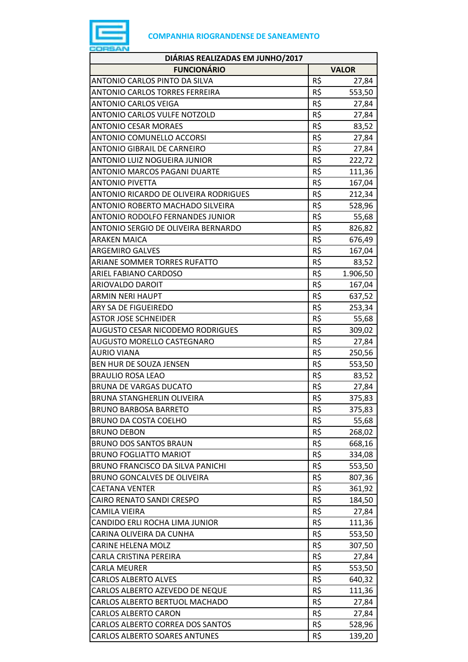

| <b>FUNCIONÁRIO</b><br><b>VALOR</b><br>R\$<br>ANTONIO CARLOS PINTO DA SILVA<br>27,84<br>R\$<br><b>ANTONIO CARLOS TORRES FERREIRA</b><br>553,50<br>R\$<br><b>ANTONIO CARLOS VEIGA</b><br>27,84<br>R\$<br><b>ANTONIO CARLOS VULFE NOTZOLD</b><br>27,84<br>R\$<br><b>ANTONIO CESAR MORAES</b><br>83,52<br>R\$<br>ANTONIO COMUNELLO ACCORSI<br>27,84<br>R\$<br><b>ANTONIO GIBRAIL DE CARNEIRO</b><br>27,84<br>R\$<br>ANTONIO LUIZ NOGUEIRA JUNIOR<br>222,72<br>R\$<br><b>ANTONIO MARCOS PAGANI DUARTE</b><br>111,36<br>R\$<br><b>ANTONIO PIVETTA</b><br>167,04<br>R\$<br>ANTONIO RICARDO DE OLIVEIRA RODRIGUES<br>212,34<br>R\$<br>ANTONIO ROBERTO MACHADO SILVEIRA<br>528,96<br>R\$<br>ANTONIO RODOLFO FERNANDES JUNIOR<br>55,68<br>R\$<br>826,82<br>ANTONIO SERGIO DE OLIVEIRA BERNARDO<br>R\$<br><b>ARAKEN MAICA</b><br>676,49<br>R\$<br><b>ARGEMIRO GALVES</b><br>167,04<br>R\$<br>ARIANE SOMMER TORRES RUFATTO<br>83,52<br>R\$<br>ARIEL FABIANO CARDOSO<br>1.906,50<br>R\$<br>167,04<br>ARIOVALDO DAROIT<br>R\$<br>ARMIN NERI HAUPT<br>637,52<br>R\$<br>ARY SA DE FIGUEIREDO<br>253,34<br>R\$<br><b>ASTOR JOSE SCHNEIDER</b><br>55,68<br>R\$<br><b>AUGUSTO CESAR NICODEMO RODRIGUES</b><br>309,02<br>R\$<br><b>AUGUSTO MORELLO CASTEGNARO</b><br>27,84<br>R\$<br>AURIO VIANA<br>250,56<br>R\$<br>BEN HUR DE SOUZA JENSEN<br>553,50<br>R\$<br><b>BRAULIO ROSA LEAO</b><br>83,52<br><b>BRUNA DE VARGAS DUCATO</b><br>R\$<br>27,84<br>R\$<br>375,83<br><b>BRUNA STANGHERLIN OLIVEIRA</b><br>R\$<br><b>BRUNO BARBOSA BARRETO</b><br>375,83<br>R\$<br><b>BRUNO DA COSTA COELHO</b><br>55,68<br>R\$<br><b>BRUNO DEBON</b><br>268,02<br>R\$<br><b>BRUNO DOS SANTOS BRAUN</b><br>668,16<br>R\$<br><b>BRUNO FOGLIATTO MARIOT</b><br>334,08<br>R\$<br>BRUNO FRANCISCO DA SILVA PANICHI<br>553,50<br><b>BRUNO GONCALVES DE OLIVEIRA</b><br>R\$<br>807,36<br>R\$<br><b>CAETANA VENTER</b><br>361,92<br>R\$<br>CAIRO RENATO SANDI CRESPO<br>184,50<br>R\$<br>CAMILA VIEIRA<br>27,84<br>R\$<br>CANDIDO ERLI ROCHA LIMA JUNIOR<br>111,36<br>CARINA OLIVEIRA DA CUNHA<br>R\$<br>553,50<br>R\$<br><b>CARINE HELENA MOLZ</b><br>307,50<br>R\$<br>CARLA CRISTINA PEREIRA<br>27,84<br>R\$<br><b>CARLA MEURER</b><br>553,50<br>R\$<br><b>CARLOS ALBERTO ALVES</b><br>640,32<br>R\$<br>CARLOS ALBERTO AZEVEDO DE NEQUE<br>111,36<br>R\$<br>CARLOS ALBERTO BERTUOL MACHADO<br>27,84<br>R\$<br><b>CARLOS ALBERTO CARON</b><br>27,84<br>R\$<br>CARLOS ALBERTO CORREA DOS SANTOS<br>528,96<br>R\$<br>CARLOS ALBERTO SOARES ANTUNES<br>139,20 | DIÁRIAS REALIZADAS EM JUNHO/2017 |  |
|--------------------------------------------------------------------------------------------------------------------------------------------------------------------------------------------------------------------------------------------------------------------------------------------------------------------------------------------------------------------------------------------------------------------------------------------------------------------------------------------------------------------------------------------------------------------------------------------------------------------------------------------------------------------------------------------------------------------------------------------------------------------------------------------------------------------------------------------------------------------------------------------------------------------------------------------------------------------------------------------------------------------------------------------------------------------------------------------------------------------------------------------------------------------------------------------------------------------------------------------------------------------------------------------------------------------------------------------------------------------------------------------------------------------------------------------------------------------------------------------------------------------------------------------------------------------------------------------------------------------------------------------------------------------------------------------------------------------------------------------------------------------------------------------------------------------------------------------------------------------------------------------------------------------------------------------------------------------------------------------------------------------------------------------------------------------------------------------------------------------------------------------------------------------------------------------------------------------------------------------------------------------------------------------------------------------------------------------------------------------------------------------------------------------------------------------------------------------------------------------------------------------|----------------------------------|--|
|                                                                                                                                                                                                                                                                                                                                                                                                                                                                                                                                                                                                                                                                                                                                                                                                                                                                                                                                                                                                                                                                                                                                                                                                                                                                                                                                                                                                                                                                                                                                                                                                                                                                                                                                                                                                                                                                                                                                                                                                                                                                                                                                                                                                                                                                                                                                                                                                                                                                                                                    |                                  |  |
|                                                                                                                                                                                                                                                                                                                                                                                                                                                                                                                                                                                                                                                                                                                                                                                                                                                                                                                                                                                                                                                                                                                                                                                                                                                                                                                                                                                                                                                                                                                                                                                                                                                                                                                                                                                                                                                                                                                                                                                                                                                                                                                                                                                                                                                                                                                                                                                                                                                                                                                    |                                  |  |
|                                                                                                                                                                                                                                                                                                                                                                                                                                                                                                                                                                                                                                                                                                                                                                                                                                                                                                                                                                                                                                                                                                                                                                                                                                                                                                                                                                                                                                                                                                                                                                                                                                                                                                                                                                                                                                                                                                                                                                                                                                                                                                                                                                                                                                                                                                                                                                                                                                                                                                                    |                                  |  |
|                                                                                                                                                                                                                                                                                                                                                                                                                                                                                                                                                                                                                                                                                                                                                                                                                                                                                                                                                                                                                                                                                                                                                                                                                                                                                                                                                                                                                                                                                                                                                                                                                                                                                                                                                                                                                                                                                                                                                                                                                                                                                                                                                                                                                                                                                                                                                                                                                                                                                                                    |                                  |  |
|                                                                                                                                                                                                                                                                                                                                                                                                                                                                                                                                                                                                                                                                                                                                                                                                                                                                                                                                                                                                                                                                                                                                                                                                                                                                                                                                                                                                                                                                                                                                                                                                                                                                                                                                                                                                                                                                                                                                                                                                                                                                                                                                                                                                                                                                                                                                                                                                                                                                                                                    |                                  |  |
|                                                                                                                                                                                                                                                                                                                                                                                                                                                                                                                                                                                                                                                                                                                                                                                                                                                                                                                                                                                                                                                                                                                                                                                                                                                                                                                                                                                                                                                                                                                                                                                                                                                                                                                                                                                                                                                                                                                                                                                                                                                                                                                                                                                                                                                                                                                                                                                                                                                                                                                    |                                  |  |
|                                                                                                                                                                                                                                                                                                                                                                                                                                                                                                                                                                                                                                                                                                                                                                                                                                                                                                                                                                                                                                                                                                                                                                                                                                                                                                                                                                                                                                                                                                                                                                                                                                                                                                                                                                                                                                                                                                                                                                                                                                                                                                                                                                                                                                                                                                                                                                                                                                                                                                                    |                                  |  |
|                                                                                                                                                                                                                                                                                                                                                                                                                                                                                                                                                                                                                                                                                                                                                                                                                                                                                                                                                                                                                                                                                                                                                                                                                                                                                                                                                                                                                                                                                                                                                                                                                                                                                                                                                                                                                                                                                                                                                                                                                                                                                                                                                                                                                                                                                                                                                                                                                                                                                                                    |                                  |  |
|                                                                                                                                                                                                                                                                                                                                                                                                                                                                                                                                                                                                                                                                                                                                                                                                                                                                                                                                                                                                                                                                                                                                                                                                                                                                                                                                                                                                                                                                                                                                                                                                                                                                                                                                                                                                                                                                                                                                                                                                                                                                                                                                                                                                                                                                                                                                                                                                                                                                                                                    |                                  |  |
|                                                                                                                                                                                                                                                                                                                                                                                                                                                                                                                                                                                                                                                                                                                                                                                                                                                                                                                                                                                                                                                                                                                                                                                                                                                                                                                                                                                                                                                                                                                                                                                                                                                                                                                                                                                                                                                                                                                                                                                                                                                                                                                                                                                                                                                                                                                                                                                                                                                                                                                    |                                  |  |
|                                                                                                                                                                                                                                                                                                                                                                                                                                                                                                                                                                                                                                                                                                                                                                                                                                                                                                                                                                                                                                                                                                                                                                                                                                                                                                                                                                                                                                                                                                                                                                                                                                                                                                                                                                                                                                                                                                                                                                                                                                                                                                                                                                                                                                                                                                                                                                                                                                                                                                                    |                                  |  |
|                                                                                                                                                                                                                                                                                                                                                                                                                                                                                                                                                                                                                                                                                                                                                                                                                                                                                                                                                                                                                                                                                                                                                                                                                                                                                                                                                                                                                                                                                                                                                                                                                                                                                                                                                                                                                                                                                                                                                                                                                                                                                                                                                                                                                                                                                                                                                                                                                                                                                                                    |                                  |  |
|                                                                                                                                                                                                                                                                                                                                                                                                                                                                                                                                                                                                                                                                                                                                                                                                                                                                                                                                                                                                                                                                                                                                                                                                                                                                                                                                                                                                                                                                                                                                                                                                                                                                                                                                                                                                                                                                                                                                                                                                                                                                                                                                                                                                                                                                                                                                                                                                                                                                                                                    |                                  |  |
|                                                                                                                                                                                                                                                                                                                                                                                                                                                                                                                                                                                                                                                                                                                                                                                                                                                                                                                                                                                                                                                                                                                                                                                                                                                                                                                                                                                                                                                                                                                                                                                                                                                                                                                                                                                                                                                                                                                                                                                                                                                                                                                                                                                                                                                                                                                                                                                                                                                                                                                    |                                  |  |
|                                                                                                                                                                                                                                                                                                                                                                                                                                                                                                                                                                                                                                                                                                                                                                                                                                                                                                                                                                                                                                                                                                                                                                                                                                                                                                                                                                                                                                                                                                                                                                                                                                                                                                                                                                                                                                                                                                                                                                                                                                                                                                                                                                                                                                                                                                                                                                                                                                                                                                                    |                                  |  |
|                                                                                                                                                                                                                                                                                                                                                                                                                                                                                                                                                                                                                                                                                                                                                                                                                                                                                                                                                                                                                                                                                                                                                                                                                                                                                                                                                                                                                                                                                                                                                                                                                                                                                                                                                                                                                                                                                                                                                                                                                                                                                                                                                                                                                                                                                                                                                                                                                                                                                                                    |                                  |  |
|                                                                                                                                                                                                                                                                                                                                                                                                                                                                                                                                                                                                                                                                                                                                                                                                                                                                                                                                                                                                                                                                                                                                                                                                                                                                                                                                                                                                                                                                                                                                                                                                                                                                                                                                                                                                                                                                                                                                                                                                                                                                                                                                                                                                                                                                                                                                                                                                                                                                                                                    |                                  |  |
|                                                                                                                                                                                                                                                                                                                                                                                                                                                                                                                                                                                                                                                                                                                                                                                                                                                                                                                                                                                                                                                                                                                                                                                                                                                                                                                                                                                                                                                                                                                                                                                                                                                                                                                                                                                                                                                                                                                                                                                                                                                                                                                                                                                                                                                                                                                                                                                                                                                                                                                    |                                  |  |
|                                                                                                                                                                                                                                                                                                                                                                                                                                                                                                                                                                                                                                                                                                                                                                                                                                                                                                                                                                                                                                                                                                                                                                                                                                                                                                                                                                                                                                                                                                                                                                                                                                                                                                                                                                                                                                                                                                                                                                                                                                                                                                                                                                                                                                                                                                                                                                                                                                                                                                                    |                                  |  |
|                                                                                                                                                                                                                                                                                                                                                                                                                                                                                                                                                                                                                                                                                                                                                                                                                                                                                                                                                                                                                                                                                                                                                                                                                                                                                                                                                                                                                                                                                                                                                                                                                                                                                                                                                                                                                                                                                                                                                                                                                                                                                                                                                                                                                                                                                                                                                                                                                                                                                                                    |                                  |  |
|                                                                                                                                                                                                                                                                                                                                                                                                                                                                                                                                                                                                                                                                                                                                                                                                                                                                                                                                                                                                                                                                                                                                                                                                                                                                                                                                                                                                                                                                                                                                                                                                                                                                                                                                                                                                                                                                                                                                                                                                                                                                                                                                                                                                                                                                                                                                                                                                                                                                                                                    |                                  |  |
|                                                                                                                                                                                                                                                                                                                                                                                                                                                                                                                                                                                                                                                                                                                                                                                                                                                                                                                                                                                                                                                                                                                                                                                                                                                                                                                                                                                                                                                                                                                                                                                                                                                                                                                                                                                                                                                                                                                                                                                                                                                                                                                                                                                                                                                                                                                                                                                                                                                                                                                    |                                  |  |
|                                                                                                                                                                                                                                                                                                                                                                                                                                                                                                                                                                                                                                                                                                                                                                                                                                                                                                                                                                                                                                                                                                                                                                                                                                                                                                                                                                                                                                                                                                                                                                                                                                                                                                                                                                                                                                                                                                                                                                                                                                                                                                                                                                                                                                                                                                                                                                                                                                                                                                                    |                                  |  |
|                                                                                                                                                                                                                                                                                                                                                                                                                                                                                                                                                                                                                                                                                                                                                                                                                                                                                                                                                                                                                                                                                                                                                                                                                                                                                                                                                                                                                                                                                                                                                                                                                                                                                                                                                                                                                                                                                                                                                                                                                                                                                                                                                                                                                                                                                                                                                                                                                                                                                                                    |                                  |  |
|                                                                                                                                                                                                                                                                                                                                                                                                                                                                                                                                                                                                                                                                                                                                                                                                                                                                                                                                                                                                                                                                                                                                                                                                                                                                                                                                                                                                                                                                                                                                                                                                                                                                                                                                                                                                                                                                                                                                                                                                                                                                                                                                                                                                                                                                                                                                                                                                                                                                                                                    |                                  |  |
|                                                                                                                                                                                                                                                                                                                                                                                                                                                                                                                                                                                                                                                                                                                                                                                                                                                                                                                                                                                                                                                                                                                                                                                                                                                                                                                                                                                                                                                                                                                                                                                                                                                                                                                                                                                                                                                                                                                                                                                                                                                                                                                                                                                                                                                                                                                                                                                                                                                                                                                    |                                  |  |
|                                                                                                                                                                                                                                                                                                                                                                                                                                                                                                                                                                                                                                                                                                                                                                                                                                                                                                                                                                                                                                                                                                                                                                                                                                                                                                                                                                                                                                                                                                                                                                                                                                                                                                                                                                                                                                                                                                                                                                                                                                                                                                                                                                                                                                                                                                                                                                                                                                                                                                                    |                                  |  |
|                                                                                                                                                                                                                                                                                                                                                                                                                                                                                                                                                                                                                                                                                                                                                                                                                                                                                                                                                                                                                                                                                                                                                                                                                                                                                                                                                                                                                                                                                                                                                                                                                                                                                                                                                                                                                                                                                                                                                                                                                                                                                                                                                                                                                                                                                                                                                                                                                                                                                                                    |                                  |  |
|                                                                                                                                                                                                                                                                                                                                                                                                                                                                                                                                                                                                                                                                                                                                                                                                                                                                                                                                                                                                                                                                                                                                                                                                                                                                                                                                                                                                                                                                                                                                                                                                                                                                                                                                                                                                                                                                                                                                                                                                                                                                                                                                                                                                                                                                                                                                                                                                                                                                                                                    |                                  |  |
|                                                                                                                                                                                                                                                                                                                                                                                                                                                                                                                                                                                                                                                                                                                                                                                                                                                                                                                                                                                                                                                                                                                                                                                                                                                                                                                                                                                                                                                                                                                                                                                                                                                                                                                                                                                                                                                                                                                                                                                                                                                                                                                                                                                                                                                                                                                                                                                                                                                                                                                    |                                  |  |
|                                                                                                                                                                                                                                                                                                                                                                                                                                                                                                                                                                                                                                                                                                                                                                                                                                                                                                                                                                                                                                                                                                                                                                                                                                                                                                                                                                                                                                                                                                                                                                                                                                                                                                                                                                                                                                                                                                                                                                                                                                                                                                                                                                                                                                                                                                                                                                                                                                                                                                                    |                                  |  |
|                                                                                                                                                                                                                                                                                                                                                                                                                                                                                                                                                                                                                                                                                                                                                                                                                                                                                                                                                                                                                                                                                                                                                                                                                                                                                                                                                                                                                                                                                                                                                                                                                                                                                                                                                                                                                                                                                                                                                                                                                                                                                                                                                                                                                                                                                                                                                                                                                                                                                                                    |                                  |  |
|                                                                                                                                                                                                                                                                                                                                                                                                                                                                                                                                                                                                                                                                                                                                                                                                                                                                                                                                                                                                                                                                                                                                                                                                                                                                                                                                                                                                                                                                                                                                                                                                                                                                                                                                                                                                                                                                                                                                                                                                                                                                                                                                                                                                                                                                                                                                                                                                                                                                                                                    |                                  |  |
|                                                                                                                                                                                                                                                                                                                                                                                                                                                                                                                                                                                                                                                                                                                                                                                                                                                                                                                                                                                                                                                                                                                                                                                                                                                                                                                                                                                                                                                                                                                                                                                                                                                                                                                                                                                                                                                                                                                                                                                                                                                                                                                                                                                                                                                                                                                                                                                                                                                                                                                    |                                  |  |
|                                                                                                                                                                                                                                                                                                                                                                                                                                                                                                                                                                                                                                                                                                                                                                                                                                                                                                                                                                                                                                                                                                                                                                                                                                                                                                                                                                                                                                                                                                                                                                                                                                                                                                                                                                                                                                                                                                                                                                                                                                                                                                                                                                                                                                                                                                                                                                                                                                                                                                                    |                                  |  |
|                                                                                                                                                                                                                                                                                                                                                                                                                                                                                                                                                                                                                                                                                                                                                                                                                                                                                                                                                                                                                                                                                                                                                                                                                                                                                                                                                                                                                                                                                                                                                                                                                                                                                                                                                                                                                                                                                                                                                                                                                                                                                                                                                                                                                                                                                                                                                                                                                                                                                                                    |                                  |  |
|                                                                                                                                                                                                                                                                                                                                                                                                                                                                                                                                                                                                                                                                                                                                                                                                                                                                                                                                                                                                                                                                                                                                                                                                                                                                                                                                                                                                                                                                                                                                                                                                                                                                                                                                                                                                                                                                                                                                                                                                                                                                                                                                                                                                                                                                                                                                                                                                                                                                                                                    |                                  |  |
|                                                                                                                                                                                                                                                                                                                                                                                                                                                                                                                                                                                                                                                                                                                                                                                                                                                                                                                                                                                                                                                                                                                                                                                                                                                                                                                                                                                                                                                                                                                                                                                                                                                                                                                                                                                                                                                                                                                                                                                                                                                                                                                                                                                                                                                                                                                                                                                                                                                                                                                    |                                  |  |
|                                                                                                                                                                                                                                                                                                                                                                                                                                                                                                                                                                                                                                                                                                                                                                                                                                                                                                                                                                                                                                                                                                                                                                                                                                                                                                                                                                                                                                                                                                                                                                                                                                                                                                                                                                                                                                                                                                                                                                                                                                                                                                                                                                                                                                                                                                                                                                                                                                                                                                                    |                                  |  |
|                                                                                                                                                                                                                                                                                                                                                                                                                                                                                                                                                                                                                                                                                                                                                                                                                                                                                                                                                                                                                                                                                                                                                                                                                                                                                                                                                                                                                                                                                                                                                                                                                                                                                                                                                                                                                                                                                                                                                                                                                                                                                                                                                                                                                                                                                                                                                                                                                                                                                                                    |                                  |  |
|                                                                                                                                                                                                                                                                                                                                                                                                                                                                                                                                                                                                                                                                                                                                                                                                                                                                                                                                                                                                                                                                                                                                                                                                                                                                                                                                                                                                                                                                                                                                                                                                                                                                                                                                                                                                                                                                                                                                                                                                                                                                                                                                                                                                                                                                                                                                                                                                                                                                                                                    |                                  |  |
|                                                                                                                                                                                                                                                                                                                                                                                                                                                                                                                                                                                                                                                                                                                                                                                                                                                                                                                                                                                                                                                                                                                                                                                                                                                                                                                                                                                                                                                                                                                                                                                                                                                                                                                                                                                                                                                                                                                                                                                                                                                                                                                                                                                                                                                                                                                                                                                                                                                                                                                    |                                  |  |
|                                                                                                                                                                                                                                                                                                                                                                                                                                                                                                                                                                                                                                                                                                                                                                                                                                                                                                                                                                                                                                                                                                                                                                                                                                                                                                                                                                                                                                                                                                                                                                                                                                                                                                                                                                                                                                                                                                                                                                                                                                                                                                                                                                                                                                                                                                                                                                                                                                                                                                                    |                                  |  |
|                                                                                                                                                                                                                                                                                                                                                                                                                                                                                                                                                                                                                                                                                                                                                                                                                                                                                                                                                                                                                                                                                                                                                                                                                                                                                                                                                                                                                                                                                                                                                                                                                                                                                                                                                                                                                                                                                                                                                                                                                                                                                                                                                                                                                                                                                                                                                                                                                                                                                                                    |                                  |  |
|                                                                                                                                                                                                                                                                                                                                                                                                                                                                                                                                                                                                                                                                                                                                                                                                                                                                                                                                                                                                                                                                                                                                                                                                                                                                                                                                                                                                                                                                                                                                                                                                                                                                                                                                                                                                                                                                                                                                                                                                                                                                                                                                                                                                                                                                                                                                                                                                                                                                                                                    |                                  |  |
|                                                                                                                                                                                                                                                                                                                                                                                                                                                                                                                                                                                                                                                                                                                                                                                                                                                                                                                                                                                                                                                                                                                                                                                                                                                                                                                                                                                                                                                                                                                                                                                                                                                                                                                                                                                                                                                                                                                                                                                                                                                                                                                                                                                                                                                                                                                                                                                                                                                                                                                    |                                  |  |
|                                                                                                                                                                                                                                                                                                                                                                                                                                                                                                                                                                                                                                                                                                                                                                                                                                                                                                                                                                                                                                                                                                                                                                                                                                                                                                                                                                                                                                                                                                                                                                                                                                                                                                                                                                                                                                                                                                                                                                                                                                                                                                                                                                                                                                                                                                                                                                                                                                                                                                                    |                                  |  |
|                                                                                                                                                                                                                                                                                                                                                                                                                                                                                                                                                                                                                                                                                                                                                                                                                                                                                                                                                                                                                                                                                                                                                                                                                                                                                                                                                                                                                                                                                                                                                                                                                                                                                                                                                                                                                                                                                                                                                                                                                                                                                                                                                                                                                                                                                                                                                                                                                                                                                                                    |                                  |  |
|                                                                                                                                                                                                                                                                                                                                                                                                                                                                                                                                                                                                                                                                                                                                                                                                                                                                                                                                                                                                                                                                                                                                                                                                                                                                                                                                                                                                                                                                                                                                                                                                                                                                                                                                                                                                                                                                                                                                                                                                                                                                                                                                                                                                                                                                                                                                                                                                                                                                                                                    |                                  |  |
|                                                                                                                                                                                                                                                                                                                                                                                                                                                                                                                                                                                                                                                                                                                                                                                                                                                                                                                                                                                                                                                                                                                                                                                                                                                                                                                                                                                                                                                                                                                                                                                                                                                                                                                                                                                                                                                                                                                                                                                                                                                                                                                                                                                                                                                                                                                                                                                                                                                                                                                    |                                  |  |
|                                                                                                                                                                                                                                                                                                                                                                                                                                                                                                                                                                                                                                                                                                                                                                                                                                                                                                                                                                                                                                                                                                                                                                                                                                                                                                                                                                                                                                                                                                                                                                                                                                                                                                                                                                                                                                                                                                                                                                                                                                                                                                                                                                                                                                                                                                                                                                                                                                                                                                                    |                                  |  |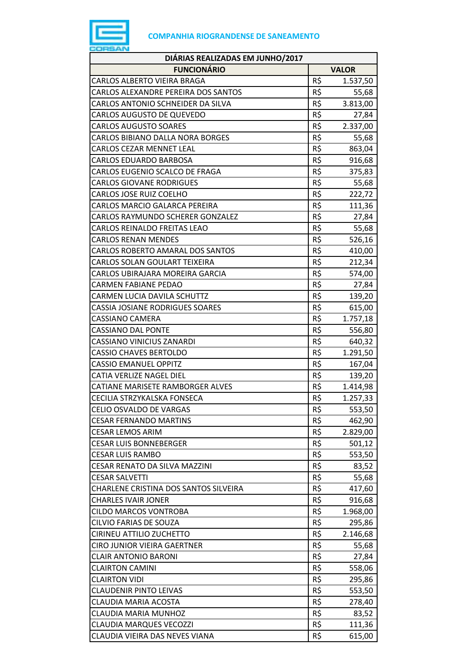

| DIÁRIAS REALIZADAS EM JUNHO/2017        |     |              |
|-----------------------------------------|-----|--------------|
| <b>FUNCIONÁRIO</b>                      |     | <b>VALOR</b> |
| <b>CARLOS ALBERTO VIEIRA BRAGA</b>      | R\$ | 1.537,50     |
| CARLOS ALEXANDRE PEREIRA DOS SANTOS     | R\$ | 55,68        |
| CARLOS ANTONIO SCHNEIDER DA SILVA       | R\$ | 3.813,00     |
| <b>CARLOS AUGUSTO DE QUEVEDO</b>        | R\$ | 27,84        |
| <b>CARLOS AUGUSTO SOARES</b>            | R\$ | 2.337,00     |
| <b>CARLOS BIBIANO DALLA NORA BORGES</b> | R\$ | 55,68        |
| <b>CARLOS CEZAR MENNET LEAL</b>         | R\$ | 863,04       |
| <b>CARLOS EDUARDO BARBOSA</b>           | R\$ | 916,68       |
| CARLOS EUGENIO SCALCO DE FRAGA          | R\$ | 375,83       |
| <b>CARLOS GIOVANE RODRIGUES</b>         | R\$ | 55,68        |
| <b>CARLOS JOSE RUIZ COELHO</b>          | R\$ | 222,72       |
| CARLOS MARCIO GALARCA PEREIRA           | R\$ | 111,36       |
| CARLOS RAYMUNDO SCHERER GONZALEZ        | R\$ | 27,84        |
| CARLOS REINALDO FREITAS LEAO            | R\$ | 55,68        |
| <b>CARLOS RENAN MENDES</b>              | R\$ | 526,16       |
| CARLOS ROBERTO AMARAL DOS SANTOS        | R\$ | 410,00       |
| CARLOS SOLAN GOULART TEIXEIRA           | R\$ | 212,34       |
| CARLOS UBIRAJARA MOREIRA GARCIA         | R\$ | 574,00       |
| <b>CARMEN FABIANE PEDAO</b>             | R\$ | 27,84        |
| CARMEN LUCIA DAVILA SCHUTTZ             | R\$ | 139,20       |
| CASSIA JOSIANE RODRIGUES SOARES         | R\$ | 615,00       |
| <b>CASSIANO CAMERA</b>                  | R\$ | 1.757,18     |
| <b>CASSIANO DAL PONTE</b>               | R\$ | 556,80       |
| <b>CASSIANO VINICIUS ZANARDI</b>        | R\$ | 640,32       |
| <b>CASSIO CHAVES BERTOLDO</b>           | R\$ | 1.291,50     |
| <b>CASSIO EMANUEL OPPITZ</b>            | R\$ | 167,04       |
| <b>CATIA VERLIZE NAGEL DIEL</b>         | R\$ | 139,20       |
| CATIANE MARISETE RAMBORGER ALVES        | R\$ | 1.414,98     |
| CECILIA STRZYKALSKA FONSECA             | R\$ | 1.257,33     |
| CELIO OSVALDO DE VARGAS                 | R\$ | 553,50       |
| <b>CESAR FERNANDO MARTINS</b>           | R\$ | 462,90       |
| <b>CESAR LEMOS ARIM</b>                 | R\$ | 2.829,00     |
| <b>CESAR LUIS BONNEBERGER</b>           | R\$ | 501,12       |
| <b>CESAR LUIS RAMBO</b>                 | R\$ | 553,50       |
| CESAR RENATO DA SILVA MAZZINI           | R\$ | 83,52        |
| <b>CESAR SALVETTI</b>                   | R\$ | 55,68        |
| CHARLENE CRISTINA DOS SANTOS SILVEIRA   | R\$ | 417,60       |
| <b>CHARLES IVAIR JONER</b>              | R\$ | 916,68       |
| <b>CILDO MARCOS VONTROBA</b>            | R\$ | 1.968,00     |
| CILVIO FARIAS DE SOUZA                  | R\$ | 295,86       |
| CIRINEU ATTILIO ZUCHETTO                | R\$ | 2.146,68     |
| <b>CIRO JUNIOR VIEIRA GAERTNER</b>      | R\$ | 55,68        |
| <b>CLAIR ANTONIO BARONI</b>             | R\$ | 27,84        |
| <b>CLAIRTON CAMINI</b>                  | R\$ | 558,06       |
| <b>CLAIRTON VIDI</b>                    | R\$ | 295,86       |
| <b>CLAUDENIR PINTO LEIVAS</b>           | R\$ | 553,50       |
| <b>CLAUDIA MARIA ACOSTA</b>             | R\$ | 278,40       |
| <b>CLAUDIA MARIA MUNHOZ</b>             | R\$ | 83,52        |
| <b>CLAUDIA MARQUES VECOZZI</b>          | R\$ | 111,36       |
| CLAUDIA VIEIRA DAS NEVES VIANA          | R\$ | 615,00       |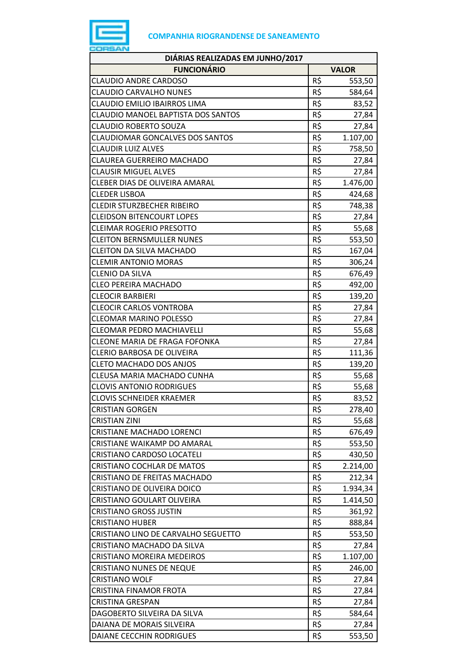

| <b>FUNCIONÁRIO</b><br><b>VALOR</b><br>R\$<br>CLAUDIO ANDRE CARDOSO<br>553,50<br>R\$<br><b>CLAUDIO CARVALHO NUNES</b><br>584,64<br>R\$<br>CLAUDIO EMILIO IBAIRROS LIMA<br>83,52<br>R\$<br>CLAUDIO MANOEL BAPTISTA DOS SANTOS<br>27,84<br>R\$<br><b>CLAUDIO ROBERTO SOUZA</b><br>27,84<br>R\$<br><b>CLAUDIOMAR GONCALVES DOS SANTOS</b><br>1.107,00<br>R\$<br><b>CLAUDIR LUIZ ALVES</b><br>758,50<br>R\$<br>CLAUREA GUERREIRO MACHADO<br>27,84<br>R\$<br><b>CLAUSIR MIGUEL ALVES</b><br>27,84<br>R\$<br>CLEBER DIAS DE OLIVEIRA AMARAL<br>1.476,00<br>R\$<br><b>CLEDER LISBOA</b><br>424,68<br>R\$<br><b>CLEDIR STURZBECHER RIBEIRO</b><br>748,38<br>R\$<br><b>CLEIDSON BITENCOURT LOPES</b><br>27,84<br>R\$<br><b>CLEIMAR ROGERIO PRESOTTO</b><br>55,68<br>R\$<br><b>CLEITON BERNSMULLER NUNES</b><br>553,50<br>R\$<br><b>CLEITON DA SILVA MACHADO</b><br>167,04<br>R\$<br><b>CLEMIR ANTONIO MORAS</b><br>306,24<br>R\$<br><b>CLENIO DA SILVA</b><br>676,49<br>R\$<br><b>CLEO PEREIRA MACHADO</b><br>492,00<br>R\$<br><b>CLEOCIR BARBIERI</b><br>139,20<br>R\$<br><b>CLEOCIR CARLOS VONTROBA</b><br>27,84<br>R\$<br><b>CLEOMAR MARINO POLESSO</b><br>27,84<br>R\$<br><b>CLEOMAR PEDRO MACHIAVELLI</b><br>55,68<br>R\$<br>CLEONE MARIA DE FRAGA FOFONKA<br>27,84<br>R\$<br>CLERIO BARBOSA DE OLIVEIRA<br>111,36<br>R\$<br><b>CLETO MACHADO DOS ANJOS</b><br>139,20<br>R\$<br>CLEUSA MARIA MACHADO CUNHA<br>55,68<br>R\$<br><b>CLOVIS ANTONIO RODRIGUES</b><br>55,68<br>R\$<br><b>CLOVIS SCHNEIDER KRAEMER</b><br>83,52<br>R\$<br><b>CRISTIAN GORGEN</b><br>278,40<br>R\$<br><b>CRISTIAN ZINI</b><br>55,68<br>R\$<br>CRISTIANE MACHADO LORENCI<br>676,49<br>R\$<br>CRISTIANE WAIKAMP DO AMARAL<br>553,50<br>R\$<br>CRISTIANO CARDOSO LOCATELI<br>430,50<br>R\$<br>CRISTIANO COCHLAR DE MATOS<br>2.214,00<br>R\$<br>CRISTIANO DE FREITAS MACHADO<br>212,34<br>R\$<br>CRISTIANO DE OLIVEIRA DOICO<br>1.934,34<br>R\$<br>CRISTIANO GOULART OLIVEIRA<br>1.414,50<br>R\$<br><b>CRISTIANO GROSS JUSTIN</b><br>361,92<br>R\$<br><b>CRISTIANO HUBER</b><br>888,84<br>R\$<br>CRISTIANO LINO DE CARVALHO SEGUETTO<br>553,50<br>R\$<br>CRISTIANO MACHADO DA SILVA<br>27,84<br>R\$<br><b>CRISTIANO MOREIRA MEDEIROS</b><br>1.107,00<br>R\$<br><b>CRISTIANO NUNES DE NEQUE</b><br>246,00<br>R\$<br><b>CRISTIANO WOLF</b><br>27,84<br>R\$<br><b>CRISTINA FINAMOR FROTA</b><br>27,84<br>R\$<br><b>CRISTINA GRESPAN</b><br>27,84<br>R\$<br>DAGOBERTO SILVEIRA DA SILVA<br>584,64<br>R\$<br>DAIANA DE MORAIS SILVEIRA<br>27,84<br>R\$<br>DAIANE CECCHIN RODRIGUES<br>553,50 | DIÁRIAS REALIZADAS EM JUNHO/2017 |  |
|---------------------------------------------------------------------------------------------------------------------------------------------------------------------------------------------------------------------------------------------------------------------------------------------------------------------------------------------------------------------------------------------------------------------------------------------------------------------------------------------------------------------------------------------------------------------------------------------------------------------------------------------------------------------------------------------------------------------------------------------------------------------------------------------------------------------------------------------------------------------------------------------------------------------------------------------------------------------------------------------------------------------------------------------------------------------------------------------------------------------------------------------------------------------------------------------------------------------------------------------------------------------------------------------------------------------------------------------------------------------------------------------------------------------------------------------------------------------------------------------------------------------------------------------------------------------------------------------------------------------------------------------------------------------------------------------------------------------------------------------------------------------------------------------------------------------------------------------------------------------------------------------------------------------------------------------------------------------------------------------------------------------------------------------------------------------------------------------------------------------------------------------------------------------------------------------------------------------------------------------------------------------------------------------------------------------------------------------------------------------------------------------------------------------------------------------------------------------------------------------------------------------------------------------------------|----------------------------------|--|
|                                                                                                                                                                                                                                                                                                                                                                                                                                                                                                                                                                                                                                                                                                                                                                                                                                                                                                                                                                                                                                                                                                                                                                                                                                                                                                                                                                                                                                                                                                                                                                                                                                                                                                                                                                                                                                                                                                                                                                                                                                                                                                                                                                                                                                                                                                                                                                                                                                                                                                                                                         |                                  |  |
|                                                                                                                                                                                                                                                                                                                                                                                                                                                                                                                                                                                                                                                                                                                                                                                                                                                                                                                                                                                                                                                                                                                                                                                                                                                                                                                                                                                                                                                                                                                                                                                                                                                                                                                                                                                                                                                                                                                                                                                                                                                                                                                                                                                                                                                                                                                                                                                                                                                                                                                                                         |                                  |  |
|                                                                                                                                                                                                                                                                                                                                                                                                                                                                                                                                                                                                                                                                                                                                                                                                                                                                                                                                                                                                                                                                                                                                                                                                                                                                                                                                                                                                                                                                                                                                                                                                                                                                                                                                                                                                                                                                                                                                                                                                                                                                                                                                                                                                                                                                                                                                                                                                                                                                                                                                                         |                                  |  |
|                                                                                                                                                                                                                                                                                                                                                                                                                                                                                                                                                                                                                                                                                                                                                                                                                                                                                                                                                                                                                                                                                                                                                                                                                                                                                                                                                                                                                                                                                                                                                                                                                                                                                                                                                                                                                                                                                                                                                                                                                                                                                                                                                                                                                                                                                                                                                                                                                                                                                                                                                         |                                  |  |
|                                                                                                                                                                                                                                                                                                                                                                                                                                                                                                                                                                                                                                                                                                                                                                                                                                                                                                                                                                                                                                                                                                                                                                                                                                                                                                                                                                                                                                                                                                                                                                                                                                                                                                                                                                                                                                                                                                                                                                                                                                                                                                                                                                                                                                                                                                                                                                                                                                                                                                                                                         |                                  |  |
|                                                                                                                                                                                                                                                                                                                                                                                                                                                                                                                                                                                                                                                                                                                                                                                                                                                                                                                                                                                                                                                                                                                                                                                                                                                                                                                                                                                                                                                                                                                                                                                                                                                                                                                                                                                                                                                                                                                                                                                                                                                                                                                                                                                                                                                                                                                                                                                                                                                                                                                                                         |                                  |  |
|                                                                                                                                                                                                                                                                                                                                                                                                                                                                                                                                                                                                                                                                                                                                                                                                                                                                                                                                                                                                                                                                                                                                                                                                                                                                                                                                                                                                                                                                                                                                                                                                                                                                                                                                                                                                                                                                                                                                                                                                                                                                                                                                                                                                                                                                                                                                                                                                                                                                                                                                                         |                                  |  |
|                                                                                                                                                                                                                                                                                                                                                                                                                                                                                                                                                                                                                                                                                                                                                                                                                                                                                                                                                                                                                                                                                                                                                                                                                                                                                                                                                                                                                                                                                                                                                                                                                                                                                                                                                                                                                                                                                                                                                                                                                                                                                                                                                                                                                                                                                                                                                                                                                                                                                                                                                         |                                  |  |
|                                                                                                                                                                                                                                                                                                                                                                                                                                                                                                                                                                                                                                                                                                                                                                                                                                                                                                                                                                                                                                                                                                                                                                                                                                                                                                                                                                                                                                                                                                                                                                                                                                                                                                                                                                                                                                                                                                                                                                                                                                                                                                                                                                                                                                                                                                                                                                                                                                                                                                                                                         |                                  |  |
|                                                                                                                                                                                                                                                                                                                                                                                                                                                                                                                                                                                                                                                                                                                                                                                                                                                                                                                                                                                                                                                                                                                                                                                                                                                                                                                                                                                                                                                                                                                                                                                                                                                                                                                                                                                                                                                                                                                                                                                                                                                                                                                                                                                                                                                                                                                                                                                                                                                                                                                                                         |                                  |  |
|                                                                                                                                                                                                                                                                                                                                                                                                                                                                                                                                                                                                                                                                                                                                                                                                                                                                                                                                                                                                                                                                                                                                                                                                                                                                                                                                                                                                                                                                                                                                                                                                                                                                                                                                                                                                                                                                                                                                                                                                                                                                                                                                                                                                                                                                                                                                                                                                                                                                                                                                                         |                                  |  |
|                                                                                                                                                                                                                                                                                                                                                                                                                                                                                                                                                                                                                                                                                                                                                                                                                                                                                                                                                                                                                                                                                                                                                                                                                                                                                                                                                                                                                                                                                                                                                                                                                                                                                                                                                                                                                                                                                                                                                                                                                                                                                                                                                                                                                                                                                                                                                                                                                                                                                                                                                         |                                  |  |
|                                                                                                                                                                                                                                                                                                                                                                                                                                                                                                                                                                                                                                                                                                                                                                                                                                                                                                                                                                                                                                                                                                                                                                                                                                                                                                                                                                                                                                                                                                                                                                                                                                                                                                                                                                                                                                                                                                                                                                                                                                                                                                                                                                                                                                                                                                                                                                                                                                                                                                                                                         |                                  |  |
|                                                                                                                                                                                                                                                                                                                                                                                                                                                                                                                                                                                                                                                                                                                                                                                                                                                                                                                                                                                                                                                                                                                                                                                                                                                                                                                                                                                                                                                                                                                                                                                                                                                                                                                                                                                                                                                                                                                                                                                                                                                                                                                                                                                                                                                                                                                                                                                                                                                                                                                                                         |                                  |  |
|                                                                                                                                                                                                                                                                                                                                                                                                                                                                                                                                                                                                                                                                                                                                                                                                                                                                                                                                                                                                                                                                                                                                                                                                                                                                                                                                                                                                                                                                                                                                                                                                                                                                                                                                                                                                                                                                                                                                                                                                                                                                                                                                                                                                                                                                                                                                                                                                                                                                                                                                                         |                                  |  |
|                                                                                                                                                                                                                                                                                                                                                                                                                                                                                                                                                                                                                                                                                                                                                                                                                                                                                                                                                                                                                                                                                                                                                                                                                                                                                                                                                                                                                                                                                                                                                                                                                                                                                                                                                                                                                                                                                                                                                                                                                                                                                                                                                                                                                                                                                                                                                                                                                                                                                                                                                         |                                  |  |
|                                                                                                                                                                                                                                                                                                                                                                                                                                                                                                                                                                                                                                                                                                                                                                                                                                                                                                                                                                                                                                                                                                                                                                                                                                                                                                                                                                                                                                                                                                                                                                                                                                                                                                                                                                                                                                                                                                                                                                                                                                                                                                                                                                                                                                                                                                                                                                                                                                                                                                                                                         |                                  |  |
|                                                                                                                                                                                                                                                                                                                                                                                                                                                                                                                                                                                                                                                                                                                                                                                                                                                                                                                                                                                                                                                                                                                                                                                                                                                                                                                                                                                                                                                                                                                                                                                                                                                                                                                                                                                                                                                                                                                                                                                                                                                                                                                                                                                                                                                                                                                                                                                                                                                                                                                                                         |                                  |  |
|                                                                                                                                                                                                                                                                                                                                                                                                                                                                                                                                                                                                                                                                                                                                                                                                                                                                                                                                                                                                                                                                                                                                                                                                                                                                                                                                                                                                                                                                                                                                                                                                                                                                                                                                                                                                                                                                                                                                                                                                                                                                                                                                                                                                                                                                                                                                                                                                                                                                                                                                                         |                                  |  |
|                                                                                                                                                                                                                                                                                                                                                                                                                                                                                                                                                                                                                                                                                                                                                                                                                                                                                                                                                                                                                                                                                                                                                                                                                                                                                                                                                                                                                                                                                                                                                                                                                                                                                                                                                                                                                                                                                                                                                                                                                                                                                                                                                                                                                                                                                                                                                                                                                                                                                                                                                         |                                  |  |
|                                                                                                                                                                                                                                                                                                                                                                                                                                                                                                                                                                                                                                                                                                                                                                                                                                                                                                                                                                                                                                                                                                                                                                                                                                                                                                                                                                                                                                                                                                                                                                                                                                                                                                                                                                                                                                                                                                                                                                                                                                                                                                                                                                                                                                                                                                                                                                                                                                                                                                                                                         |                                  |  |
|                                                                                                                                                                                                                                                                                                                                                                                                                                                                                                                                                                                                                                                                                                                                                                                                                                                                                                                                                                                                                                                                                                                                                                                                                                                                                                                                                                                                                                                                                                                                                                                                                                                                                                                                                                                                                                                                                                                                                                                                                                                                                                                                                                                                                                                                                                                                                                                                                                                                                                                                                         |                                  |  |
|                                                                                                                                                                                                                                                                                                                                                                                                                                                                                                                                                                                                                                                                                                                                                                                                                                                                                                                                                                                                                                                                                                                                                                                                                                                                                                                                                                                                                                                                                                                                                                                                                                                                                                                                                                                                                                                                                                                                                                                                                                                                                                                                                                                                                                                                                                                                                                                                                                                                                                                                                         |                                  |  |
|                                                                                                                                                                                                                                                                                                                                                                                                                                                                                                                                                                                                                                                                                                                                                                                                                                                                                                                                                                                                                                                                                                                                                                                                                                                                                                                                                                                                                                                                                                                                                                                                                                                                                                                                                                                                                                                                                                                                                                                                                                                                                                                                                                                                                                                                                                                                                                                                                                                                                                                                                         |                                  |  |
|                                                                                                                                                                                                                                                                                                                                                                                                                                                                                                                                                                                                                                                                                                                                                                                                                                                                                                                                                                                                                                                                                                                                                                                                                                                                                                                                                                                                                                                                                                                                                                                                                                                                                                                                                                                                                                                                                                                                                                                                                                                                                                                                                                                                                                                                                                                                                                                                                                                                                                                                                         |                                  |  |
|                                                                                                                                                                                                                                                                                                                                                                                                                                                                                                                                                                                                                                                                                                                                                                                                                                                                                                                                                                                                                                                                                                                                                                                                                                                                                                                                                                                                                                                                                                                                                                                                                                                                                                                                                                                                                                                                                                                                                                                                                                                                                                                                                                                                                                                                                                                                                                                                                                                                                                                                                         |                                  |  |
|                                                                                                                                                                                                                                                                                                                                                                                                                                                                                                                                                                                                                                                                                                                                                                                                                                                                                                                                                                                                                                                                                                                                                                                                                                                                                                                                                                                                                                                                                                                                                                                                                                                                                                                                                                                                                                                                                                                                                                                                                                                                                                                                                                                                                                                                                                                                                                                                                                                                                                                                                         |                                  |  |
|                                                                                                                                                                                                                                                                                                                                                                                                                                                                                                                                                                                                                                                                                                                                                                                                                                                                                                                                                                                                                                                                                                                                                                                                                                                                                                                                                                                                                                                                                                                                                                                                                                                                                                                                                                                                                                                                                                                                                                                                                                                                                                                                                                                                                                                                                                                                                                                                                                                                                                                                                         |                                  |  |
|                                                                                                                                                                                                                                                                                                                                                                                                                                                                                                                                                                                                                                                                                                                                                                                                                                                                                                                                                                                                                                                                                                                                                                                                                                                                                                                                                                                                                                                                                                                                                                                                                                                                                                                                                                                                                                                                                                                                                                                                                                                                                                                                                                                                                                                                                                                                                                                                                                                                                                                                                         |                                  |  |
|                                                                                                                                                                                                                                                                                                                                                                                                                                                                                                                                                                                                                                                                                                                                                                                                                                                                                                                                                                                                                                                                                                                                                                                                                                                                                                                                                                                                                                                                                                                                                                                                                                                                                                                                                                                                                                                                                                                                                                                                                                                                                                                                                                                                                                                                                                                                                                                                                                                                                                                                                         |                                  |  |
|                                                                                                                                                                                                                                                                                                                                                                                                                                                                                                                                                                                                                                                                                                                                                                                                                                                                                                                                                                                                                                                                                                                                                                                                                                                                                                                                                                                                                                                                                                                                                                                                                                                                                                                                                                                                                                                                                                                                                                                                                                                                                                                                                                                                                                                                                                                                                                                                                                                                                                                                                         |                                  |  |
|                                                                                                                                                                                                                                                                                                                                                                                                                                                                                                                                                                                                                                                                                                                                                                                                                                                                                                                                                                                                                                                                                                                                                                                                                                                                                                                                                                                                                                                                                                                                                                                                                                                                                                                                                                                                                                                                                                                                                                                                                                                                                                                                                                                                                                                                                                                                                                                                                                                                                                                                                         |                                  |  |
|                                                                                                                                                                                                                                                                                                                                                                                                                                                                                                                                                                                                                                                                                                                                                                                                                                                                                                                                                                                                                                                                                                                                                                                                                                                                                                                                                                                                                                                                                                                                                                                                                                                                                                                                                                                                                                                                                                                                                                                                                                                                                                                                                                                                                                                                                                                                                                                                                                                                                                                                                         |                                  |  |
|                                                                                                                                                                                                                                                                                                                                                                                                                                                                                                                                                                                                                                                                                                                                                                                                                                                                                                                                                                                                                                                                                                                                                                                                                                                                                                                                                                                                                                                                                                                                                                                                                                                                                                                                                                                                                                                                                                                                                                                                                                                                                                                                                                                                                                                                                                                                                                                                                                                                                                                                                         |                                  |  |
|                                                                                                                                                                                                                                                                                                                                                                                                                                                                                                                                                                                                                                                                                                                                                                                                                                                                                                                                                                                                                                                                                                                                                                                                                                                                                                                                                                                                                                                                                                                                                                                                                                                                                                                                                                                                                                                                                                                                                                                                                                                                                                                                                                                                                                                                                                                                                                                                                                                                                                                                                         |                                  |  |
|                                                                                                                                                                                                                                                                                                                                                                                                                                                                                                                                                                                                                                                                                                                                                                                                                                                                                                                                                                                                                                                                                                                                                                                                                                                                                                                                                                                                                                                                                                                                                                                                                                                                                                                                                                                                                                                                                                                                                                                                                                                                                                                                                                                                                                                                                                                                                                                                                                                                                                                                                         |                                  |  |
|                                                                                                                                                                                                                                                                                                                                                                                                                                                                                                                                                                                                                                                                                                                                                                                                                                                                                                                                                                                                                                                                                                                                                                                                                                                                                                                                                                                                                                                                                                                                                                                                                                                                                                                                                                                                                                                                                                                                                                                                                                                                                                                                                                                                                                                                                                                                                                                                                                                                                                                                                         |                                  |  |
|                                                                                                                                                                                                                                                                                                                                                                                                                                                                                                                                                                                                                                                                                                                                                                                                                                                                                                                                                                                                                                                                                                                                                                                                                                                                                                                                                                                                                                                                                                                                                                                                                                                                                                                                                                                                                                                                                                                                                                                                                                                                                                                                                                                                                                                                                                                                                                                                                                                                                                                                                         |                                  |  |
|                                                                                                                                                                                                                                                                                                                                                                                                                                                                                                                                                                                                                                                                                                                                                                                                                                                                                                                                                                                                                                                                                                                                                                                                                                                                                                                                                                                                                                                                                                                                                                                                                                                                                                                                                                                                                                                                                                                                                                                                                                                                                                                                                                                                                                                                                                                                                                                                                                                                                                                                                         |                                  |  |
|                                                                                                                                                                                                                                                                                                                                                                                                                                                                                                                                                                                                                                                                                                                                                                                                                                                                                                                                                                                                                                                                                                                                                                                                                                                                                                                                                                                                                                                                                                                                                                                                                                                                                                                                                                                                                                                                                                                                                                                                                                                                                                                                                                                                                                                                                                                                                                                                                                                                                                                                                         |                                  |  |
|                                                                                                                                                                                                                                                                                                                                                                                                                                                                                                                                                                                                                                                                                                                                                                                                                                                                                                                                                                                                                                                                                                                                                                                                                                                                                                                                                                                                                                                                                                                                                                                                                                                                                                                                                                                                                                                                                                                                                                                                                                                                                                                                                                                                                                                                                                                                                                                                                                                                                                                                                         |                                  |  |
|                                                                                                                                                                                                                                                                                                                                                                                                                                                                                                                                                                                                                                                                                                                                                                                                                                                                                                                                                                                                                                                                                                                                                                                                                                                                                                                                                                                                                                                                                                                                                                                                                                                                                                                                                                                                                                                                                                                                                                                                                                                                                                                                                                                                                                                                                                                                                                                                                                                                                                                                                         |                                  |  |
|                                                                                                                                                                                                                                                                                                                                                                                                                                                                                                                                                                                                                                                                                                                                                                                                                                                                                                                                                                                                                                                                                                                                                                                                                                                                                                                                                                                                                                                                                                                                                                                                                                                                                                                                                                                                                                                                                                                                                                                                                                                                                                                                                                                                                                                                                                                                                                                                                                                                                                                                                         |                                  |  |
|                                                                                                                                                                                                                                                                                                                                                                                                                                                                                                                                                                                                                                                                                                                                                                                                                                                                                                                                                                                                                                                                                                                                                                                                                                                                                                                                                                                                                                                                                                                                                                                                                                                                                                                                                                                                                                                                                                                                                                                                                                                                                                                                                                                                                                                                                                                                                                                                                                                                                                                                                         |                                  |  |
|                                                                                                                                                                                                                                                                                                                                                                                                                                                                                                                                                                                                                                                                                                                                                                                                                                                                                                                                                                                                                                                                                                                                                                                                                                                                                                                                                                                                                                                                                                                                                                                                                                                                                                                                                                                                                                                                                                                                                                                                                                                                                                                                                                                                                                                                                                                                                                                                                                                                                                                                                         |                                  |  |
|                                                                                                                                                                                                                                                                                                                                                                                                                                                                                                                                                                                                                                                                                                                                                                                                                                                                                                                                                                                                                                                                                                                                                                                                                                                                                                                                                                                                                                                                                                                                                                                                                                                                                                                                                                                                                                                                                                                                                                                                                                                                                                                                                                                                                                                                                                                                                                                                                                                                                                                                                         |                                  |  |
|                                                                                                                                                                                                                                                                                                                                                                                                                                                                                                                                                                                                                                                                                                                                                                                                                                                                                                                                                                                                                                                                                                                                                                                                                                                                                                                                                                                                                                                                                                                                                                                                                                                                                                                                                                                                                                                                                                                                                                                                                                                                                                                                                                                                                                                                                                                                                                                                                                                                                                                                                         |                                  |  |
|                                                                                                                                                                                                                                                                                                                                                                                                                                                                                                                                                                                                                                                                                                                                                                                                                                                                                                                                                                                                                                                                                                                                                                                                                                                                                                                                                                                                                                                                                                                                                                                                                                                                                                                                                                                                                                                                                                                                                                                                                                                                                                                                                                                                                                                                                                                                                                                                                                                                                                                                                         |                                  |  |
|                                                                                                                                                                                                                                                                                                                                                                                                                                                                                                                                                                                                                                                                                                                                                                                                                                                                                                                                                                                                                                                                                                                                                                                                                                                                                                                                                                                                                                                                                                                                                                                                                                                                                                                                                                                                                                                                                                                                                                                                                                                                                                                                                                                                                                                                                                                                                                                                                                                                                                                                                         |                                  |  |
|                                                                                                                                                                                                                                                                                                                                                                                                                                                                                                                                                                                                                                                                                                                                                                                                                                                                                                                                                                                                                                                                                                                                                                                                                                                                                                                                                                                                                                                                                                                                                                                                                                                                                                                                                                                                                                                                                                                                                                                                                                                                                                                                                                                                                                                                                                                                                                                                                                                                                                                                                         |                                  |  |
|                                                                                                                                                                                                                                                                                                                                                                                                                                                                                                                                                                                                                                                                                                                                                                                                                                                                                                                                                                                                                                                                                                                                                                                                                                                                                                                                                                                                                                                                                                                                                                                                                                                                                                                                                                                                                                                                                                                                                                                                                                                                                                                                                                                                                                                                                                                                                                                                                                                                                                                                                         |                                  |  |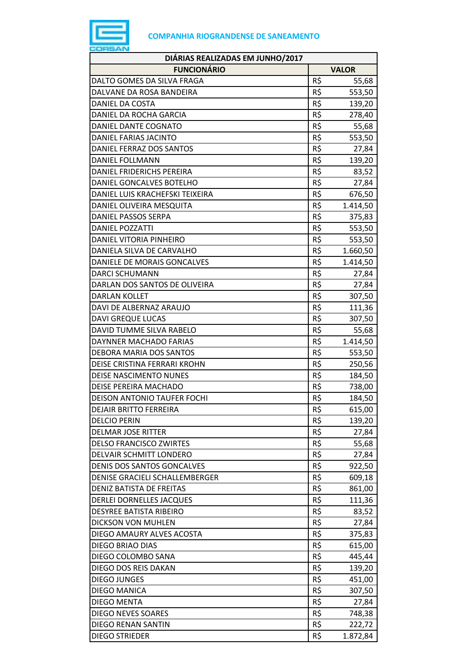

| DIÁRIAS REALIZADAS EM JUNHO/2017 |     |              |
|----------------------------------|-----|--------------|
| <b>FUNCIONÁRIO</b>               |     | <b>VALOR</b> |
| DALTO GOMES DA SILVA FRAGA       | R\$ | 55,68        |
| DALVANE DA ROSA BANDEIRA         | R\$ | 553,50       |
| DANIEL DA COSTA                  | R\$ | 139,20       |
| DANIEL DA ROCHA GARCIA           | R\$ | 278,40       |
| DANIEL DANTE COGNATO             | R\$ | 55,68        |
| DANIEL FARIAS JACINTO            | R\$ | 553,50       |
| DANIEL FERRAZ DOS SANTOS         | R\$ | 27,84        |
| DANIEL FOLLMANN                  | R\$ | 139,20       |
| DANIEL FRIDERICHS PEREIRA        | R\$ | 83,52        |
| DANIEL GONCALVES BOTELHO         | R\$ | 27,84        |
| DANIEL LUIS KRACHEFSKI TEIXEIRA  | R\$ | 676,50       |
| DANIEL OLIVEIRA MESQUITA         | R\$ | 1.414,50     |
| <b>DANIEL PASSOS SERPA</b>       | R\$ | 375,83       |
| <b>DANIEL POZZATTI</b>           | R\$ | 553,50       |
| DANIEL VITORIA PINHEIRO          | R\$ | 553,50       |
| DANIELA SILVA DE CARVALHO        | R\$ | 1.660,50     |
| DANIELE DE MORAIS GONCALVES      | R\$ | 1.414,50     |
| DARCI SCHUMANN                   | R\$ | 27,84        |
| DARLAN DOS SANTOS DE OLIVEIRA    | R\$ | 27,84        |
| <b>DARLAN KOLLET</b>             | R\$ | 307,50       |
| DAVI DE ALBERNAZ ARAUJO          | R\$ | 111,36       |
| <b>DAVI GREQUE LUCAS</b>         | R\$ | 307,50       |
| DAVID TUMME SILVA RABELO         | R\$ | 55,68        |
| DAYNNER MACHADO FARIAS           | R\$ | 1.414,50     |
| DEBORA MARIA DOS SANTOS          | R\$ | 553,50       |
| DEISE CRISTINA FERRARI KROHN     | R\$ | 250,56       |
| <b>DEISE NASCIMENTO NUNES</b>    | R\$ | 184,50       |
| DEISE PEREIRA MACHADO            | R\$ | 738,00       |
| DEISON ANTONIO TAUFER FOCHI      | R\$ | 184,50       |
| <b>DEJAIR BRITTO FERREIRA</b>    | R\$ | 615,00       |
| <b>DELCIO PERIN</b>              | R\$ | 139,20       |
| <b>DELMAR JOSE RITTER</b>        | R\$ | 27,84        |
| <b>DELSO FRANCISCO ZWIRTES</b>   | R\$ | 55,68        |
| DELVAIR SCHMITT LONDERO          | R\$ | 27,84        |
| DENIS DOS SANTOS GONCALVES       | R\$ | 922,50       |
| DENISE GRACIELI SCHALLEMBERGER   | R\$ | 609,18       |
| <b>DENIZ BATISTA DE FREITAS</b>  | R\$ | 861,00       |
| DERLEI DORNELLES JACQUES         | R\$ | 111,36       |
| <b>DESYREE BATISTA RIBEIRO</b>   | R\$ | 83,52        |
| DICKSON VON MUHLEN               | R\$ | 27,84        |
| DIEGO AMAURY ALVES ACOSTA        | R\$ | 375,83       |
| DIEGO BRIAO DIAS                 | R\$ | 615,00       |
| DIEGO COLOMBO SANA               | R\$ | 445,44       |
| DIEGO DOS REIS DAKAN             | R\$ | 139,20       |
| <b>DIEGO JUNGES</b>              | R\$ | 451,00       |
| <b>DIEGO MANICA</b>              | R\$ | 307,50       |
| <b>DIEGO MENTA</b>               | R\$ | 27,84        |
| DIEGO NEVES SOARES               | R\$ | 748,38       |
| <b>DIEGO RENAN SANTIN</b>        | R\$ | 222,72       |
| <b>DIEGO STRIEDER</b>            | R\$ | 1.872,84     |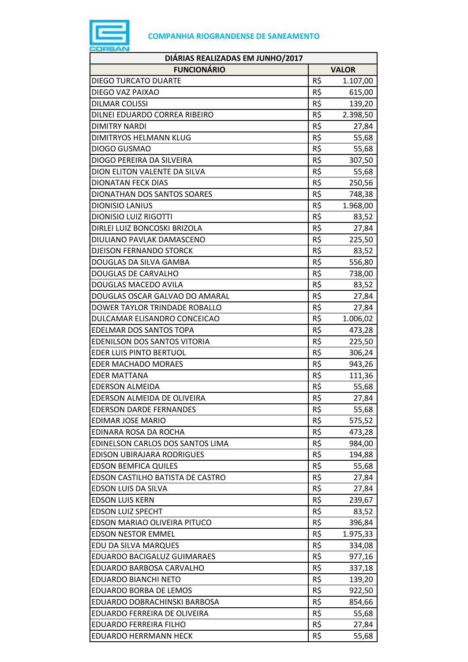

| <b>FUNCIONÁRIO</b><br><b>VALOR</b><br>R\$<br><b>DIEGO TURCATO DUARTE</b><br>1.107,00<br>R\$<br>DIEGO VAZ PAIXAO<br>615,00<br>R\$<br><b>DILMAR COLISSI</b><br>139,20<br>R\$<br>DILNEI EDUARDO CORREA RIBEIRO<br>2.398,50<br>R\$<br><b>DIMITRY NARDI</b><br>27,84<br>R\$<br>DIMITRYOS HELMANN KLUG<br>55,68<br>R\$<br>DIOGO GUSMAO<br>55,68<br>R\$<br>DIOGO PEREIRA DA SILVEIRA<br>307,50<br>R\$<br>DION ELITON VALENTE DA SILVA<br>55,68<br>R\$<br><b>DIONATAN FECK DIAS</b><br>250,56<br>R\$<br>DIONATHAN DOS SANTOS SOARES<br>748,38<br>R\$<br><b>DIONISIO LANIUS</b><br>1.968,00<br>R\$<br><b>DIONISIO LUIZ RIGOTTI</b><br>83,52<br>R\$<br>DIRLEI LUIZ BONCOSKI BRIZOLA<br>27,84<br>R\$<br>DIULIANO PAVLAK DAMASCENO<br>225,50<br>R\$<br><b>DJEISON FERNANDO STORCK</b><br>83,52<br>R\$<br>DOUGLAS DA SILVA GAMBA<br>556,80<br>R\$<br><b>DOUGLAS DE CARVALHO</b><br>738,00<br>R\$<br>DOUGLAS MACEDO AVILA<br>83,52<br>R\$<br>DOUGLAS OSCAR GALVAO DO AMARAL<br>27,84<br>R\$<br>DOWER TAYLOR TRINDADE ROBALLO<br>27,84<br>R\$<br>DULCAMAR ELISANDRO CONCEICAO<br>1.006,02<br>R\$<br><b>EDELMAR DOS SANTOS TOPA</b><br>473,28<br>R\$<br>EDENILSON DOS SANTOS VITORIA<br>225,50<br>R\$<br><b>EDER LUIS PINTO BERTUOL</b><br>306,24<br>R\$<br><b>EDER MACHADO MORAES</b><br>943,26<br>R\$<br><b>EDER MATTANA</b><br>111,36<br>R\$<br><b>EDERSON ALMEIDA</b><br>55,68<br>R\$<br>EDERSON ALMEIDA DE OLIVEIRA<br>27,84<br>R\$<br><b>EDERSON DARDE FERNANDES</b><br>55,68<br>R\$<br><b>EDIMAR JOSE MARIO</b><br>575,52<br>R\$<br>EDINARA ROSA DA ROCHA<br>473,28<br>R\$<br>EDINELSON CARLOS DOS SANTOS LIMA<br>984,00<br>R\$<br>EDISON UBIRAJARA RODRIGUES<br>194,88<br>R\$<br><b>EDSON BEMFICA QUILES</b><br>55,68<br>R\$<br>EDSON CASTILHO BATISTA DE CASTRO<br>27,84<br>R\$<br>EDSON LUIS DA SILVA<br>27,84<br>R\$<br><b>EDSON LUIS KERN</b><br>239,67<br>R\$<br><b>EDSON LUIZ SPECHT</b><br>83,52<br>R\$<br>EDSON MARIAO OLIVEIRA PITUCO<br>396,84<br>R\$<br><b>EDSON NESTOR EMMEL</b><br>1.975,33<br>R\$<br>EDU DA SILVA MARQUES<br>334,08<br>R\$<br>EDUARDO BACIGALUZ GUIMARAES<br>977,16<br>R\$<br>EDUARDO BARBOSA CARVALHO<br>337,18<br>R\$<br><b>EDUARDO BIANCHI NETO</b><br>139,20<br>R\$<br><b>EDUARDO BORBA DE LEMOS</b><br>922,50<br>R\$<br>EDUARDO DOBRACHINSKI BARBOSA<br>854,66<br>R\$<br>EDUARDO FERREIRA DE OLIVEIRA<br>55,68<br>R\$<br><b>EDUARDO FERREIRA FILHO</b><br>27,84<br>R\$<br>55,68<br><b>EDUARDO HERRMANN HECK</b> | DIÁRIAS REALIZADAS EM JUNHO/2017 |  |
|--------------------------------------------------------------------------------------------------------------------------------------------------------------------------------------------------------------------------------------------------------------------------------------------------------------------------------------------------------------------------------------------------------------------------------------------------------------------------------------------------------------------------------------------------------------------------------------------------------------------------------------------------------------------------------------------------------------------------------------------------------------------------------------------------------------------------------------------------------------------------------------------------------------------------------------------------------------------------------------------------------------------------------------------------------------------------------------------------------------------------------------------------------------------------------------------------------------------------------------------------------------------------------------------------------------------------------------------------------------------------------------------------------------------------------------------------------------------------------------------------------------------------------------------------------------------------------------------------------------------------------------------------------------------------------------------------------------------------------------------------------------------------------------------------------------------------------------------------------------------------------------------------------------------------------------------------------------------------------------------------------------------------------------------------------------------------------------------------------------------------------------------------------------------------------------------------------------------------------------------------------------------------------------------------------------------------------------------------------------------------------------------------------------------------------------------|----------------------------------|--|
|                                                                                                                                                                                                                                                                                                                                                                                                                                                                                                                                                                                                                                                                                                                                                                                                                                                                                                                                                                                                                                                                                                                                                                                                                                                                                                                                                                                                                                                                                                                                                                                                                                                                                                                                                                                                                                                                                                                                                                                                                                                                                                                                                                                                                                                                                                                                                                                                                                            |                                  |  |
|                                                                                                                                                                                                                                                                                                                                                                                                                                                                                                                                                                                                                                                                                                                                                                                                                                                                                                                                                                                                                                                                                                                                                                                                                                                                                                                                                                                                                                                                                                                                                                                                                                                                                                                                                                                                                                                                                                                                                                                                                                                                                                                                                                                                                                                                                                                                                                                                                                            |                                  |  |
|                                                                                                                                                                                                                                                                                                                                                                                                                                                                                                                                                                                                                                                                                                                                                                                                                                                                                                                                                                                                                                                                                                                                                                                                                                                                                                                                                                                                                                                                                                                                                                                                                                                                                                                                                                                                                                                                                                                                                                                                                                                                                                                                                                                                                                                                                                                                                                                                                                            |                                  |  |
|                                                                                                                                                                                                                                                                                                                                                                                                                                                                                                                                                                                                                                                                                                                                                                                                                                                                                                                                                                                                                                                                                                                                                                                                                                                                                                                                                                                                                                                                                                                                                                                                                                                                                                                                                                                                                                                                                                                                                                                                                                                                                                                                                                                                                                                                                                                                                                                                                                            |                                  |  |
|                                                                                                                                                                                                                                                                                                                                                                                                                                                                                                                                                                                                                                                                                                                                                                                                                                                                                                                                                                                                                                                                                                                                                                                                                                                                                                                                                                                                                                                                                                                                                                                                                                                                                                                                                                                                                                                                                                                                                                                                                                                                                                                                                                                                                                                                                                                                                                                                                                            |                                  |  |
|                                                                                                                                                                                                                                                                                                                                                                                                                                                                                                                                                                                                                                                                                                                                                                                                                                                                                                                                                                                                                                                                                                                                                                                                                                                                                                                                                                                                                                                                                                                                                                                                                                                                                                                                                                                                                                                                                                                                                                                                                                                                                                                                                                                                                                                                                                                                                                                                                                            |                                  |  |
|                                                                                                                                                                                                                                                                                                                                                                                                                                                                                                                                                                                                                                                                                                                                                                                                                                                                                                                                                                                                                                                                                                                                                                                                                                                                                                                                                                                                                                                                                                                                                                                                                                                                                                                                                                                                                                                                                                                                                                                                                                                                                                                                                                                                                                                                                                                                                                                                                                            |                                  |  |
|                                                                                                                                                                                                                                                                                                                                                                                                                                                                                                                                                                                                                                                                                                                                                                                                                                                                                                                                                                                                                                                                                                                                                                                                                                                                                                                                                                                                                                                                                                                                                                                                                                                                                                                                                                                                                                                                                                                                                                                                                                                                                                                                                                                                                                                                                                                                                                                                                                            |                                  |  |
|                                                                                                                                                                                                                                                                                                                                                                                                                                                                                                                                                                                                                                                                                                                                                                                                                                                                                                                                                                                                                                                                                                                                                                                                                                                                                                                                                                                                                                                                                                                                                                                                                                                                                                                                                                                                                                                                                                                                                                                                                                                                                                                                                                                                                                                                                                                                                                                                                                            |                                  |  |
|                                                                                                                                                                                                                                                                                                                                                                                                                                                                                                                                                                                                                                                                                                                                                                                                                                                                                                                                                                                                                                                                                                                                                                                                                                                                                                                                                                                                                                                                                                                                                                                                                                                                                                                                                                                                                                                                                                                                                                                                                                                                                                                                                                                                                                                                                                                                                                                                                                            |                                  |  |
|                                                                                                                                                                                                                                                                                                                                                                                                                                                                                                                                                                                                                                                                                                                                                                                                                                                                                                                                                                                                                                                                                                                                                                                                                                                                                                                                                                                                                                                                                                                                                                                                                                                                                                                                                                                                                                                                                                                                                                                                                                                                                                                                                                                                                                                                                                                                                                                                                                            |                                  |  |
|                                                                                                                                                                                                                                                                                                                                                                                                                                                                                                                                                                                                                                                                                                                                                                                                                                                                                                                                                                                                                                                                                                                                                                                                                                                                                                                                                                                                                                                                                                                                                                                                                                                                                                                                                                                                                                                                                                                                                                                                                                                                                                                                                                                                                                                                                                                                                                                                                                            |                                  |  |
|                                                                                                                                                                                                                                                                                                                                                                                                                                                                                                                                                                                                                                                                                                                                                                                                                                                                                                                                                                                                                                                                                                                                                                                                                                                                                                                                                                                                                                                                                                                                                                                                                                                                                                                                                                                                                                                                                                                                                                                                                                                                                                                                                                                                                                                                                                                                                                                                                                            |                                  |  |
|                                                                                                                                                                                                                                                                                                                                                                                                                                                                                                                                                                                                                                                                                                                                                                                                                                                                                                                                                                                                                                                                                                                                                                                                                                                                                                                                                                                                                                                                                                                                                                                                                                                                                                                                                                                                                                                                                                                                                                                                                                                                                                                                                                                                                                                                                                                                                                                                                                            |                                  |  |
|                                                                                                                                                                                                                                                                                                                                                                                                                                                                                                                                                                                                                                                                                                                                                                                                                                                                                                                                                                                                                                                                                                                                                                                                                                                                                                                                                                                                                                                                                                                                                                                                                                                                                                                                                                                                                                                                                                                                                                                                                                                                                                                                                                                                                                                                                                                                                                                                                                            |                                  |  |
|                                                                                                                                                                                                                                                                                                                                                                                                                                                                                                                                                                                                                                                                                                                                                                                                                                                                                                                                                                                                                                                                                                                                                                                                                                                                                                                                                                                                                                                                                                                                                                                                                                                                                                                                                                                                                                                                                                                                                                                                                                                                                                                                                                                                                                                                                                                                                                                                                                            |                                  |  |
|                                                                                                                                                                                                                                                                                                                                                                                                                                                                                                                                                                                                                                                                                                                                                                                                                                                                                                                                                                                                                                                                                                                                                                                                                                                                                                                                                                                                                                                                                                                                                                                                                                                                                                                                                                                                                                                                                                                                                                                                                                                                                                                                                                                                                                                                                                                                                                                                                                            |                                  |  |
|                                                                                                                                                                                                                                                                                                                                                                                                                                                                                                                                                                                                                                                                                                                                                                                                                                                                                                                                                                                                                                                                                                                                                                                                                                                                                                                                                                                                                                                                                                                                                                                                                                                                                                                                                                                                                                                                                                                                                                                                                                                                                                                                                                                                                                                                                                                                                                                                                                            |                                  |  |
|                                                                                                                                                                                                                                                                                                                                                                                                                                                                                                                                                                                                                                                                                                                                                                                                                                                                                                                                                                                                                                                                                                                                                                                                                                                                                                                                                                                                                                                                                                                                                                                                                                                                                                                                                                                                                                                                                                                                                                                                                                                                                                                                                                                                                                                                                                                                                                                                                                            |                                  |  |
|                                                                                                                                                                                                                                                                                                                                                                                                                                                                                                                                                                                                                                                                                                                                                                                                                                                                                                                                                                                                                                                                                                                                                                                                                                                                                                                                                                                                                                                                                                                                                                                                                                                                                                                                                                                                                                                                                                                                                                                                                                                                                                                                                                                                                                                                                                                                                                                                                                            |                                  |  |
|                                                                                                                                                                                                                                                                                                                                                                                                                                                                                                                                                                                                                                                                                                                                                                                                                                                                                                                                                                                                                                                                                                                                                                                                                                                                                                                                                                                                                                                                                                                                                                                                                                                                                                                                                                                                                                                                                                                                                                                                                                                                                                                                                                                                                                                                                                                                                                                                                                            |                                  |  |
|                                                                                                                                                                                                                                                                                                                                                                                                                                                                                                                                                                                                                                                                                                                                                                                                                                                                                                                                                                                                                                                                                                                                                                                                                                                                                                                                                                                                                                                                                                                                                                                                                                                                                                                                                                                                                                                                                                                                                                                                                                                                                                                                                                                                                                                                                                                                                                                                                                            |                                  |  |
|                                                                                                                                                                                                                                                                                                                                                                                                                                                                                                                                                                                                                                                                                                                                                                                                                                                                                                                                                                                                                                                                                                                                                                                                                                                                                                                                                                                                                                                                                                                                                                                                                                                                                                                                                                                                                                                                                                                                                                                                                                                                                                                                                                                                                                                                                                                                                                                                                                            |                                  |  |
|                                                                                                                                                                                                                                                                                                                                                                                                                                                                                                                                                                                                                                                                                                                                                                                                                                                                                                                                                                                                                                                                                                                                                                                                                                                                                                                                                                                                                                                                                                                                                                                                                                                                                                                                                                                                                                                                                                                                                                                                                                                                                                                                                                                                                                                                                                                                                                                                                                            |                                  |  |
|                                                                                                                                                                                                                                                                                                                                                                                                                                                                                                                                                                                                                                                                                                                                                                                                                                                                                                                                                                                                                                                                                                                                                                                                                                                                                                                                                                                                                                                                                                                                                                                                                                                                                                                                                                                                                                                                                                                                                                                                                                                                                                                                                                                                                                                                                                                                                                                                                                            |                                  |  |
|                                                                                                                                                                                                                                                                                                                                                                                                                                                                                                                                                                                                                                                                                                                                                                                                                                                                                                                                                                                                                                                                                                                                                                                                                                                                                                                                                                                                                                                                                                                                                                                                                                                                                                                                                                                                                                                                                                                                                                                                                                                                                                                                                                                                                                                                                                                                                                                                                                            |                                  |  |
|                                                                                                                                                                                                                                                                                                                                                                                                                                                                                                                                                                                                                                                                                                                                                                                                                                                                                                                                                                                                                                                                                                                                                                                                                                                                                                                                                                                                                                                                                                                                                                                                                                                                                                                                                                                                                                                                                                                                                                                                                                                                                                                                                                                                                                                                                                                                                                                                                                            |                                  |  |
|                                                                                                                                                                                                                                                                                                                                                                                                                                                                                                                                                                                                                                                                                                                                                                                                                                                                                                                                                                                                                                                                                                                                                                                                                                                                                                                                                                                                                                                                                                                                                                                                                                                                                                                                                                                                                                                                                                                                                                                                                                                                                                                                                                                                                                                                                                                                                                                                                                            |                                  |  |
|                                                                                                                                                                                                                                                                                                                                                                                                                                                                                                                                                                                                                                                                                                                                                                                                                                                                                                                                                                                                                                                                                                                                                                                                                                                                                                                                                                                                                                                                                                                                                                                                                                                                                                                                                                                                                                                                                                                                                                                                                                                                                                                                                                                                                                                                                                                                                                                                                                            |                                  |  |
|                                                                                                                                                                                                                                                                                                                                                                                                                                                                                                                                                                                                                                                                                                                                                                                                                                                                                                                                                                                                                                                                                                                                                                                                                                                                                                                                                                                                                                                                                                                                                                                                                                                                                                                                                                                                                                                                                                                                                                                                                                                                                                                                                                                                                                                                                                                                                                                                                                            |                                  |  |
|                                                                                                                                                                                                                                                                                                                                                                                                                                                                                                                                                                                                                                                                                                                                                                                                                                                                                                                                                                                                                                                                                                                                                                                                                                                                                                                                                                                                                                                                                                                                                                                                                                                                                                                                                                                                                                                                                                                                                                                                                                                                                                                                                                                                                                                                                                                                                                                                                                            |                                  |  |
|                                                                                                                                                                                                                                                                                                                                                                                                                                                                                                                                                                                                                                                                                                                                                                                                                                                                                                                                                                                                                                                                                                                                                                                                                                                                                                                                                                                                                                                                                                                                                                                                                                                                                                                                                                                                                                                                                                                                                                                                                                                                                                                                                                                                                                                                                                                                                                                                                                            |                                  |  |
|                                                                                                                                                                                                                                                                                                                                                                                                                                                                                                                                                                                                                                                                                                                                                                                                                                                                                                                                                                                                                                                                                                                                                                                                                                                                                                                                                                                                                                                                                                                                                                                                                                                                                                                                                                                                                                                                                                                                                                                                                                                                                                                                                                                                                                                                                                                                                                                                                                            |                                  |  |
|                                                                                                                                                                                                                                                                                                                                                                                                                                                                                                                                                                                                                                                                                                                                                                                                                                                                                                                                                                                                                                                                                                                                                                                                                                                                                                                                                                                                                                                                                                                                                                                                                                                                                                                                                                                                                                                                                                                                                                                                                                                                                                                                                                                                                                                                                                                                                                                                                                            |                                  |  |
|                                                                                                                                                                                                                                                                                                                                                                                                                                                                                                                                                                                                                                                                                                                                                                                                                                                                                                                                                                                                                                                                                                                                                                                                                                                                                                                                                                                                                                                                                                                                                                                                                                                                                                                                                                                                                                                                                                                                                                                                                                                                                                                                                                                                                                                                                                                                                                                                                                            |                                  |  |
|                                                                                                                                                                                                                                                                                                                                                                                                                                                                                                                                                                                                                                                                                                                                                                                                                                                                                                                                                                                                                                                                                                                                                                                                                                                                                                                                                                                                                                                                                                                                                                                                                                                                                                                                                                                                                                                                                                                                                                                                                                                                                                                                                                                                                                                                                                                                                                                                                                            |                                  |  |
|                                                                                                                                                                                                                                                                                                                                                                                                                                                                                                                                                                                                                                                                                                                                                                                                                                                                                                                                                                                                                                                                                                                                                                                                                                                                                                                                                                                                                                                                                                                                                                                                                                                                                                                                                                                                                                                                                                                                                                                                                                                                                                                                                                                                                                                                                                                                                                                                                                            |                                  |  |
|                                                                                                                                                                                                                                                                                                                                                                                                                                                                                                                                                                                                                                                                                                                                                                                                                                                                                                                                                                                                                                                                                                                                                                                                                                                                                                                                                                                                                                                                                                                                                                                                                                                                                                                                                                                                                                                                                                                                                                                                                                                                                                                                                                                                                                                                                                                                                                                                                                            |                                  |  |
|                                                                                                                                                                                                                                                                                                                                                                                                                                                                                                                                                                                                                                                                                                                                                                                                                                                                                                                                                                                                                                                                                                                                                                                                                                                                                                                                                                                                                                                                                                                                                                                                                                                                                                                                                                                                                                                                                                                                                                                                                                                                                                                                                                                                                                                                                                                                                                                                                                            |                                  |  |
|                                                                                                                                                                                                                                                                                                                                                                                                                                                                                                                                                                                                                                                                                                                                                                                                                                                                                                                                                                                                                                                                                                                                                                                                                                                                                                                                                                                                                                                                                                                                                                                                                                                                                                                                                                                                                                                                                                                                                                                                                                                                                                                                                                                                                                                                                                                                                                                                                                            |                                  |  |
|                                                                                                                                                                                                                                                                                                                                                                                                                                                                                                                                                                                                                                                                                                                                                                                                                                                                                                                                                                                                                                                                                                                                                                                                                                                                                                                                                                                                                                                                                                                                                                                                                                                                                                                                                                                                                                                                                                                                                                                                                                                                                                                                                                                                                                                                                                                                                                                                                                            |                                  |  |
|                                                                                                                                                                                                                                                                                                                                                                                                                                                                                                                                                                                                                                                                                                                                                                                                                                                                                                                                                                                                                                                                                                                                                                                                                                                                                                                                                                                                                                                                                                                                                                                                                                                                                                                                                                                                                                                                                                                                                                                                                                                                                                                                                                                                                                                                                                                                                                                                                                            |                                  |  |
|                                                                                                                                                                                                                                                                                                                                                                                                                                                                                                                                                                                                                                                                                                                                                                                                                                                                                                                                                                                                                                                                                                                                                                                                                                                                                                                                                                                                                                                                                                                                                                                                                                                                                                                                                                                                                                                                                                                                                                                                                                                                                                                                                                                                                                                                                                                                                                                                                                            |                                  |  |
|                                                                                                                                                                                                                                                                                                                                                                                                                                                                                                                                                                                                                                                                                                                                                                                                                                                                                                                                                                                                                                                                                                                                                                                                                                                                                                                                                                                                                                                                                                                                                                                                                                                                                                                                                                                                                                                                                                                                                                                                                                                                                                                                                                                                                                                                                                                                                                                                                                            |                                  |  |
|                                                                                                                                                                                                                                                                                                                                                                                                                                                                                                                                                                                                                                                                                                                                                                                                                                                                                                                                                                                                                                                                                                                                                                                                                                                                                                                                                                                                                                                                                                                                                                                                                                                                                                                                                                                                                                                                                                                                                                                                                                                                                                                                                                                                                                                                                                                                                                                                                                            |                                  |  |
|                                                                                                                                                                                                                                                                                                                                                                                                                                                                                                                                                                                                                                                                                                                                                                                                                                                                                                                                                                                                                                                                                                                                                                                                                                                                                                                                                                                                                                                                                                                                                                                                                                                                                                                                                                                                                                                                                                                                                                                                                                                                                                                                                                                                                                                                                                                                                                                                                                            |                                  |  |
|                                                                                                                                                                                                                                                                                                                                                                                                                                                                                                                                                                                                                                                                                                                                                                                                                                                                                                                                                                                                                                                                                                                                                                                                                                                                                                                                                                                                                                                                                                                                                                                                                                                                                                                                                                                                                                                                                                                                                                                                                                                                                                                                                                                                                                                                                                                                                                                                                                            |                                  |  |
|                                                                                                                                                                                                                                                                                                                                                                                                                                                                                                                                                                                                                                                                                                                                                                                                                                                                                                                                                                                                                                                                                                                                                                                                                                                                                                                                                                                                                                                                                                                                                                                                                                                                                                                                                                                                                                                                                                                                                                                                                                                                                                                                                                                                                                                                                                                                                                                                                                            |                                  |  |
|                                                                                                                                                                                                                                                                                                                                                                                                                                                                                                                                                                                                                                                                                                                                                                                                                                                                                                                                                                                                                                                                                                                                                                                                                                                                                                                                                                                                                                                                                                                                                                                                                                                                                                                                                                                                                                                                                                                                                                                                                                                                                                                                                                                                                                                                                                                                                                                                                                            |                                  |  |
|                                                                                                                                                                                                                                                                                                                                                                                                                                                                                                                                                                                                                                                                                                                                                                                                                                                                                                                                                                                                                                                                                                                                                                                                                                                                                                                                                                                                                                                                                                                                                                                                                                                                                                                                                                                                                                                                                                                                                                                                                                                                                                                                                                                                                                                                                                                                                                                                                                            |                                  |  |
|                                                                                                                                                                                                                                                                                                                                                                                                                                                                                                                                                                                                                                                                                                                                                                                                                                                                                                                                                                                                                                                                                                                                                                                                                                                                                                                                                                                                                                                                                                                                                                                                                                                                                                                                                                                                                                                                                                                                                                                                                                                                                                                                                                                                                                                                                                                                                                                                                                            |                                  |  |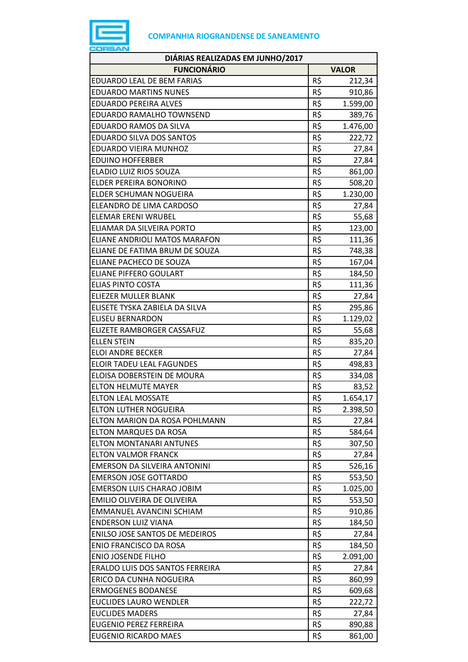

| DIÁRIAS REALIZADAS EM JUNHO/2017      |     |              |  |
|---------------------------------------|-----|--------------|--|
| <b>FUNCIONÁRIO</b>                    |     | <b>VALOR</b> |  |
| <b>EDUARDO LEAL DE BEM FARIAS</b>     | R\$ | 212,34       |  |
| <b>EDUARDO MARTINS NUNES</b>          | R\$ | 910,86       |  |
| <b>EDUARDO PEREIRA ALVES</b>          | R\$ | 1.599,00     |  |
| EDUARDO RAMALHO TOWNSEND              | R\$ | 389,76       |  |
| EDUARDO RAMOS DA SILVA                | R\$ | 1.476,00     |  |
| <b>EDUARDO SILVA DOS SANTOS</b>       | R\$ | 222,72       |  |
| EDUARDO VIEIRA MUNHOZ                 | R\$ | 27,84        |  |
| <b>EDUINO HOFFERBER</b>               | R\$ | 27,84        |  |
| ELADIO LUIZ RIOS SOUZA                | R\$ | 861,00       |  |
| ELDER PEREIRA BONORINO                | R\$ | 508,20       |  |
| ELDER SCHUMAN NOGUEIRA                | R\$ | 1.230,00     |  |
| ELEANDRO DE LIMA CARDOSO              | R\$ | 27,84        |  |
| <b>ELEMAR ERENI WRUBEL</b>            | R\$ | 55,68        |  |
| ELIAMAR DA SILVEIRA PORTO             | R\$ | 123,00       |  |
| ELIANE ANDRIOLI MATOS MARAFON         | R\$ | 111,36       |  |
| ELIANE DE FATIMA BRUM DE SOUZA        | R\$ | 748,38       |  |
| ELIANE PACHECO DE SOUZA               | R\$ | 167,04       |  |
| <b>ELIANE PIFFERO GOULART</b>         | R\$ | 184,50       |  |
| <b>ELIAS PINTO COSTA</b>              | R\$ | 111,36       |  |
| ELIEZER MULLER BLANK                  | R\$ | 27,84        |  |
| ELISETE TYSKA ZABIELA DA SILVA        | R\$ | 295,86       |  |
| <b>ELISEU BERNARDON</b>               | R\$ | 1.129,02     |  |
| ELIZETE RAMBORGER CASSAFUZ            | R\$ | 55,68        |  |
| <b>ELLEN STEIN</b>                    | R\$ | 835,20       |  |
| <b>ELOI ANDRE BECKER</b>              | R\$ | 27,84        |  |
| <b>ELOIR TADEU LEAL FAGUNDES</b>      | R\$ | 498,83       |  |
| ELOISA DOBERSTEIN DE MOURA            | R\$ | 334,08       |  |
| <b>ELTON HELMUTE MAYER</b>            | R\$ | 83,52        |  |
| <b>ELTON LEAL MOSSATE</b>             | R\$ | 1.654,17     |  |
| <b>ELTON LUTHER NOGUEIRA</b>          | R\$ | 2.398,50     |  |
| ELTON MARION DA ROSA POHLMANN         | R\$ | 27,84        |  |
| ELTON MARQUES DA ROSA                 | R\$ | 584,64       |  |
| <b>ELTON MONTANARI ANTUNES</b>        | R\$ | 307,50       |  |
| <b>ELTON VALMOR FRANCK</b>            | R\$ | 27,84        |  |
| EMERSON DA SILVEIRA ANTONINI          | R\$ | 526,16       |  |
| <b>EMERSON JOSE GOTTARDO</b>          | R\$ | 553,50       |  |
| <b>EMERSON LUIS CHARAO JOBIM</b>      | R\$ | 1.025,00     |  |
| EMILIO OLIVEIRA DE OLIVEIRA           | R\$ | 553,50       |  |
| EMMANUEL AVANCINI SCHIAM              | R\$ | 910,86       |  |
| <b>ENDERSON LUIZ VIANA</b>            | R\$ | 184,50       |  |
| <b>ENILSO JOSE SANTOS DE MEDEIROS</b> | R\$ | 27,84        |  |
| <b>ENIO FRANCISCO DA ROSA</b>         | R\$ |              |  |
| <b>ENIO JOSENDE FILHO</b>             |     | 184,50       |  |
|                                       | R\$ | 2.091,00     |  |
| ERALDO LUIS DOS SANTOS FERREIRA       | R\$ | 27,84        |  |
| ERICO DA CUNHA NOGUEIRA               | R\$ | 860,99       |  |
| <b>ERMOGENES BODANESE</b>             | R\$ | 609,68       |  |
| <b>EUCLIDES LAURO WENDLER</b>         | R\$ | 222,72       |  |
| <b>EUCLIDES MADERS</b>                | R\$ | 27,84        |  |
| <b>EUGENIO PEREZ FERREIRA</b>         | R\$ | 890,88       |  |
| <b>EUGENIO RICARDO MAES</b>           | R\$ | 861,00       |  |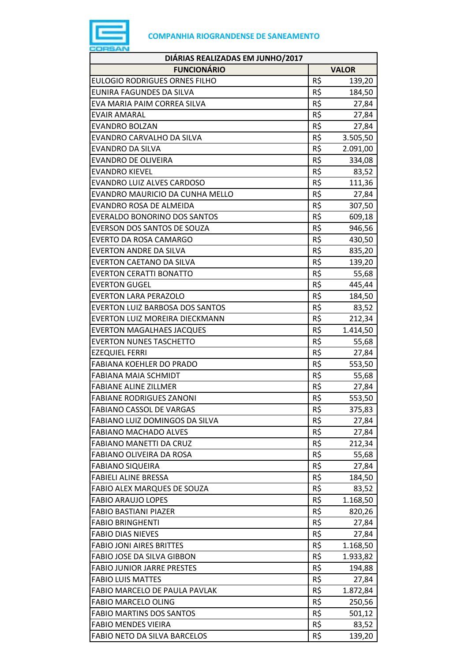

| DIÁRIAS REALIZADAS EM JUNHO/2017       |     |              |  |
|----------------------------------------|-----|--------------|--|
| <b>FUNCIONÁRIO</b>                     |     | <b>VALOR</b> |  |
| <b>EULOGIO RODRIGUES ORNES FILHO</b>   | R\$ | 139,20       |  |
| <b>EUNIRA FAGUNDES DA SILVA</b>        | R\$ | 184,50       |  |
| EVA MARIA PAIM CORREA SILVA            | R\$ | 27,84        |  |
| <b>EVAIR AMARAL</b>                    | R\$ | 27,84        |  |
| <b>EVANDRO BOLZAN</b>                  | R\$ | 27,84        |  |
| EVANDRO CARVALHO DA SILVA              | R\$ | 3.505,50     |  |
| <b>EVANDRO DA SILVA</b>                | R\$ | 2.091,00     |  |
| <b>EVANDRO DE OLIVEIRA</b>             | R\$ | 334,08       |  |
| <b>EVANDRO KIEVEL</b>                  | R\$ | 83,52        |  |
| <b>EVANDRO LUIZ ALVES CARDOSO</b>      | R\$ | 111,36       |  |
| EVANDRO MAURICIO DA CUNHA MELLO        | R\$ | 27,84        |  |
| EVANDRO ROSA DE ALMEIDA                | R\$ | 307,50       |  |
| <b>EVERALDO BONORINO DOS SANTOS</b>    | R\$ | 609,18       |  |
| EVERSON DOS SANTOS DE SOUZA            | R\$ | 946,56       |  |
| EVERTO DA ROSA CAMARGO                 | R\$ | 430,50       |  |
| <b>EVERTON ANDRE DA SILVA</b>          | R\$ | 835,20       |  |
| <b>EVERTON CAETANO DA SILVA</b>        | R\$ | 139,20       |  |
| <b>EVERTON CERATTI BONATTO</b>         | R\$ | 55,68        |  |
| <b>EVERTON GUGEL</b>                   | R\$ | 445,44       |  |
| <b>EVERTON LARA PERAZOLO</b>           | R\$ | 184,50       |  |
| <b>EVERTON LUIZ BARBOSA DOS SANTOS</b> | R\$ | 83,52        |  |
| EVERTON LUIZ MOREIRA DIECKMANN         | R\$ | 212,34       |  |
| <b>EVERTON MAGALHAES JACQUES</b>       | R\$ | 1.414,50     |  |
| <b>EVERTON NUNES TASCHETTO</b>         | R\$ | 55,68        |  |
| <b>EZEQUIEL FERRI</b>                  | R\$ | 27,84        |  |
| <b>FABIANA KOEHLER DO PRADO</b>        | R\$ | 553,50       |  |
| <b>FABIANA MAIA SCHMIDT</b>            | R\$ | 55,68        |  |
| <b>FABIANE ALINE ZILLMER</b>           | R\$ | 27,84        |  |
| <b>FABIANE RODRIGUES ZANONI</b>        | R\$ | 553,50       |  |
| <b>FABIANO CASSOL DE VARGAS</b>        | R\$ | 375,83       |  |
| FABIANO LUIZ DOMINGOS DA SILVA         | R\$ | 27,84        |  |
| <b>FABIANO MACHADO ALVES</b>           | R\$ | 27,84        |  |
| <b>FABIANO MANETTI DA CRUZ</b>         | R\$ | 212,34       |  |
| FABIANO OLIVEIRA DA ROSA               | R\$ | 55,68        |  |
| <b>FABIANO SIQUEIRA</b>                | R\$ | 27,84        |  |
| <b>FABIELI ALINE BRESSA</b>            | R\$ | 184,50       |  |
| FABIO ALEX MARQUES DE SOUZA            | R\$ | 83,52        |  |
| <b>FABIO ARAUJO LOPES</b>              | R\$ | 1.168,50     |  |
| <b>FABIO BASTIANI PIAZER</b>           | R\$ | 820,26       |  |
| <b>FABIO BRINGHENTI</b>                | R\$ | 27,84        |  |
| <b>FABIO DIAS NIEVES</b>               | R\$ | 27,84        |  |
| <b>FABIO JONI AIRES BRITTES</b>        | R\$ | 1.168,50     |  |
| FABIO JOSE DA SILVA GIBBON             | R\$ | 1.933,82     |  |
| <b>FABIO JUNIOR JARRE PRESTES</b>      | R\$ | 194,88       |  |
| <b>FABIO LUIS MATTES</b>               | R\$ | 27,84        |  |
| FABIO MARCELO DE PAULA PAVLAK          | R\$ | 1.872,84     |  |
| <b>FABIO MARCELO OLING</b>             | R\$ | 250,56       |  |
| <b>FABIO MARTINS DOS SANTOS</b>        | R\$ | 501,12       |  |
| <b>FABIO MENDES VIEIRA</b>             | R\$ | 83,52        |  |
| FABIO NETO DA SILVA BARCELOS           | R\$ | 139,20       |  |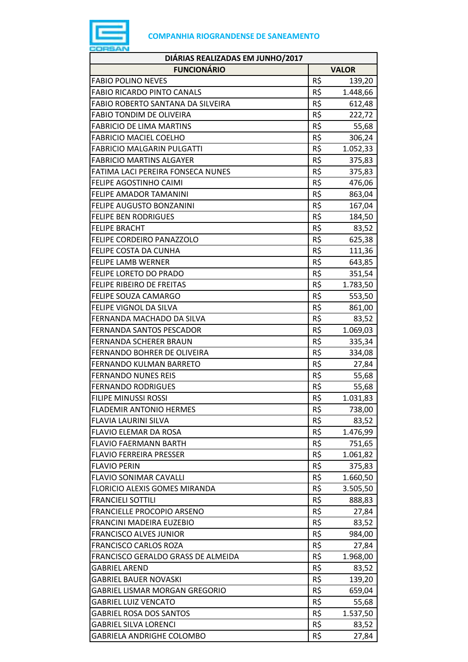

| <b>FUNCIONÁRIO</b><br><b>VALOR</b><br>R\$<br><b>FABIO POLINO NEVES</b><br>139,20<br>R\$<br><b>FABIO RICARDO PINTO CANALS</b><br>1.448,66<br>R\$<br>FABIO ROBERTO SANTANA DA SILVEIRA<br>612,48<br>R\$<br><b>FABIO TONDIM DE OLIVEIRA</b><br>222,72<br>R\$<br><b>FABRICIO DE LIMA MARTINS</b><br>55,68<br>R\$<br><b>FABRICIO MACIEL COELHO</b><br>306,24<br>R\$<br><b>FABRICIO MALGARIN PULGATTI</b><br>1.052,33<br>R\$<br><b>FABRICIO MARTINS ALGAYER</b><br>375,83<br>R\$<br>FATIMA LACI PEREIRA FONSECA NUNES<br>375,83<br>R\$<br>476,06<br>FELIPE AGOSTINHO CAIMI<br>R\$<br>FELIPE AMADOR TAMANINI<br>863,04<br>R\$<br><b>FELIPE AUGUSTO BONZANINI</b><br>167,04<br>R\$<br><b>FELIPE BEN RODRIGUES</b><br>184,50<br>R\$<br><b>FELIPE BRACHT</b><br>83,52<br>R\$<br>FELIPE CORDEIRO PANAZZOLO<br>625,38<br>R\$<br>FELIPE COSTA DA CUNHA<br>111,36<br>R\$<br><b>FELIPE LAMB WERNER</b><br>643,85<br>R\$<br><b>FELIPE LORETO DO PRADO</b><br>351,54<br>R\$<br>FELIPE RIBEIRO DE FREITAS<br>1.783,50<br>R\$<br>FELIPE SOUZA CAMARGO<br>553,50<br>R\$<br>FELIPE VIGNOL DA SILVA<br>861,00<br>R\$<br>FERNANDA MACHADO DA SILVA<br>83,52<br>R\$<br>FERNANDA SANTOS PESCADOR<br>1.069,03<br>R\$<br>FERNANDA SCHERER BRAUN<br>335,34<br>R\$<br>FERNANDO BOHRER DE OLIVEIRA<br>334,08<br>R\$<br>FERNANDO KULMAN BARRETO<br>27,84<br>R\$<br><b>FERNANDO NUNES REIS</b><br>55,68<br>R\$<br><b>FERNANDO RODRIGUES</b><br>55,68<br>R\$<br><b>FILIPE MINUSSI ROSSI</b><br>1.031,83<br><b>FLADEMIR ANTONIO HERMES</b><br>R\$<br>738,00<br>R\$<br>FLAVIA LAURINI SILVA<br>83,52<br>R\$<br>FLAVIO ELEMAR DA ROSA<br>1.476,99<br>R\$<br><b>FLAVIO FAERMANN BARTH</b><br>751,65<br>R\$<br><b>FLAVIO FERREIRA PRESSER</b><br>1.061,82<br>R\$<br><b>FLAVIO PERIN</b><br>375,83<br>R\$<br><b>FLAVIO SONIMAR CAVALLI</b><br>1.660,50<br>R\$<br>FLORICIO ALEXIS GOMES MIRANDA<br>3.505,50<br>R\$<br><b>FRANCIELI SOTTILI</b><br>888,83<br>R\$<br>FRANCIELLE PROCOPIO ARSENO<br>27,84<br>R\$<br>FRANCINI MADEIRA EUZEBIO<br>83,52<br>R\$<br><b>FRANCISCO ALVES JUNIOR</b><br>984,00<br>R\$<br><b>FRANCISCO CARLOS ROZA</b><br>27,84<br>R\$<br>FRANCISCO GERALDO GRASS DE ALMEIDA<br>1.968,00<br>R\$<br><b>GABRIEL AREND</b><br>83,52<br>R\$<br>139,20<br><b>GABRIEL BAUER NOVASKI</b><br>R\$<br>GABRIEL LISMAR MORGAN GREGORIO<br>659,04<br>R\$<br><b>GABRIEL LUIZ VENCATO</b><br>55,68<br>R\$<br><b>GABRIEL ROSA DOS SANTOS</b><br>1.537,50<br>R\$<br><b>GABRIEL SILVA LORENCI</b><br>83,52<br>R\$<br>27,84<br>GABRIELA ANDRIGHE COLOMBO | DIÁRIAS REALIZADAS EM JUNHO/2017 |  |
|--------------------------------------------------------------------------------------------------------------------------------------------------------------------------------------------------------------------------------------------------------------------------------------------------------------------------------------------------------------------------------------------------------------------------------------------------------------------------------------------------------------------------------------------------------------------------------------------------------------------------------------------------------------------------------------------------------------------------------------------------------------------------------------------------------------------------------------------------------------------------------------------------------------------------------------------------------------------------------------------------------------------------------------------------------------------------------------------------------------------------------------------------------------------------------------------------------------------------------------------------------------------------------------------------------------------------------------------------------------------------------------------------------------------------------------------------------------------------------------------------------------------------------------------------------------------------------------------------------------------------------------------------------------------------------------------------------------------------------------------------------------------------------------------------------------------------------------------------------------------------------------------------------------------------------------------------------------------------------------------------------------------------------------------------------------------------------------------------------------------------------------------------------------------------------------------------------------------------------------------------------------------------------------------------------------------------------------------------------------------------------------------------------------------------------------------------------------------------------------------------------------------|----------------------------------|--|
|                                                                                                                                                                                                                                                                                                                                                                                                                                                                                                                                                                                                                                                                                                                                                                                                                                                                                                                                                                                                                                                                                                                                                                                                                                                                                                                                                                                                                                                                                                                                                                                                                                                                                                                                                                                                                                                                                                                                                                                                                                                                                                                                                                                                                                                                                                                                                                                                                                                                                                                    |                                  |  |
|                                                                                                                                                                                                                                                                                                                                                                                                                                                                                                                                                                                                                                                                                                                                                                                                                                                                                                                                                                                                                                                                                                                                                                                                                                                                                                                                                                                                                                                                                                                                                                                                                                                                                                                                                                                                                                                                                                                                                                                                                                                                                                                                                                                                                                                                                                                                                                                                                                                                                                                    |                                  |  |
|                                                                                                                                                                                                                                                                                                                                                                                                                                                                                                                                                                                                                                                                                                                                                                                                                                                                                                                                                                                                                                                                                                                                                                                                                                                                                                                                                                                                                                                                                                                                                                                                                                                                                                                                                                                                                                                                                                                                                                                                                                                                                                                                                                                                                                                                                                                                                                                                                                                                                                                    |                                  |  |
|                                                                                                                                                                                                                                                                                                                                                                                                                                                                                                                                                                                                                                                                                                                                                                                                                                                                                                                                                                                                                                                                                                                                                                                                                                                                                                                                                                                                                                                                                                                                                                                                                                                                                                                                                                                                                                                                                                                                                                                                                                                                                                                                                                                                                                                                                                                                                                                                                                                                                                                    |                                  |  |
|                                                                                                                                                                                                                                                                                                                                                                                                                                                                                                                                                                                                                                                                                                                                                                                                                                                                                                                                                                                                                                                                                                                                                                                                                                                                                                                                                                                                                                                                                                                                                                                                                                                                                                                                                                                                                                                                                                                                                                                                                                                                                                                                                                                                                                                                                                                                                                                                                                                                                                                    |                                  |  |
|                                                                                                                                                                                                                                                                                                                                                                                                                                                                                                                                                                                                                                                                                                                                                                                                                                                                                                                                                                                                                                                                                                                                                                                                                                                                                                                                                                                                                                                                                                                                                                                                                                                                                                                                                                                                                                                                                                                                                                                                                                                                                                                                                                                                                                                                                                                                                                                                                                                                                                                    |                                  |  |
|                                                                                                                                                                                                                                                                                                                                                                                                                                                                                                                                                                                                                                                                                                                                                                                                                                                                                                                                                                                                                                                                                                                                                                                                                                                                                                                                                                                                                                                                                                                                                                                                                                                                                                                                                                                                                                                                                                                                                                                                                                                                                                                                                                                                                                                                                                                                                                                                                                                                                                                    |                                  |  |
|                                                                                                                                                                                                                                                                                                                                                                                                                                                                                                                                                                                                                                                                                                                                                                                                                                                                                                                                                                                                                                                                                                                                                                                                                                                                                                                                                                                                                                                                                                                                                                                                                                                                                                                                                                                                                                                                                                                                                                                                                                                                                                                                                                                                                                                                                                                                                                                                                                                                                                                    |                                  |  |
|                                                                                                                                                                                                                                                                                                                                                                                                                                                                                                                                                                                                                                                                                                                                                                                                                                                                                                                                                                                                                                                                                                                                                                                                                                                                                                                                                                                                                                                                                                                                                                                                                                                                                                                                                                                                                                                                                                                                                                                                                                                                                                                                                                                                                                                                                                                                                                                                                                                                                                                    |                                  |  |
|                                                                                                                                                                                                                                                                                                                                                                                                                                                                                                                                                                                                                                                                                                                                                                                                                                                                                                                                                                                                                                                                                                                                                                                                                                                                                                                                                                                                                                                                                                                                                                                                                                                                                                                                                                                                                                                                                                                                                                                                                                                                                                                                                                                                                                                                                                                                                                                                                                                                                                                    |                                  |  |
|                                                                                                                                                                                                                                                                                                                                                                                                                                                                                                                                                                                                                                                                                                                                                                                                                                                                                                                                                                                                                                                                                                                                                                                                                                                                                                                                                                                                                                                                                                                                                                                                                                                                                                                                                                                                                                                                                                                                                                                                                                                                                                                                                                                                                                                                                                                                                                                                                                                                                                                    |                                  |  |
|                                                                                                                                                                                                                                                                                                                                                                                                                                                                                                                                                                                                                                                                                                                                                                                                                                                                                                                                                                                                                                                                                                                                                                                                                                                                                                                                                                                                                                                                                                                                                                                                                                                                                                                                                                                                                                                                                                                                                                                                                                                                                                                                                                                                                                                                                                                                                                                                                                                                                                                    |                                  |  |
|                                                                                                                                                                                                                                                                                                                                                                                                                                                                                                                                                                                                                                                                                                                                                                                                                                                                                                                                                                                                                                                                                                                                                                                                                                                                                                                                                                                                                                                                                                                                                                                                                                                                                                                                                                                                                                                                                                                                                                                                                                                                                                                                                                                                                                                                                                                                                                                                                                                                                                                    |                                  |  |
|                                                                                                                                                                                                                                                                                                                                                                                                                                                                                                                                                                                                                                                                                                                                                                                                                                                                                                                                                                                                                                                                                                                                                                                                                                                                                                                                                                                                                                                                                                                                                                                                                                                                                                                                                                                                                                                                                                                                                                                                                                                                                                                                                                                                                                                                                                                                                                                                                                                                                                                    |                                  |  |
|                                                                                                                                                                                                                                                                                                                                                                                                                                                                                                                                                                                                                                                                                                                                                                                                                                                                                                                                                                                                                                                                                                                                                                                                                                                                                                                                                                                                                                                                                                                                                                                                                                                                                                                                                                                                                                                                                                                                                                                                                                                                                                                                                                                                                                                                                                                                                                                                                                                                                                                    |                                  |  |
|                                                                                                                                                                                                                                                                                                                                                                                                                                                                                                                                                                                                                                                                                                                                                                                                                                                                                                                                                                                                                                                                                                                                                                                                                                                                                                                                                                                                                                                                                                                                                                                                                                                                                                                                                                                                                                                                                                                                                                                                                                                                                                                                                                                                                                                                                                                                                                                                                                                                                                                    |                                  |  |
|                                                                                                                                                                                                                                                                                                                                                                                                                                                                                                                                                                                                                                                                                                                                                                                                                                                                                                                                                                                                                                                                                                                                                                                                                                                                                                                                                                                                                                                                                                                                                                                                                                                                                                                                                                                                                                                                                                                                                                                                                                                                                                                                                                                                                                                                                                                                                                                                                                                                                                                    |                                  |  |
|                                                                                                                                                                                                                                                                                                                                                                                                                                                                                                                                                                                                                                                                                                                                                                                                                                                                                                                                                                                                                                                                                                                                                                                                                                                                                                                                                                                                                                                                                                                                                                                                                                                                                                                                                                                                                                                                                                                                                                                                                                                                                                                                                                                                                                                                                                                                                                                                                                                                                                                    |                                  |  |
|                                                                                                                                                                                                                                                                                                                                                                                                                                                                                                                                                                                                                                                                                                                                                                                                                                                                                                                                                                                                                                                                                                                                                                                                                                                                                                                                                                                                                                                                                                                                                                                                                                                                                                                                                                                                                                                                                                                                                                                                                                                                                                                                                                                                                                                                                                                                                                                                                                                                                                                    |                                  |  |
|                                                                                                                                                                                                                                                                                                                                                                                                                                                                                                                                                                                                                                                                                                                                                                                                                                                                                                                                                                                                                                                                                                                                                                                                                                                                                                                                                                                                                                                                                                                                                                                                                                                                                                                                                                                                                                                                                                                                                                                                                                                                                                                                                                                                                                                                                                                                                                                                                                                                                                                    |                                  |  |
|                                                                                                                                                                                                                                                                                                                                                                                                                                                                                                                                                                                                                                                                                                                                                                                                                                                                                                                                                                                                                                                                                                                                                                                                                                                                                                                                                                                                                                                                                                                                                                                                                                                                                                                                                                                                                                                                                                                                                                                                                                                                                                                                                                                                                                                                                                                                                                                                                                                                                                                    |                                  |  |
|                                                                                                                                                                                                                                                                                                                                                                                                                                                                                                                                                                                                                                                                                                                                                                                                                                                                                                                                                                                                                                                                                                                                                                                                                                                                                                                                                                                                                                                                                                                                                                                                                                                                                                                                                                                                                                                                                                                                                                                                                                                                                                                                                                                                                                                                                                                                                                                                                                                                                                                    |                                  |  |
|                                                                                                                                                                                                                                                                                                                                                                                                                                                                                                                                                                                                                                                                                                                                                                                                                                                                                                                                                                                                                                                                                                                                                                                                                                                                                                                                                                                                                                                                                                                                                                                                                                                                                                                                                                                                                                                                                                                                                                                                                                                                                                                                                                                                                                                                                                                                                                                                                                                                                                                    |                                  |  |
|                                                                                                                                                                                                                                                                                                                                                                                                                                                                                                                                                                                                                                                                                                                                                                                                                                                                                                                                                                                                                                                                                                                                                                                                                                                                                                                                                                                                                                                                                                                                                                                                                                                                                                                                                                                                                                                                                                                                                                                                                                                                                                                                                                                                                                                                                                                                                                                                                                                                                                                    |                                  |  |
|                                                                                                                                                                                                                                                                                                                                                                                                                                                                                                                                                                                                                                                                                                                                                                                                                                                                                                                                                                                                                                                                                                                                                                                                                                                                                                                                                                                                                                                                                                                                                                                                                                                                                                                                                                                                                                                                                                                                                                                                                                                                                                                                                                                                                                                                                                                                                                                                                                                                                                                    |                                  |  |
|                                                                                                                                                                                                                                                                                                                                                                                                                                                                                                                                                                                                                                                                                                                                                                                                                                                                                                                                                                                                                                                                                                                                                                                                                                                                                                                                                                                                                                                                                                                                                                                                                                                                                                                                                                                                                                                                                                                                                                                                                                                                                                                                                                                                                                                                                                                                                                                                                                                                                                                    |                                  |  |
|                                                                                                                                                                                                                                                                                                                                                                                                                                                                                                                                                                                                                                                                                                                                                                                                                                                                                                                                                                                                                                                                                                                                                                                                                                                                                                                                                                                                                                                                                                                                                                                                                                                                                                                                                                                                                                                                                                                                                                                                                                                                                                                                                                                                                                                                                                                                                                                                                                                                                                                    |                                  |  |
|                                                                                                                                                                                                                                                                                                                                                                                                                                                                                                                                                                                                                                                                                                                                                                                                                                                                                                                                                                                                                                                                                                                                                                                                                                                                                                                                                                                                                                                                                                                                                                                                                                                                                                                                                                                                                                                                                                                                                                                                                                                                                                                                                                                                                                                                                                                                                                                                                                                                                                                    |                                  |  |
|                                                                                                                                                                                                                                                                                                                                                                                                                                                                                                                                                                                                                                                                                                                                                                                                                                                                                                                                                                                                                                                                                                                                                                                                                                                                                                                                                                                                                                                                                                                                                                                                                                                                                                                                                                                                                                                                                                                                                                                                                                                                                                                                                                                                                                                                                                                                                                                                                                                                                                                    |                                  |  |
|                                                                                                                                                                                                                                                                                                                                                                                                                                                                                                                                                                                                                                                                                                                                                                                                                                                                                                                                                                                                                                                                                                                                                                                                                                                                                                                                                                                                                                                                                                                                                                                                                                                                                                                                                                                                                                                                                                                                                                                                                                                                                                                                                                                                                                                                                                                                                                                                                                                                                                                    |                                  |  |
|                                                                                                                                                                                                                                                                                                                                                                                                                                                                                                                                                                                                                                                                                                                                                                                                                                                                                                                                                                                                                                                                                                                                                                                                                                                                                                                                                                                                                                                                                                                                                                                                                                                                                                                                                                                                                                                                                                                                                                                                                                                                                                                                                                                                                                                                                                                                                                                                                                                                                                                    |                                  |  |
|                                                                                                                                                                                                                                                                                                                                                                                                                                                                                                                                                                                                                                                                                                                                                                                                                                                                                                                                                                                                                                                                                                                                                                                                                                                                                                                                                                                                                                                                                                                                                                                                                                                                                                                                                                                                                                                                                                                                                                                                                                                                                                                                                                                                                                                                                                                                                                                                                                                                                                                    |                                  |  |
|                                                                                                                                                                                                                                                                                                                                                                                                                                                                                                                                                                                                                                                                                                                                                                                                                                                                                                                                                                                                                                                                                                                                                                                                                                                                                                                                                                                                                                                                                                                                                                                                                                                                                                                                                                                                                                                                                                                                                                                                                                                                                                                                                                                                                                                                                                                                                                                                                                                                                                                    |                                  |  |
|                                                                                                                                                                                                                                                                                                                                                                                                                                                                                                                                                                                                                                                                                                                                                                                                                                                                                                                                                                                                                                                                                                                                                                                                                                                                                                                                                                                                                                                                                                                                                                                                                                                                                                                                                                                                                                                                                                                                                                                                                                                                                                                                                                                                                                                                                                                                                                                                                                                                                                                    |                                  |  |
|                                                                                                                                                                                                                                                                                                                                                                                                                                                                                                                                                                                                                                                                                                                                                                                                                                                                                                                                                                                                                                                                                                                                                                                                                                                                                                                                                                                                                                                                                                                                                                                                                                                                                                                                                                                                                                                                                                                                                                                                                                                                                                                                                                                                                                                                                                                                                                                                                                                                                                                    |                                  |  |
|                                                                                                                                                                                                                                                                                                                                                                                                                                                                                                                                                                                                                                                                                                                                                                                                                                                                                                                                                                                                                                                                                                                                                                                                                                                                                                                                                                                                                                                                                                                                                                                                                                                                                                                                                                                                                                                                                                                                                                                                                                                                                                                                                                                                                                                                                                                                                                                                                                                                                                                    |                                  |  |
|                                                                                                                                                                                                                                                                                                                                                                                                                                                                                                                                                                                                                                                                                                                                                                                                                                                                                                                                                                                                                                                                                                                                                                                                                                                                                                                                                                                                                                                                                                                                                                                                                                                                                                                                                                                                                                                                                                                                                                                                                                                                                                                                                                                                                                                                                                                                                                                                                                                                                                                    |                                  |  |
|                                                                                                                                                                                                                                                                                                                                                                                                                                                                                                                                                                                                                                                                                                                                                                                                                                                                                                                                                                                                                                                                                                                                                                                                                                                                                                                                                                                                                                                                                                                                                                                                                                                                                                                                                                                                                                                                                                                                                                                                                                                                                                                                                                                                                                                                                                                                                                                                                                                                                                                    |                                  |  |
|                                                                                                                                                                                                                                                                                                                                                                                                                                                                                                                                                                                                                                                                                                                                                                                                                                                                                                                                                                                                                                                                                                                                                                                                                                                                                                                                                                                                                                                                                                                                                                                                                                                                                                                                                                                                                                                                                                                                                                                                                                                                                                                                                                                                                                                                                                                                                                                                                                                                                                                    |                                  |  |
|                                                                                                                                                                                                                                                                                                                                                                                                                                                                                                                                                                                                                                                                                                                                                                                                                                                                                                                                                                                                                                                                                                                                                                                                                                                                                                                                                                                                                                                                                                                                                                                                                                                                                                                                                                                                                                                                                                                                                                                                                                                                                                                                                                                                                                                                                                                                                                                                                                                                                                                    |                                  |  |
|                                                                                                                                                                                                                                                                                                                                                                                                                                                                                                                                                                                                                                                                                                                                                                                                                                                                                                                                                                                                                                                                                                                                                                                                                                                                                                                                                                                                                                                                                                                                                                                                                                                                                                                                                                                                                                                                                                                                                                                                                                                                                                                                                                                                                                                                                                                                                                                                                                                                                                                    |                                  |  |
|                                                                                                                                                                                                                                                                                                                                                                                                                                                                                                                                                                                                                                                                                                                                                                                                                                                                                                                                                                                                                                                                                                                                                                                                                                                                                                                                                                                                                                                                                                                                                                                                                                                                                                                                                                                                                                                                                                                                                                                                                                                                                                                                                                                                                                                                                                                                                                                                                                                                                                                    |                                  |  |
|                                                                                                                                                                                                                                                                                                                                                                                                                                                                                                                                                                                                                                                                                                                                                                                                                                                                                                                                                                                                                                                                                                                                                                                                                                                                                                                                                                                                                                                                                                                                                                                                                                                                                                                                                                                                                                                                                                                                                                                                                                                                                                                                                                                                                                                                                                                                                                                                                                                                                                                    |                                  |  |
|                                                                                                                                                                                                                                                                                                                                                                                                                                                                                                                                                                                                                                                                                                                                                                                                                                                                                                                                                                                                                                                                                                                                                                                                                                                                                                                                                                                                                                                                                                                                                                                                                                                                                                                                                                                                                                                                                                                                                                                                                                                                                                                                                                                                                                                                                                                                                                                                                                                                                                                    |                                  |  |
|                                                                                                                                                                                                                                                                                                                                                                                                                                                                                                                                                                                                                                                                                                                                                                                                                                                                                                                                                                                                                                                                                                                                                                                                                                                                                                                                                                                                                                                                                                                                                                                                                                                                                                                                                                                                                                                                                                                                                                                                                                                                                                                                                                                                                                                                                                                                                                                                                                                                                                                    |                                  |  |
|                                                                                                                                                                                                                                                                                                                                                                                                                                                                                                                                                                                                                                                                                                                                                                                                                                                                                                                                                                                                                                                                                                                                                                                                                                                                                                                                                                                                                                                                                                                                                                                                                                                                                                                                                                                                                                                                                                                                                                                                                                                                                                                                                                                                                                                                                                                                                                                                                                                                                                                    |                                  |  |
|                                                                                                                                                                                                                                                                                                                                                                                                                                                                                                                                                                                                                                                                                                                                                                                                                                                                                                                                                                                                                                                                                                                                                                                                                                                                                                                                                                                                                                                                                                                                                                                                                                                                                                                                                                                                                                                                                                                                                                                                                                                                                                                                                                                                                                                                                                                                                                                                                                                                                                                    |                                  |  |
|                                                                                                                                                                                                                                                                                                                                                                                                                                                                                                                                                                                                                                                                                                                                                                                                                                                                                                                                                                                                                                                                                                                                                                                                                                                                                                                                                                                                                                                                                                                                                                                                                                                                                                                                                                                                                                                                                                                                                                                                                                                                                                                                                                                                                                                                                                                                                                                                                                                                                                                    |                                  |  |
|                                                                                                                                                                                                                                                                                                                                                                                                                                                                                                                                                                                                                                                                                                                                                                                                                                                                                                                                                                                                                                                                                                                                                                                                                                                                                                                                                                                                                                                                                                                                                                                                                                                                                                                                                                                                                                                                                                                                                                                                                                                                                                                                                                                                                                                                                                                                                                                                                                                                                                                    |                                  |  |
|                                                                                                                                                                                                                                                                                                                                                                                                                                                                                                                                                                                                                                                                                                                                                                                                                                                                                                                                                                                                                                                                                                                                                                                                                                                                                                                                                                                                                                                                                                                                                                                                                                                                                                                                                                                                                                                                                                                                                                                                                                                                                                                                                                                                                                                                                                                                                                                                                                                                                                                    |                                  |  |
|                                                                                                                                                                                                                                                                                                                                                                                                                                                                                                                                                                                                                                                                                                                                                                                                                                                                                                                                                                                                                                                                                                                                                                                                                                                                                                                                                                                                                                                                                                                                                                                                                                                                                                                                                                                                                                                                                                                                                                                                                                                                                                                                                                                                                                                                                                                                                                                                                                                                                                                    |                                  |  |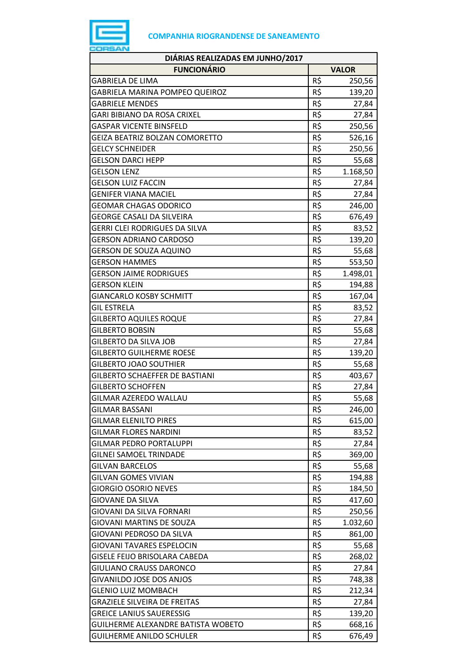

| DIÁRIAS REALIZADAS EM JUNHO/2017     |     |              |  |  |
|--------------------------------------|-----|--------------|--|--|
| <b>FUNCIONÁRIO</b>                   |     | <b>VALOR</b> |  |  |
| <b>GABRIELA DE LIMA</b>              | R\$ | 250,56       |  |  |
| GABRIELA MARINA POMPEO QUEIROZ       | R\$ | 139,20       |  |  |
| <b>GABRIELE MENDES</b>               | R\$ | 27,84        |  |  |
| GARI BIBIANO DA ROSA CRIXEL          | R\$ | 27,84        |  |  |
| <b>GASPAR VICENTE BINSFELD</b>       | R\$ | 250,56       |  |  |
| GEIZA BEATRIZ BOLZAN COMORETTO       | R\$ | 526,16       |  |  |
| <b>GELCY SCHNEIDER</b>               | R\$ | 250,56       |  |  |
| <b>GELSON DARCI HEPP</b>             | R\$ | 55,68        |  |  |
| <b>GELSON LENZ</b>                   | R\$ | 1.168,50     |  |  |
| <b>GELSON LUIZ FACCIN</b>            | R\$ | 27,84        |  |  |
| <b>GENIFER VIANA MACIEL</b>          | R\$ | 27,84        |  |  |
| <b>GEOMAR CHAGAS ODORICO</b>         | R\$ | 246,00       |  |  |
| <b>GEORGE CASALI DA SILVEIRA</b>     | R\$ | 676,49       |  |  |
| <b>GERRI CLEI RODRIGUES DA SILVA</b> | R\$ | 83,52        |  |  |
| <b>GERSON ADRIANO CARDOSO</b>        | R\$ | 139,20       |  |  |
| <b>GERSON DE SOUZA AQUINO</b>        | R\$ | 55,68        |  |  |
| <b>GERSON HAMMES</b>                 | R\$ | 553,50       |  |  |
| <b>GERSON JAIME RODRIGUES</b>        | R\$ | 1.498,01     |  |  |
| <b>GERSON KLEIN</b>                  | R\$ | 194,88       |  |  |
| <b>GIANCARLO KOSBY SCHMITT</b>       | R\$ | 167,04       |  |  |
| <b>GIL ESTRELA</b>                   | R\$ | 83,52        |  |  |
| <b>GILBERTO AQUILES ROQUE</b>        | R\$ | 27,84        |  |  |
| <b>GILBERTO BOBSIN</b>               | R\$ | 55,68        |  |  |
| <b>GILBERTO DA SILVA JOB</b>         | R\$ | 27,84        |  |  |
| <b>GILBERTO GUILHERME ROESE</b>      | R\$ | 139,20       |  |  |
| <b>GILBERTO JOAO SOUTHIER</b>        | R\$ | 55,68        |  |  |
| GILBERTO SCHAEFFER DE BASTIANI       | R\$ | 403,67       |  |  |
| <b>GILBERTO SCHOFFEN</b>             | R\$ | 27,84        |  |  |
| <b>GILMAR AZEREDO WALLAU</b>         | R\$ | 55,68        |  |  |
| <b>GILMAR BASSANI</b>                | R\$ | 246,00       |  |  |
| <b>GILMAR ELENILTO PIRES</b>         | R\$ | 615,00       |  |  |
| <b>GILMAR FLORES NARDINI</b>         | R\$ | 83,52        |  |  |
| <b>GILMAR PEDRO PORTALUPPI</b>       | R\$ | 27,84        |  |  |
| <b>GILNEI SAMOEL TRINDADE</b>        | R\$ | 369,00       |  |  |
| <b>GILVAN BARCELOS</b>               | R\$ | 55,68        |  |  |
| <b>GILVAN GOMES VIVIAN</b>           | R\$ | 194,88       |  |  |
| <b>GIORGIO OSORIO NEVES</b>          | R\$ | 184,50       |  |  |
| <b>GIOVANE DA SILVA</b>              | R\$ | 417,60       |  |  |
| GIOVANI DA SILVA FORNARI             | R\$ | 250,56       |  |  |
| GIOVANI MARTINS DE SOUZA             | R\$ | 1.032,60     |  |  |
| GIOVANI PEDROSO DA SILVA             | R\$ | 861,00       |  |  |
| <b>GIOVANI TAVARES ESPELOCIN</b>     | R\$ | 55,68        |  |  |
| <b>GISELE FEIJO BRISOLARA CABEDA</b> | R\$ | 268,02       |  |  |
| <b>GIULIANO CRAUSS DARONCO</b>       | R\$ | 27,84        |  |  |
| <b>GIVANILDO JOSE DOS ANJOS</b>      | R\$ | 748,38       |  |  |
| <b>GLENIO LUIZ MOMBACH</b>           | R\$ | 212,34       |  |  |
| <b>GRAZIELE SILVEIRA DE FREITAS</b>  | R\$ | 27,84        |  |  |
| <b>GREICE LANIUS SAUERESSIG</b>      | R\$ | 139,20       |  |  |
| GUILHERME ALEXANDRE BATISTA WOBETO   | R\$ | 668,16       |  |  |
| <b>GUILHERME ANILDO SCHULER</b>      | R\$ | 676,49       |  |  |
|                                      |     |              |  |  |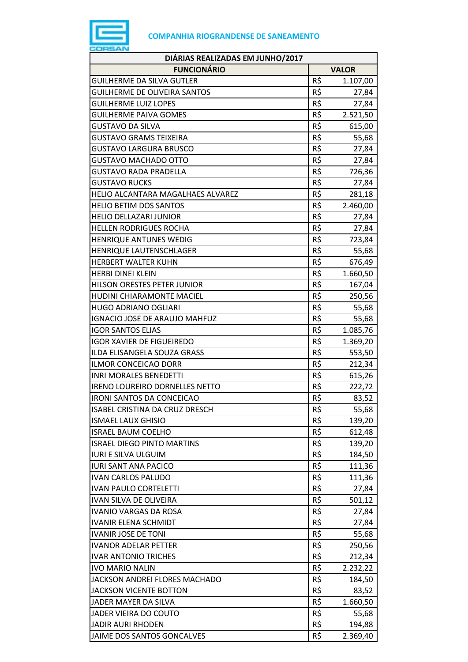

| DIÁRIAS REALIZADAS EM JUNHO/2017      |     |              |
|---------------------------------------|-----|--------------|
| <b>FUNCIONÁRIO</b>                    |     | <b>VALOR</b> |
| <b>GUILHERME DA SILVA GUTLER</b>      | R\$ | 1.107,00     |
| <b>GUILHERME DE OLIVEIRA SANTOS</b>   | R\$ | 27,84        |
| <b>GUILHERME LUIZ LOPES</b>           | R\$ | 27,84        |
| <b>GUILHERME PAIVA GOMES</b>          | R\$ | 2.521,50     |
| GUSTAVO DA SILVA                      | R\$ | 615,00       |
| <b>GUSTAVO GRAMS TEIXEIRA</b>         | R\$ | 55,68        |
| <b>GUSTAVO LARGURA BRUSCO</b>         | R\$ | 27,84        |
| <b>GUSTAVO MACHADO OTTO</b>           | R\$ | 27,84        |
| <b>GUSTAVO RADA PRADELLA</b>          | R\$ | 726,36       |
| <b>GUSTAVO RUCKS</b>                  | R\$ | 27,84        |
| HELIO ALCANTARA MAGALHAES ALVAREZ     | R\$ | 281,18       |
| <b>HELIO BETIM DOS SANTOS</b>         | R\$ | 2.460,00     |
| <b>HELIO DELLAZARI JUNIOR</b>         | R\$ | 27,84        |
| <b>HELLEN RODRIGUES ROCHA</b>         | R\$ | 27,84        |
| <b>HENRIQUE ANTUNES WEDIG</b>         | R\$ | 723,84       |
| HENRIQUE LAUTENSCHLAGER               | R\$ | 55,68        |
| <b>HERBERT WALTER KUHN</b>            | R\$ | 676,49       |
| <b>HERBI DINEI KLEIN</b>              | R\$ | 1.660,50     |
| HILSON ORESTES PETER JUNIOR           | R\$ | 167,04       |
| <b>HUDINI CHIARAMONTE MACIEL</b>      | R\$ | 250,56       |
| <b>HUGO ADRIANO OGLIARI</b>           | R\$ | 55,68        |
| <b>IGNACIO JOSE DE ARAUJO MAHFUZ</b>  | R\$ | 55,68        |
| <b>IGOR SANTOS ELIAS</b>              | R\$ | 1.085,76     |
| <b>IGOR XAVIER DE FIGUEIREDO</b>      | R\$ | 1.369,20     |
| ILDA ELISANGELA SOUZA GRASS           | R\$ | 553,50       |
| <b>ILMOR CONCEICAO DORR</b>           | R\$ | 212,34       |
| <b>INRI MORALES BENEDETTI</b>         | R\$ | 615,26       |
| <b>IRENO LOUREIRO DORNELLES NETTO</b> | R\$ | 222,72       |
| <b>IRONI SANTOS DA CONCEICAO</b>      | R\$ | 83,52        |
| ISABEL CRISTINA DA CRUZ DRESCH        | R\$ | 55,68        |
| <b>ISMAEL LAUX GHISIO</b>             | R\$ | 139,20       |
| <b>ISRAEL BAUM COELHO</b>             | R\$ | 612,48       |
| <b>ISRAEL DIEGO PINTO MARTINS</b>     | R\$ | 139,20       |
| <b>IURI E SILVA ULGUIM</b>            | R\$ | 184,50       |
| <b>IURI SANT ANA PACICO</b>           | R\$ | 111,36       |
| <b>IVAN CARLOS PALUDO</b>             | R\$ | 111,36       |
| <b>IVAN PAULO CORTELETTI</b>          | R\$ | 27,84        |
| IVAN SILVA DE OLIVEIRA                | R\$ | 501,12       |
| <b>IVANIO VARGAS DA ROSA</b>          | R\$ | 27,84        |
| <b>IVANIR ELENA SCHMIDT</b>           | R\$ | 27,84        |
| <b>IVANIR JOSE DE TONI</b>            | R\$ | 55,68        |
| <b>IVANOR ADELAR PETTER</b>           | R\$ | 250,56       |
| <b>IVAR ANTONIO TRICHES</b>           | R\$ | 212,34       |
| <b>IVO MARIO NALIN</b>                | R\$ | 2.232,22     |
| JACKSON ANDREI FLORES MACHADO         | R\$ | 184,50       |
| <b>JACKSON VICENTE BOTTON</b>         | R\$ | 83,52        |
| JADER MAYER DA SILVA                  | R\$ | 1.660,50     |
| JADER VIEIRA DO COUTO                 | R\$ | 55,68        |
| <b>JADIR AURI RHODEN</b>              | R\$ | 194,88       |
| JAIME DOS SANTOS GONCALVES            | R\$ | 2.369,40     |
|                                       |     |              |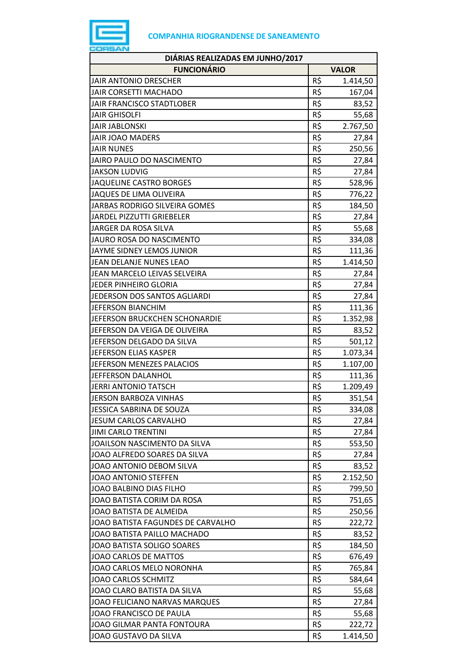

| DIÁRIAS REALIZADAS EM JUNHO/2017  |     |              |
|-----------------------------------|-----|--------------|
| <b>FUNCIONÁRIO</b>                |     | <b>VALOR</b> |
| <b>JAIR ANTONIO DRESCHER</b>      | R\$ | 1.414,50     |
| JAIR CORSETTI MACHADO             | R\$ | 167,04       |
| JAIR FRANCISCO STADTLOBER         | R\$ | 83,52        |
| <b>JAIR GHISOLFI</b>              | R\$ | 55,68        |
| <b>JAIR JABLONSKI</b>             | R\$ | 2.767,50     |
| <b>JAIR JOAO MADERS</b>           | R\$ | 27,84        |
| <b>JAIR NUNES</b>                 | R\$ | 250,56       |
| <b>JAIRO PAULO DO NASCIMENTO</b>  | R\$ | 27,84        |
| <b>JAKSON LUDVIG</b>              | R\$ | 27,84        |
| <b>JAQUELINE CASTRO BORGES</b>    | R\$ | 528,96       |
| JAQUES DE LIMA OLIVEIRA           | R\$ | 776,22       |
| JARBAS RODRIGO SILVEIRA GOMES     | R\$ | 184,50       |
| <b>JARDEL PIZZUTTI GRIEBELER</b>  | R\$ | 27,84        |
| JARGER DA ROSA SILVA              | R\$ | 55,68        |
| JAURO ROSA DO NASCIMENTO          | R\$ | 334,08       |
| <b>JAYME SIDNEY LEMOS JUNIOR</b>  | R\$ | 111,36       |
| JEAN DELANJE NUNES LEAO           | R\$ | 1.414,50     |
| JEAN MARCELO LEIVAS SELVEIRA      | R\$ | 27,84        |
| JEDER PINHEIRO GLORIA             | R\$ | 27,84        |
| JEDERSON DOS SANTOS AGLIARDI      | R\$ | 27,84        |
| <b>JEFERSON BIANCHIM</b>          | R\$ | 111,36       |
| JEFERSON BRUCKCHEN SCHONARDIE     | R\$ | 1.352,98     |
| JEFERSON DA VEIGA DE OLIVEIRA     | R\$ | 83,52        |
| JEFERSON DELGADO DA SILVA         | R\$ | 501,12       |
| <b>JEFERSON ELIAS KASPER</b>      | R\$ | 1.073,34     |
| JEFERSON MENEZES PALACIOS         | R\$ | 1.107,00     |
| JEFFERSON DALANHOL                | R\$ | 111,36       |
| <b>JERRI ANTONIO TATSCH</b>       | R\$ | 1.209,49     |
| JERSON BARBOZA VINHAS             | R\$ | 351,54       |
| JESSICA SABRINA DE SOUZA          | R\$ | 334,08       |
| <b>JESUM CARLOS CARVALHO</b>      | R\$ | 27,84        |
| <b>JIMI CARLO TRENTINI</b>        | R\$ | 27,84        |
| JOAILSON NASCIMENTO DA SILVA      | R\$ | 553,50       |
| JOAO ALFREDO SOARES DA SILVA      | R\$ | 27,84        |
| JOAO ANTONIO DEBOM SILVA          | R\$ | 83,52        |
| JOAO ANTONIO STEFFEN              | R\$ | 2.152,50     |
| JOAO BALBINO DIAS FILHO           | R\$ | 799,50       |
| JOAO BATISTA CORIM DA ROSA        | R\$ | 751,65       |
| JOAO BATISTA DE ALMEIDA           | R\$ | 250,56       |
| JOAO BATISTA FAGUNDES DE CARVALHO | R\$ | 222,72       |
| JOAO BATISTA PAILLO MACHADO       | R\$ | 83,52        |
| JOAO BATISTA SOLIGO SOARES        | R\$ | 184,50       |
| JOAO CARLOS DE MATTOS             | R\$ | 676,49       |
| JOAO CARLOS MELO NORONHA          | R\$ | 765,84       |
| <b>JOAO CARLOS SCHMITZ</b>        | R\$ | 584,64       |
| JOAO CLARO BATISTA DA SILVA       | R\$ | 55,68        |
| JOAO FELICIANO NARVAS MARQUES     | R\$ | 27,84        |
| JOAO FRANCISCO DE PAULA           | R\$ | 55,68        |
| JOAO GILMAR PANTA FONTOURA        | R\$ | 222,72       |
| JOAO GUSTAVO DA SILVA             | R\$ | 1.414,50     |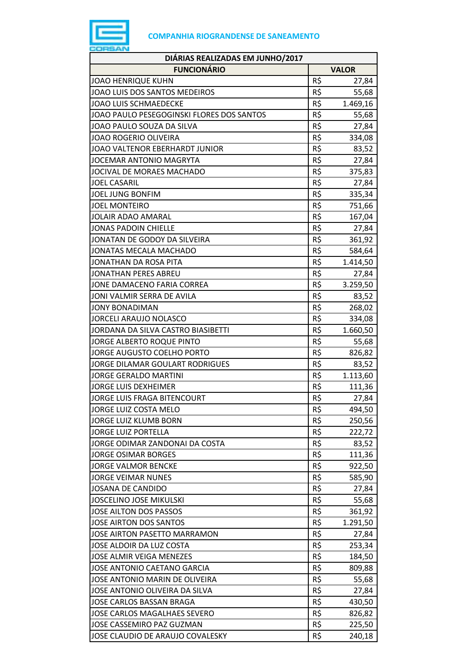

| DIÁRIAS REALIZADAS EM JUNHO/2017          |     |              |
|-------------------------------------------|-----|--------------|
| <b>FUNCIONÁRIO</b>                        |     | <b>VALOR</b> |
| <b>JOAO HENRIQUE KUHN</b>                 | R\$ | 27,84        |
| JOAO LUIS DOS SANTOS MEDEIROS             | R\$ | 55,68        |
| <b>JOAO LUIS SCHMAEDECKE</b>              | R\$ | 1.469,16     |
| JOAO PAULO PESEGOGINSKI FLORES DOS SANTOS | R\$ | 55,68        |
| JOAO PAULO SOUZA DA SILVA                 | R\$ | 27,84        |
| <b>JOAO ROGERIO OLIVEIRA</b>              | R\$ | 334,08       |
| JOAO VALTENOR EBERHARDT JUNIOR            | R\$ | 83,52        |
| JOCEMAR ANTONIO MAGRYTA                   | R\$ | 27,84        |
| JOCIVAL DE MORAES MACHADO                 | R\$ | 375,83       |
| <b>JOEL CASARIL</b>                       | R\$ | 27,84        |
| <b>JOEL JUNG BONFIM</b>                   | R\$ | 335,34       |
| <b>JOEL MONTEIRO</b>                      | R\$ | 751,66       |
| JOLAIR ADAO AMARAL                        | R\$ | 167,04       |
| <b>JONAS PADOIN CHIELLE</b>               | R\$ | 27,84        |
| JONATAN DE GODOY DA SILVEIRA              | R\$ | 361,92       |
| JONATAS MECALA MACHADO                    | R\$ | 584,64       |
| JONATHAN DA ROSA PITA                     | R\$ | 1.414,50     |
| JONATHAN PERES ABREU                      | R\$ | 27,84        |
| JONE DAMACENO FARIA CORREA                | R\$ | 3.259,50     |
| JONI VALMIR SERRA DE AVILA                | R\$ | 83,52        |
| <b>JONY BONADIMAN</b>                     | R\$ | 268,02       |
| <b>JORCELI ARAUJO NOLASCO</b>             | R\$ | 334,08       |
| JORDANA DA SILVA CASTRO BIASIBETTI        | R\$ | 1.660,50     |
| JORGE ALBERTO ROQUE PINTO                 | R\$ | 55,68        |
| <b>JORGE AUGUSTO COELHO PORTO</b>         | R\$ | 826,82       |
| JORGE DILAMAR GOULART RODRIGUES           | R\$ | 83,52        |
| <b>JORGE GERALDO MARTINI</b>              | R\$ | 1.113,60     |
| <b>JORGE LUIS DEXHEIMER</b>               | R\$ | 111,36       |
| JORGE LUIS FRAGA BITENCOURT               | R\$ | 27,84        |
| JORGE LUIZ COSTA MELO                     | R\$ | 494,50       |
| <b>JORGE LUIZ KLUMB BORN</b>              | R\$ | 250,56       |
| <b>JORGE LUIZ PORTELLA</b>                | R\$ | 222,72       |
| JORGE ODIMAR ZANDONAI DA COSTA            | R\$ | 83,52        |
| <b>JORGE OSIMAR BORGES</b>                | R\$ | 111,36       |
| <b>JORGE VALMOR BENCKE</b>                | R\$ | 922,50       |
| <b>JORGE VEIMAR NUNES</b>                 | R\$ | 585,90       |
| <b>JOSANA DE CANDIDO</b>                  | R\$ | 27,84        |
| <b>JOSCELINO JOSE MIKULSKI</b>            | R\$ | 55,68        |
| JOSE AILTON DOS PASSOS                    | R\$ | 361,92       |
| <b>JOSE AIRTON DOS SANTOS</b>             | R\$ | 1.291,50     |
| JOSE AIRTON PASETTO MARRAMON              | R\$ | 27,84        |
| JOSE ALDOIR DA LUZ COSTA                  | R\$ | 253,34       |
| JOSE ALMIR VEIGA MENEZES                  | R\$ | 184,50       |
| JOSE ANTONIO CAETANO GARCIA               | R\$ | 809,88       |
| JOSE ANTONIO MARIN DE OLIVEIRA            | R\$ | 55,68        |
| JOSE ANTONIO OLIVEIRA DA SILVA            | R\$ | 27,84        |
| <b>JOSE CARLOS BASSAN BRAGA</b>           | R\$ | 430,50       |
| JOSE CARLOS MAGALHAES SEVERO              | R\$ | 826,82       |
| JOSE CASSEMIRO PAZ GUZMAN                 | R\$ | 225,50       |
| JOSE CLAUDIO DE ARAUJO COVALESKY          | R\$ | 240,18       |
|                                           |     |              |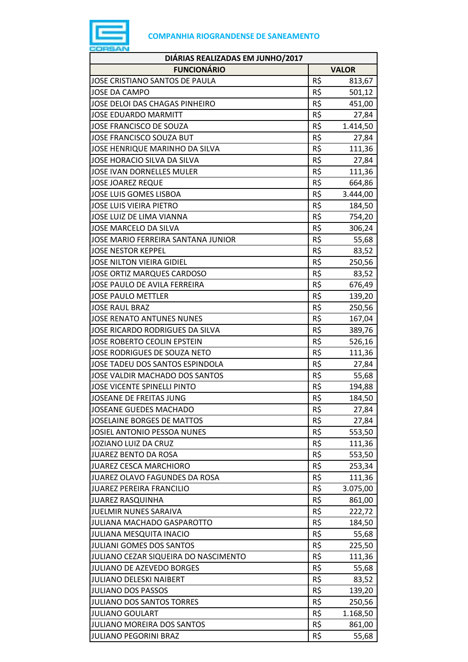

| DIÁRIAS REALIZADAS EM JUNHO/2017     |                 |              |  |
|--------------------------------------|-----------------|--------------|--|
| <b>FUNCIONÁRIO</b>                   |                 | <b>VALOR</b> |  |
| JOSE CRISTIANO SANTOS DE PAULA       | R\$             | 813,67       |  |
| <b>JOSE DA CAMPO</b>                 | $R\overline{S}$ | 501,12       |  |
| JOSE DELOI DAS CHAGAS PINHEIRO       | R\$             | 451,00       |  |
| <b>JOSE EDUARDO MARMITT</b>          | R\$             | 27,84        |  |
| JOSE FRANCISCO DE SOUZA              | R\$             | 1.414,50     |  |
| JOSE FRANCISCO SOUZA BUT             | R\$             | 27,84        |  |
| JOSE HENRIQUE MARINHO DA SILVA       | R\$             | 111,36       |  |
| JOSE HORACIO SILVA DA SILVA          | R\$             | 27,84        |  |
| <b>JOSE IVAN DORNELLES MULER</b>     | R\$             | 111,36       |  |
| <b>JOSE JOAREZ REQUE</b>             | R\$             | 664,86       |  |
| <b>JOSE LUIS GOMES LISBOA</b>        | R\$             | 3.444,00     |  |
| JOSE LUIS VIEIRA PIETRO              | R\$             | 184,50       |  |
| JOSE LUIZ DE LIMA VIANNA             | R\$             | 754,20       |  |
| JOSE MARCELO DA SILVA                | R\$             | 306,24       |  |
| JOSE MARIO FERREIRA SANTANA JUNIOR   | R\$             | 55,68        |  |
| <b>JOSE NESTOR KEPPEL</b>            | R\$             | 83,52        |  |
| JOSE NILTON VIEIRA GIDIEL            | R\$             | 250,56       |  |
| <b>JOSE ORTIZ MARQUES CARDOSO</b>    | R\$             | 83,52        |  |
| JOSE PAULO DE AVILA FERREIRA         | R\$             | 676,49       |  |
| <b>JOSE PAULO METTLER</b>            | R\$             | 139,20       |  |
| <b>JOSE RAUL BRAZ</b>                | R\$             | 250,56       |  |
| <b>JOSE RENATO ANTUNES NUNES</b>     | R\$             | 167,04       |  |
| JOSE RICARDO RODRIGUES DA SILVA      | R\$             | 389,76       |  |
| JOSE ROBERTO CEOLIN EPSTEIN          | R\$             | 526,16       |  |
| JOSE RODRIGUES DE SOUZA NETO         | R\$             | 111,36       |  |
| JOSE TADEU DOS SANTOS ESPINDOLA      | R\$             | 27,84        |  |
| JOSE VALDIR MACHADO DOS SANTOS       | R\$             | 55,68        |  |
| <b>JOSE VICENTE SPINELLI PINTO</b>   | R\$             | 194,88       |  |
| JOSEANE DE FREITAS JUNG              | R\$             | 184,50       |  |
| <b>JOSEANE GUEDES MACHADO</b>        | R\$             | 27,84        |  |
| <b>JOSELAINE BORGES DE MATTOS</b>    | R\$             | 27,84        |  |
| JOSIEL ANTONIO PESSOA NUNES          | R\$             | 553,50       |  |
| JOZIANO LUIZ DA CRUZ                 | R\$             | 111,36       |  |
| JUAREZ BENTO DA ROSA                 | R\$             | 553,50       |  |
| JUAREZ CESCA MARCHIORO               | R\$             | 253,34       |  |
| JUAREZ OLAVO FAGUNDES DA ROSA        | R\$             | 111,36       |  |
| <b>JUAREZ PEREIRA FRANCILIO</b>      | R\$             | 3.075,00     |  |
| <b>JUAREZ RASQUINHA</b>              | R\$             | 861,00       |  |
| <b>JUELMIR NUNES SARAIVA</b>         | R\$             | 222,72       |  |
| JULIANA MACHADO GASPAROTTO           | R\$             | 184,50       |  |
| JULIANA MESQUITA INACIO              | R\$             | 55,68        |  |
| <b>JULIANI GOMES DOS SANTOS</b>      | R\$             | 225,50       |  |
| JULIANO CEZAR SIQUEIRA DO NASCIMENTO | R\$             | 111,36       |  |
| <b>JULIANO DE AZEVEDO BORGES</b>     | R\$             | 55,68        |  |
| <b>JULIANO DELESKI NAIBERT</b>       | R\$             | 83,52        |  |
| <b>JULIANO DOS PASSOS</b>            | R\$             | 139,20       |  |
| <b>JULIANO DOS SANTOS TORRES</b>     | R\$             | 250,56       |  |
| <b>JULIANO GOULART</b>               | R\$             | 1.168,50     |  |
| JULIANO MOREIRA DOS SANTOS           | R\$             | 861,00       |  |
| <b>JULIANO PEGORINI BRAZ</b>         | R\$             | 55,68        |  |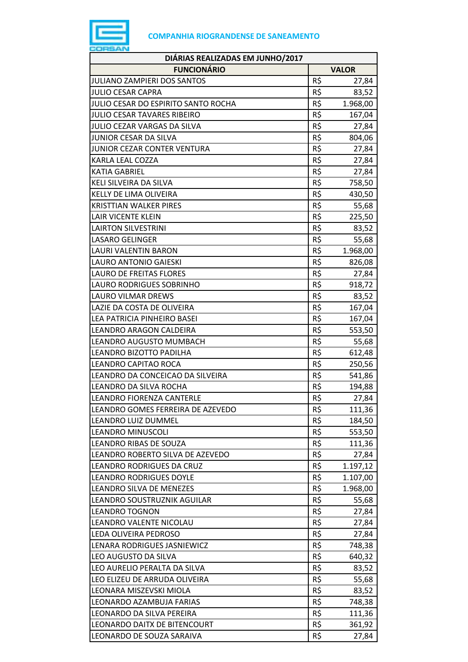

| <b>FUNCIONÁRIO</b><br><b>VALOR</b><br>R\$<br><b>JULIANO ZAMPIERI DOS SANTOS</b><br>27,84<br>R\$<br><b>JULIO CESAR CAPRA</b><br>83,52<br>R\$<br>JULIO CESAR DO ESPIRITO SANTO ROCHA<br>1.968,00<br>JULIO CESAR TAVARES RIBEIRO<br>R\$<br>167,04<br>R\$<br>JULIO CEZAR VARGAS DA SILVA<br>27,84<br>R\$<br><b>JUNIOR CESAR DA SILVA</b><br>804,06<br>R\$<br>JUNIOR CEZAR CONTER VENTURA<br>27,84<br>R\$<br>KARLA LEAL COZZA<br>27,84<br>R\$<br>KATIA GABRIEL<br>27,84<br>R\$<br>KELI SILVEIRA DA SILVA<br>758,50<br>R\$<br>KELLY DE LIMA OLIVEIRA<br>430,50<br>R\$<br><b>KRISTTIAN WALKER PIRES</b><br>55,68<br>R\$<br>LAIR VICENTE KLEIN<br>225,50<br>R\$<br><b>LAIRTON SILVESTRINI</b><br>83,52<br>R\$<br>55,68<br><b>LASARO GELINGER</b><br>R\$<br><b>LAURI VALENTIN BARON</b><br>1.968,00<br>R\$<br>LAURO ANTONIO GAIESKI<br>826,08<br>R\$<br><b>LAURO DE FREITAS FLORES</b><br>27,84<br>R\$<br>LAURO RODRIGUES SOBRINHO<br>918,72<br>R\$<br>83,52<br>LAURO VILMAR DREWS<br>R\$<br>LAZIE DA COSTA DE OLIVEIRA<br>167,04<br>R\$<br>LEA PATRICIA PINHEIRO BASEI<br>167,04<br>R\$<br>LEANDRO ARAGON CALDEIRA<br>553,50<br>R\$<br>LEANDRO AUGUSTO MUMBACH<br>55,68<br>R\$<br>LEANDRO BIZOTTO PADILHA<br>612,48<br>R\$<br>LEANDRO CAPITAO ROCA<br>250,56<br>R\$<br>LEANDRO DA CONCEICAO DA SILVEIRA<br>541,86<br>R\$<br>LEANDRO DA SILVA ROCHA<br>194,88<br>R\$<br>LEANDRO FIORENZA CANTERLE<br>27,84<br>R\$<br>LEANDRO GOMES FERREIRA DE AZEVEDO<br>111,36<br>R\$<br>LEANDRO LUIZ DUMMEL<br>184,50<br>R\$<br><b>LEANDRO MINUSCOLI</b><br>553,50<br>R\$<br>LEANDRO RIBAS DE SOUZA<br>111,36<br>R\$<br>LEANDRO ROBERTO SILVA DE AZEVEDO<br>27,84<br>R\$<br>LEANDRO RODRIGUES DA CRUZ<br>1.197,12<br>R\$<br><b>LEANDRO RODRIGUES DOYLE</b><br>1.107,00<br>R\$<br>LEANDRO SILVA DE MENEZES<br>1.968,00<br>R\$<br>LEANDRO SOUSTRUZNIK AGUILAR<br>55,68<br>R\$<br><b>LEANDRO TOGNON</b><br>27,84<br>R\$<br>LEANDRO VALENTE NICOLAU<br>27,84<br>R\$<br>LEDA OLIVEIRA PEDROSO<br>27,84<br>R\$<br>LENARA RODRIGUES JASNIEWICZ<br>748,38<br>R\$<br>LEO AUGUSTO DA SILVA<br>640,32<br>R\$<br>LEO AURELIO PERALTA DA SILVA<br>83,52<br>R\$<br>LEO ELIZEU DE ARRUDA OLIVEIRA<br>55,68<br>LEONARA MISZEVSKI MIOLA<br>R\$<br>83,52<br>R\$<br>LEONARDO AZAMBUJA FARIAS<br>748,38<br>R\$<br>LEONARDO DA SILVA PEREIRA<br>111,36<br>R\$<br>LEONARDO DAITX DE BITENCOURT<br>361,92<br>R\$<br>LEONARDO DE SOUZA SARAIVA<br>27,84 | DIÁRIAS REALIZADAS EM JUNHO/2017 |  |  |
|-----------------------------------------------------------------------------------------------------------------------------------------------------------------------------------------------------------------------------------------------------------------------------------------------------------------------------------------------------------------------------------------------------------------------------------------------------------------------------------------------------------------------------------------------------------------------------------------------------------------------------------------------------------------------------------------------------------------------------------------------------------------------------------------------------------------------------------------------------------------------------------------------------------------------------------------------------------------------------------------------------------------------------------------------------------------------------------------------------------------------------------------------------------------------------------------------------------------------------------------------------------------------------------------------------------------------------------------------------------------------------------------------------------------------------------------------------------------------------------------------------------------------------------------------------------------------------------------------------------------------------------------------------------------------------------------------------------------------------------------------------------------------------------------------------------------------------------------------------------------------------------------------------------------------------------------------------------------------------------------------------------------------------------------------------------------------------------------------------------------------------------------------------------------------------------------------------------------------------------------------------------------------------------------------------------------------------------------------------------------------------------------------------------|----------------------------------|--|--|
|                                                                                                                                                                                                                                                                                                                                                                                                                                                                                                                                                                                                                                                                                                                                                                                                                                                                                                                                                                                                                                                                                                                                                                                                                                                                                                                                                                                                                                                                                                                                                                                                                                                                                                                                                                                                                                                                                                                                                                                                                                                                                                                                                                                                                                                                                                                                                                                                           |                                  |  |  |
|                                                                                                                                                                                                                                                                                                                                                                                                                                                                                                                                                                                                                                                                                                                                                                                                                                                                                                                                                                                                                                                                                                                                                                                                                                                                                                                                                                                                                                                                                                                                                                                                                                                                                                                                                                                                                                                                                                                                                                                                                                                                                                                                                                                                                                                                                                                                                                                                           |                                  |  |  |
|                                                                                                                                                                                                                                                                                                                                                                                                                                                                                                                                                                                                                                                                                                                                                                                                                                                                                                                                                                                                                                                                                                                                                                                                                                                                                                                                                                                                                                                                                                                                                                                                                                                                                                                                                                                                                                                                                                                                                                                                                                                                                                                                                                                                                                                                                                                                                                                                           |                                  |  |  |
|                                                                                                                                                                                                                                                                                                                                                                                                                                                                                                                                                                                                                                                                                                                                                                                                                                                                                                                                                                                                                                                                                                                                                                                                                                                                                                                                                                                                                                                                                                                                                                                                                                                                                                                                                                                                                                                                                                                                                                                                                                                                                                                                                                                                                                                                                                                                                                                                           |                                  |  |  |
|                                                                                                                                                                                                                                                                                                                                                                                                                                                                                                                                                                                                                                                                                                                                                                                                                                                                                                                                                                                                                                                                                                                                                                                                                                                                                                                                                                                                                                                                                                                                                                                                                                                                                                                                                                                                                                                                                                                                                                                                                                                                                                                                                                                                                                                                                                                                                                                                           |                                  |  |  |
|                                                                                                                                                                                                                                                                                                                                                                                                                                                                                                                                                                                                                                                                                                                                                                                                                                                                                                                                                                                                                                                                                                                                                                                                                                                                                                                                                                                                                                                                                                                                                                                                                                                                                                                                                                                                                                                                                                                                                                                                                                                                                                                                                                                                                                                                                                                                                                                                           |                                  |  |  |
|                                                                                                                                                                                                                                                                                                                                                                                                                                                                                                                                                                                                                                                                                                                                                                                                                                                                                                                                                                                                                                                                                                                                                                                                                                                                                                                                                                                                                                                                                                                                                                                                                                                                                                                                                                                                                                                                                                                                                                                                                                                                                                                                                                                                                                                                                                                                                                                                           |                                  |  |  |
|                                                                                                                                                                                                                                                                                                                                                                                                                                                                                                                                                                                                                                                                                                                                                                                                                                                                                                                                                                                                                                                                                                                                                                                                                                                                                                                                                                                                                                                                                                                                                                                                                                                                                                                                                                                                                                                                                                                                                                                                                                                                                                                                                                                                                                                                                                                                                                                                           |                                  |  |  |
|                                                                                                                                                                                                                                                                                                                                                                                                                                                                                                                                                                                                                                                                                                                                                                                                                                                                                                                                                                                                                                                                                                                                                                                                                                                                                                                                                                                                                                                                                                                                                                                                                                                                                                                                                                                                                                                                                                                                                                                                                                                                                                                                                                                                                                                                                                                                                                                                           |                                  |  |  |
|                                                                                                                                                                                                                                                                                                                                                                                                                                                                                                                                                                                                                                                                                                                                                                                                                                                                                                                                                                                                                                                                                                                                                                                                                                                                                                                                                                                                                                                                                                                                                                                                                                                                                                                                                                                                                                                                                                                                                                                                                                                                                                                                                                                                                                                                                                                                                                                                           |                                  |  |  |
|                                                                                                                                                                                                                                                                                                                                                                                                                                                                                                                                                                                                                                                                                                                                                                                                                                                                                                                                                                                                                                                                                                                                                                                                                                                                                                                                                                                                                                                                                                                                                                                                                                                                                                                                                                                                                                                                                                                                                                                                                                                                                                                                                                                                                                                                                                                                                                                                           |                                  |  |  |
|                                                                                                                                                                                                                                                                                                                                                                                                                                                                                                                                                                                                                                                                                                                                                                                                                                                                                                                                                                                                                                                                                                                                                                                                                                                                                                                                                                                                                                                                                                                                                                                                                                                                                                                                                                                                                                                                                                                                                                                                                                                                                                                                                                                                                                                                                                                                                                                                           |                                  |  |  |
|                                                                                                                                                                                                                                                                                                                                                                                                                                                                                                                                                                                                                                                                                                                                                                                                                                                                                                                                                                                                                                                                                                                                                                                                                                                                                                                                                                                                                                                                                                                                                                                                                                                                                                                                                                                                                                                                                                                                                                                                                                                                                                                                                                                                                                                                                                                                                                                                           |                                  |  |  |
|                                                                                                                                                                                                                                                                                                                                                                                                                                                                                                                                                                                                                                                                                                                                                                                                                                                                                                                                                                                                                                                                                                                                                                                                                                                                                                                                                                                                                                                                                                                                                                                                                                                                                                                                                                                                                                                                                                                                                                                                                                                                                                                                                                                                                                                                                                                                                                                                           |                                  |  |  |
|                                                                                                                                                                                                                                                                                                                                                                                                                                                                                                                                                                                                                                                                                                                                                                                                                                                                                                                                                                                                                                                                                                                                                                                                                                                                                                                                                                                                                                                                                                                                                                                                                                                                                                                                                                                                                                                                                                                                                                                                                                                                                                                                                                                                                                                                                                                                                                                                           |                                  |  |  |
|                                                                                                                                                                                                                                                                                                                                                                                                                                                                                                                                                                                                                                                                                                                                                                                                                                                                                                                                                                                                                                                                                                                                                                                                                                                                                                                                                                                                                                                                                                                                                                                                                                                                                                                                                                                                                                                                                                                                                                                                                                                                                                                                                                                                                                                                                                                                                                                                           |                                  |  |  |
|                                                                                                                                                                                                                                                                                                                                                                                                                                                                                                                                                                                                                                                                                                                                                                                                                                                                                                                                                                                                                                                                                                                                                                                                                                                                                                                                                                                                                                                                                                                                                                                                                                                                                                                                                                                                                                                                                                                                                                                                                                                                                                                                                                                                                                                                                                                                                                                                           |                                  |  |  |
|                                                                                                                                                                                                                                                                                                                                                                                                                                                                                                                                                                                                                                                                                                                                                                                                                                                                                                                                                                                                                                                                                                                                                                                                                                                                                                                                                                                                                                                                                                                                                                                                                                                                                                                                                                                                                                                                                                                                                                                                                                                                                                                                                                                                                                                                                                                                                                                                           |                                  |  |  |
|                                                                                                                                                                                                                                                                                                                                                                                                                                                                                                                                                                                                                                                                                                                                                                                                                                                                                                                                                                                                                                                                                                                                                                                                                                                                                                                                                                                                                                                                                                                                                                                                                                                                                                                                                                                                                                                                                                                                                                                                                                                                                                                                                                                                                                                                                                                                                                                                           |                                  |  |  |
|                                                                                                                                                                                                                                                                                                                                                                                                                                                                                                                                                                                                                                                                                                                                                                                                                                                                                                                                                                                                                                                                                                                                                                                                                                                                                                                                                                                                                                                                                                                                                                                                                                                                                                                                                                                                                                                                                                                                                                                                                                                                                                                                                                                                                                                                                                                                                                                                           |                                  |  |  |
|                                                                                                                                                                                                                                                                                                                                                                                                                                                                                                                                                                                                                                                                                                                                                                                                                                                                                                                                                                                                                                                                                                                                                                                                                                                                                                                                                                                                                                                                                                                                                                                                                                                                                                                                                                                                                                                                                                                                                                                                                                                                                                                                                                                                                                                                                                                                                                                                           |                                  |  |  |
|                                                                                                                                                                                                                                                                                                                                                                                                                                                                                                                                                                                                                                                                                                                                                                                                                                                                                                                                                                                                                                                                                                                                                                                                                                                                                                                                                                                                                                                                                                                                                                                                                                                                                                                                                                                                                                                                                                                                                                                                                                                                                                                                                                                                                                                                                                                                                                                                           |                                  |  |  |
|                                                                                                                                                                                                                                                                                                                                                                                                                                                                                                                                                                                                                                                                                                                                                                                                                                                                                                                                                                                                                                                                                                                                                                                                                                                                                                                                                                                                                                                                                                                                                                                                                                                                                                                                                                                                                                                                                                                                                                                                                                                                                                                                                                                                                                                                                                                                                                                                           |                                  |  |  |
|                                                                                                                                                                                                                                                                                                                                                                                                                                                                                                                                                                                                                                                                                                                                                                                                                                                                                                                                                                                                                                                                                                                                                                                                                                                                                                                                                                                                                                                                                                                                                                                                                                                                                                                                                                                                                                                                                                                                                                                                                                                                                                                                                                                                                                                                                                                                                                                                           |                                  |  |  |
|                                                                                                                                                                                                                                                                                                                                                                                                                                                                                                                                                                                                                                                                                                                                                                                                                                                                                                                                                                                                                                                                                                                                                                                                                                                                                                                                                                                                                                                                                                                                                                                                                                                                                                                                                                                                                                                                                                                                                                                                                                                                                                                                                                                                                                                                                                                                                                                                           |                                  |  |  |
|                                                                                                                                                                                                                                                                                                                                                                                                                                                                                                                                                                                                                                                                                                                                                                                                                                                                                                                                                                                                                                                                                                                                                                                                                                                                                                                                                                                                                                                                                                                                                                                                                                                                                                                                                                                                                                                                                                                                                                                                                                                                                                                                                                                                                                                                                                                                                                                                           |                                  |  |  |
|                                                                                                                                                                                                                                                                                                                                                                                                                                                                                                                                                                                                                                                                                                                                                                                                                                                                                                                                                                                                                                                                                                                                                                                                                                                                                                                                                                                                                                                                                                                                                                                                                                                                                                                                                                                                                                                                                                                                                                                                                                                                                                                                                                                                                                                                                                                                                                                                           |                                  |  |  |
|                                                                                                                                                                                                                                                                                                                                                                                                                                                                                                                                                                                                                                                                                                                                                                                                                                                                                                                                                                                                                                                                                                                                                                                                                                                                                                                                                                                                                                                                                                                                                                                                                                                                                                                                                                                                                                                                                                                                                                                                                                                                                                                                                                                                                                                                                                                                                                                                           |                                  |  |  |
|                                                                                                                                                                                                                                                                                                                                                                                                                                                                                                                                                                                                                                                                                                                                                                                                                                                                                                                                                                                                                                                                                                                                                                                                                                                                                                                                                                                                                                                                                                                                                                                                                                                                                                                                                                                                                                                                                                                                                                                                                                                                                                                                                                                                                                                                                                                                                                                                           |                                  |  |  |
|                                                                                                                                                                                                                                                                                                                                                                                                                                                                                                                                                                                                                                                                                                                                                                                                                                                                                                                                                                                                                                                                                                                                                                                                                                                                                                                                                                                                                                                                                                                                                                                                                                                                                                                                                                                                                                                                                                                                                                                                                                                                                                                                                                                                                                                                                                                                                                                                           |                                  |  |  |
|                                                                                                                                                                                                                                                                                                                                                                                                                                                                                                                                                                                                                                                                                                                                                                                                                                                                                                                                                                                                                                                                                                                                                                                                                                                                                                                                                                                                                                                                                                                                                                                                                                                                                                                                                                                                                                                                                                                                                                                                                                                                                                                                                                                                                                                                                                                                                                                                           |                                  |  |  |
|                                                                                                                                                                                                                                                                                                                                                                                                                                                                                                                                                                                                                                                                                                                                                                                                                                                                                                                                                                                                                                                                                                                                                                                                                                                                                                                                                                                                                                                                                                                                                                                                                                                                                                                                                                                                                                                                                                                                                                                                                                                                                                                                                                                                                                                                                                                                                                                                           |                                  |  |  |
|                                                                                                                                                                                                                                                                                                                                                                                                                                                                                                                                                                                                                                                                                                                                                                                                                                                                                                                                                                                                                                                                                                                                                                                                                                                                                                                                                                                                                                                                                                                                                                                                                                                                                                                                                                                                                                                                                                                                                                                                                                                                                                                                                                                                                                                                                                                                                                                                           |                                  |  |  |
|                                                                                                                                                                                                                                                                                                                                                                                                                                                                                                                                                                                                                                                                                                                                                                                                                                                                                                                                                                                                                                                                                                                                                                                                                                                                                                                                                                                                                                                                                                                                                                                                                                                                                                                                                                                                                                                                                                                                                                                                                                                                                                                                                                                                                                                                                                                                                                                                           |                                  |  |  |
|                                                                                                                                                                                                                                                                                                                                                                                                                                                                                                                                                                                                                                                                                                                                                                                                                                                                                                                                                                                                                                                                                                                                                                                                                                                                                                                                                                                                                                                                                                                                                                                                                                                                                                                                                                                                                                                                                                                                                                                                                                                                                                                                                                                                                                                                                                                                                                                                           |                                  |  |  |
|                                                                                                                                                                                                                                                                                                                                                                                                                                                                                                                                                                                                                                                                                                                                                                                                                                                                                                                                                                                                                                                                                                                                                                                                                                                                                                                                                                                                                                                                                                                                                                                                                                                                                                                                                                                                                                                                                                                                                                                                                                                                                                                                                                                                                                                                                                                                                                                                           |                                  |  |  |
|                                                                                                                                                                                                                                                                                                                                                                                                                                                                                                                                                                                                                                                                                                                                                                                                                                                                                                                                                                                                                                                                                                                                                                                                                                                                                                                                                                                                                                                                                                                                                                                                                                                                                                                                                                                                                                                                                                                                                                                                                                                                                                                                                                                                                                                                                                                                                                                                           |                                  |  |  |
|                                                                                                                                                                                                                                                                                                                                                                                                                                                                                                                                                                                                                                                                                                                                                                                                                                                                                                                                                                                                                                                                                                                                                                                                                                                                                                                                                                                                                                                                                                                                                                                                                                                                                                                                                                                                                                                                                                                                                                                                                                                                                                                                                                                                                                                                                                                                                                                                           |                                  |  |  |
|                                                                                                                                                                                                                                                                                                                                                                                                                                                                                                                                                                                                                                                                                                                                                                                                                                                                                                                                                                                                                                                                                                                                                                                                                                                                                                                                                                                                                                                                                                                                                                                                                                                                                                                                                                                                                                                                                                                                                                                                                                                                                                                                                                                                                                                                                                                                                                                                           |                                  |  |  |
|                                                                                                                                                                                                                                                                                                                                                                                                                                                                                                                                                                                                                                                                                                                                                                                                                                                                                                                                                                                                                                                                                                                                                                                                                                                                                                                                                                                                                                                                                                                                                                                                                                                                                                                                                                                                                                                                                                                                                                                                                                                                                                                                                                                                                                                                                                                                                                                                           |                                  |  |  |
|                                                                                                                                                                                                                                                                                                                                                                                                                                                                                                                                                                                                                                                                                                                                                                                                                                                                                                                                                                                                                                                                                                                                                                                                                                                                                                                                                                                                                                                                                                                                                                                                                                                                                                                                                                                                                                                                                                                                                                                                                                                                                                                                                                                                                                                                                                                                                                                                           |                                  |  |  |
|                                                                                                                                                                                                                                                                                                                                                                                                                                                                                                                                                                                                                                                                                                                                                                                                                                                                                                                                                                                                                                                                                                                                                                                                                                                                                                                                                                                                                                                                                                                                                                                                                                                                                                                                                                                                                                                                                                                                                                                                                                                                                                                                                                                                                                                                                                                                                                                                           |                                  |  |  |
|                                                                                                                                                                                                                                                                                                                                                                                                                                                                                                                                                                                                                                                                                                                                                                                                                                                                                                                                                                                                                                                                                                                                                                                                                                                                                                                                                                                                                                                                                                                                                                                                                                                                                                                                                                                                                                                                                                                                                                                                                                                                                                                                                                                                                                                                                                                                                                                                           |                                  |  |  |
|                                                                                                                                                                                                                                                                                                                                                                                                                                                                                                                                                                                                                                                                                                                                                                                                                                                                                                                                                                                                                                                                                                                                                                                                                                                                                                                                                                                                                                                                                                                                                                                                                                                                                                                                                                                                                                                                                                                                                                                                                                                                                                                                                                                                                                                                                                                                                                                                           |                                  |  |  |
|                                                                                                                                                                                                                                                                                                                                                                                                                                                                                                                                                                                                                                                                                                                                                                                                                                                                                                                                                                                                                                                                                                                                                                                                                                                                                                                                                                                                                                                                                                                                                                                                                                                                                                                                                                                                                                                                                                                                                                                                                                                                                                                                                                                                                                                                                                                                                                                                           |                                  |  |  |
|                                                                                                                                                                                                                                                                                                                                                                                                                                                                                                                                                                                                                                                                                                                                                                                                                                                                                                                                                                                                                                                                                                                                                                                                                                                                                                                                                                                                                                                                                                                                                                                                                                                                                                                                                                                                                                                                                                                                                                                                                                                                                                                                                                                                                                                                                                                                                                                                           |                                  |  |  |
|                                                                                                                                                                                                                                                                                                                                                                                                                                                                                                                                                                                                                                                                                                                                                                                                                                                                                                                                                                                                                                                                                                                                                                                                                                                                                                                                                                                                                                                                                                                                                                                                                                                                                                                                                                                                                                                                                                                                                                                                                                                                                                                                                                                                                                                                                                                                                                                                           |                                  |  |  |
|                                                                                                                                                                                                                                                                                                                                                                                                                                                                                                                                                                                                                                                                                                                                                                                                                                                                                                                                                                                                                                                                                                                                                                                                                                                                                                                                                                                                                                                                                                                                                                                                                                                                                                                                                                                                                                                                                                                                                                                                                                                                                                                                                                                                                                                                                                                                                                                                           |                                  |  |  |
|                                                                                                                                                                                                                                                                                                                                                                                                                                                                                                                                                                                                                                                                                                                                                                                                                                                                                                                                                                                                                                                                                                                                                                                                                                                                                                                                                                                                                                                                                                                                                                                                                                                                                                                                                                                                                                                                                                                                                                                                                                                                                                                                                                                                                                                                                                                                                                                                           |                                  |  |  |
|                                                                                                                                                                                                                                                                                                                                                                                                                                                                                                                                                                                                                                                                                                                                                                                                                                                                                                                                                                                                                                                                                                                                                                                                                                                                                                                                                                                                                                                                                                                                                                                                                                                                                                                                                                                                                                                                                                                                                                                                                                                                                                                                                                                                                                                                                                                                                                                                           |                                  |  |  |
|                                                                                                                                                                                                                                                                                                                                                                                                                                                                                                                                                                                                                                                                                                                                                                                                                                                                                                                                                                                                                                                                                                                                                                                                                                                                                                                                                                                                                                                                                                                                                                                                                                                                                                                                                                                                                                                                                                                                                                                                                                                                                                                                                                                                                                                                                                                                                                                                           |                                  |  |  |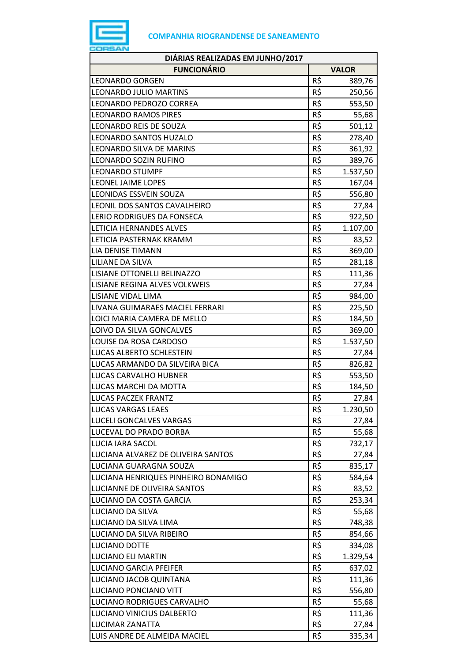

| DIÁRIAS REALIZADAS EM JUNHO/2017    |     |              |
|-------------------------------------|-----|--------------|
| <b>FUNCIONÁRIO</b>                  |     | <b>VALOR</b> |
| <b>LEONARDO GORGEN</b>              | R\$ | 389,76       |
| LEONARDO JULIO MARTINS              | R\$ | 250,56       |
| LEONARDO PEDROZO CORREA             | R\$ | 553,50       |
| <b>LEONARDO RAMOS PIRES</b>         | R\$ | 55,68        |
| LEONARDO REIS DE SOUZA              | R\$ | 501,12       |
| <b>LEONARDO SANTOS HUZALO</b>       | R\$ | 278,40       |
| LEONARDO SILVA DE MARINS            | R\$ | 361,92       |
| LEONARDO SOZIN RUFINO               | R\$ | 389,76       |
| <b>LEONARDO STUMPF</b>              | R\$ | 1.537,50     |
| LEONEL JAIME LOPES                  | R\$ | 167,04       |
| <b>LEONIDAS ESSVEIN SOUZA</b>       | R\$ | 556,80       |
| LEONIL DOS SANTOS CAVALHEIRO        | R\$ | 27,84        |
| LERIO RODRIGUES DA FONSECA          | R\$ | 922,50       |
| LETICIA HERNANDES ALVES             | R\$ | 1.107,00     |
| LETICIA PASTERNAK KRAMM             | R\$ | 83,52        |
| <b>LIA DENISE TIMANN</b>            | R\$ | 369,00       |
| LILIANE DA SILVA                    | R\$ | 281,18       |
| LISIANE OTTONELLI BELINAZZO         | R\$ | 111,36       |
| LISIANE REGINA ALVES VOLKWEIS       | R\$ | 27,84        |
| LISIANE VIDAL LIMA                  | R\$ | 984,00       |
| LIVANA GUIMARAES MACIEL FERRARI     | R\$ | 225,50       |
| LOICI MARIA CAMERA DE MELLO         | R\$ | 184,50       |
| LOIVO DA SILVA GONCALVES            | R\$ | 369,00       |
| LOUISE DA ROSA CARDOSO              | R\$ | 1.537,50     |
| LUCAS ALBERTO SCHLESTEIN            | R\$ | 27,84        |
| LUCAS ARMANDO DA SILVEIRA BICA      | R\$ | 826,82       |
| <b>LUCAS CARVALHO HUBNER</b>        | R\$ | 553,50       |
| LUCAS MARCHI DA MOTTA               | R\$ | 184,50       |
| <b>LUCAS PACZEK FRANTZ</b>          | R\$ | 27,84        |
| LUCAS VARGAS LEAES                  | R\$ | 1.230,50     |
| LUCELI GONCALVES VARGAS             | R\$ | 27,84        |
| LUCEVAL DO PRADO BORBA              | R\$ | 55,68        |
| LUCIA IARA SACOL                    | R\$ | 732,17       |
| LUCIANA ALVAREZ DE OLIVEIRA SANTOS  | R\$ | 27,84        |
| LUCIANA GUARAGNA SOUZA              | R\$ | 835,17       |
| LUCIANA HENRIQUES PINHEIRO BONAMIGO | R\$ | 584,64       |
| LUCIANNE DE OLIVEIRA SANTOS         | R\$ | 83,52        |
| LUCIANO DA COSTA GARCIA             | R\$ | 253,34       |
| LUCIANO DA SILVA                    | R\$ | 55,68        |
| LUCIANO DA SILVA LIMA               | R\$ | 748,38       |
| LUCIANO DA SILVA RIBEIRO            | R\$ | 854,66       |
| LUCIANO DOTTE                       | R\$ | 334,08       |
| LUCIANO ELI MARTIN                  | R\$ | 1.329,54     |
| <b>LUCIANO GARCIA PFEIFER</b>       | R\$ | 637,02       |
| LUCIANO JACOB QUINTANA              | R\$ | 111,36       |
| LUCIANO PONCIANO VITT               | R\$ | 556,80       |
| LUCIANO RODRIGUES CARVALHO          | R\$ | 55,68        |
| LUCIANO VINICIUS DALBERTO           | R\$ | 111,36       |
| <b>LUCIMAR ZANATTA</b>              | R\$ | 27,84        |
| LUIS ANDRE DE ALMEIDA MACIEL        | R\$ | 335,34       |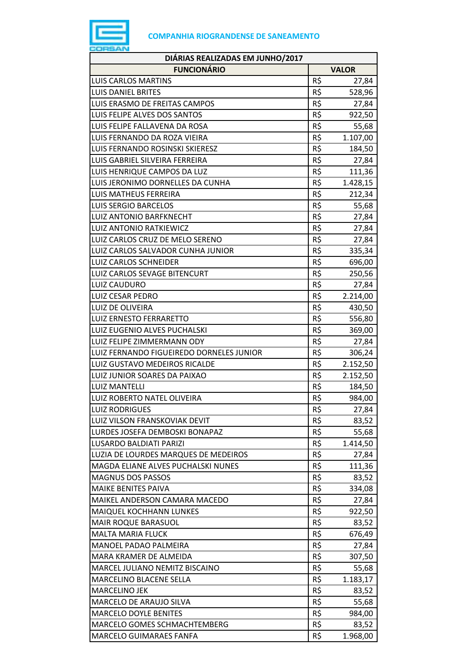

| DIÁRIAS REALIZADAS EM JUNHO/2017         |     |              |
|------------------------------------------|-----|--------------|
| <b>FUNCIONÁRIO</b>                       |     | <b>VALOR</b> |
| <b>LUIS CARLOS MARTINS</b>               | R\$ | 27,84        |
| <b>LUIS DANIEL BRITES</b>                | R\$ | 528,96       |
| LUIS ERASMO DE FREITAS CAMPOS            | R\$ | 27,84        |
| LUIS FELIPE ALVES DOS SANTOS             | R\$ | 922,50       |
| LUIS FELIPE FALLAVENA DA ROSA            | R\$ | 55,68        |
| LUIS FERNANDO DA ROZA VIEIRA             | R\$ | 1.107,00     |
| LUIS FERNANDO ROSINSKI SKIERESZ          | R\$ | 184,50       |
| LUIS GABRIEL SILVEIRA FERREIRA           | R\$ | 27,84        |
| LUIS HENRIQUE CAMPOS DA LUZ              | R\$ | 111,36       |
| LUIS JERONIMO DORNELLES DA CUNHA         | R\$ | 1.428,15     |
| <b>LUIS MATHEUS FERREIRA</b>             | R\$ | 212,34       |
| <b>LUIS SERGIO BARCELOS</b>              | R\$ | 55,68        |
| LUIZ ANTONIO BARFKNECHT                  | R\$ | 27,84        |
| <b>LUIZ ANTONIO RATKIEWICZ</b>           | R\$ | 27,84        |
| LUIZ CARLOS CRUZ DE MELO SERENO          | R\$ | 27,84        |
| LUIZ CARLOS SALVADOR CUNHA JUNIOR        | R\$ | 335,34       |
| <b>LUIZ CARLOS SCHNEIDER</b>             | R\$ | 696,00       |
| LUIZ CARLOS SEVAGE BITENCURT             | R\$ | 250,56       |
| LUIZ CAUDURO                             | R\$ | 27,84        |
| <b>LUIZ CESAR PEDRO</b>                  | R\$ | 2.214,00     |
| LUIZ DE OLIVEIRA                         | R\$ | 430,50       |
| <b>LUIZ ERNESTO FERRARETTO</b>           | R\$ | 556,80       |
| LUIZ EUGENIO ALVES PUCHALSKI             | R\$ | 369,00       |
| LUIZ FELIPE ZIMMERMANN ODY               | R\$ | 27,84        |
| LUIZ FERNANDO FIGUEIREDO DORNELES JUNIOR | R\$ | 306,24       |
| LUIZ GUSTAVO MEDEIROS RICALDE            | R\$ | 2.152,50     |
| LUIZ JUNIOR SOARES DA PAIXAO             | R\$ | 2.152,50     |
| <b>LUIZ MANTELLI</b>                     | R\$ | 184,50       |
| LUIZ ROBERTO NATEL OLIVEIRA              | R\$ | 984,00       |
| <b>LUIZ RODRIGUES</b>                    | R\$ | 27,84        |
| LUIZ VILSON FRANSKOVIAK DEVIT            | R\$ | 83,52        |
| LURDES JOSEFA DEMBOSKI BONAPAZ           | R\$ | 55,68        |
| LUSARDO BALDIATI PARIZI                  | R\$ | 1.414,50     |
| LUZIA DE LOURDES MARQUES DE MEDEIROS     | R\$ | 27,84        |
| MAGDA ELIANE ALVES PUCHALSKI NUNES       | R\$ | 111,36       |
| <b>MAGNUS DOS PASSOS</b>                 | R\$ | 83,52        |
| <b>MAIKE BENITES PAIVA</b>               | R\$ | 334,08       |
| MAIKEL ANDERSON CAMARA MACEDO            | R\$ | 27,84        |
| MAIQUEL KOCHHANN LUNKES                  | R\$ | 922,50       |
| MAIR ROQUE BARASUOL                      | R\$ | 83,52        |
| <b>MALTA MARIA FLUCK</b>                 | R\$ | 676,49       |
| MANOEL PADAO PALMEIRA                    | R\$ | 27,84        |
| MARA KRAMER DE ALMEIDA                   | R\$ | 307,50       |
| MARCEL JULIANO NEMITZ BISCAINO           | R\$ | 55,68        |
| MARCELINO BLACENE SELLA                  | R\$ | 1.183,17     |
| <b>MARCELINO JEK</b>                     | R\$ | 83,52        |
| MARCELO DE ARAUJO SILVA                  | R\$ | 55,68        |
| <b>MARCELO DOYLE BENITES</b>             | R\$ | 984,00       |
| MARCELO GOMES SCHMACHTEMBERG             | R\$ | 83,52        |
| <b>MARCELO GUIMARAES FANFA</b>           | R\$ | 1.968,00     |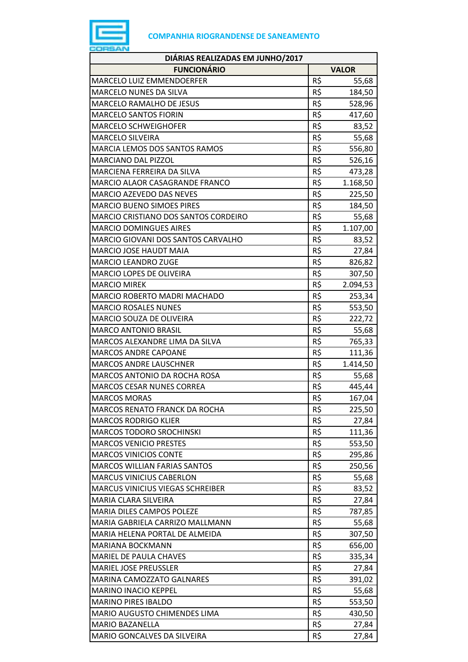

| DIÁRIAS REALIZADAS EM JUNHO/2017      |     |              |
|---------------------------------------|-----|--------------|
| <b>FUNCIONÁRIO</b>                    |     | <b>VALOR</b> |
| <b>MARCELO LUIZ EMMENDOERFER</b>      | R\$ | 55,68        |
| <b>MARCELO NUNES DA SILVA</b>         | R\$ | 184,50       |
| <b>MARCELO RAMALHO DE JESUS</b>       | R\$ | 528,96       |
| <b>MARCELO SANTOS FIORIN</b>          | R\$ | 417,60       |
| <b>MARCELO SCHWEIGHOFER</b>           | R\$ | 83,52        |
| <b>MARCELO SILVEIRA</b>               | R\$ | 55,68        |
| <b>MARCIA LEMOS DOS SANTOS RAMOS</b>  | R\$ | 556,80       |
| <b>MARCIANO DAL PIZZOL</b>            | R\$ | 526,16       |
| MARCIENA FERREIRA DA SILVA            | R\$ | 473,28       |
| <b>MARCIO ALAOR CASAGRANDE FRANCO</b> | R\$ | 1.168,50     |
| <b>MARCIO AZEVEDO DAS NEVES</b>       | R\$ | 225,50       |
| <b>MARCIO BUENO SIMOES PIRES</b>      | R\$ | 184,50       |
| MARCIO CRISTIANO DOS SANTOS CORDEIRO  | R\$ | 55,68        |
| <b>MARCIO DOMINGUES AIRES</b>         | R\$ | 1.107,00     |
| MARCIO GIOVANI DOS SANTOS CARVALHO    | R\$ | 83,52        |
| <b>MARCIO JOSE HAUDT MAIA</b>         | R\$ | 27,84        |
| <b>MARCIO LEANDRO ZUGE</b>            | R\$ | 826,82       |
| MARCIO LOPES DE OLIVEIRA              | R\$ | 307,50       |
| <b>MARCIO MIREK</b>                   | R\$ | 2.094,53     |
| MARCIO ROBERTO MADRI MACHADO          | R\$ | 253,34       |
| <b>MARCIO ROSALES NUNES</b>           | R\$ | 553,50       |
| <b>MARCIO SOUZA DE OLIVEIRA</b>       | R\$ | 222,72       |
| <b>MARCO ANTONIO BRASIL</b>           | R\$ | 55,68        |
| MARCOS ALEXANDRE LIMA DA SILVA        | R\$ | 765,33       |
| <b>MARCOS ANDRE CAPOANE</b>           | R\$ | 111,36       |
| <b>MARCOS ANDRE LAUSCHNER</b>         | R\$ | 1.414,50     |
| MARCOS ANTONIO DA ROCHA ROSA          | R\$ | 55,68        |
| <b>MARCOS CESAR NUNES CORREA</b>      | R\$ | 445,44       |
| <b>MARCOS MORAS</b>                   | R\$ | 167,04       |
| <b>MARCOS RENATO FRANCK DA ROCHA</b>  | R\$ | 225,50       |
| <b>MARCOS RODRIGO KLIER</b>           | R\$ | 27,84        |
| <b>MARCOS TODORO SROCHINSKI</b>       | R\$ | 111,36       |
| <b>MARCOS VENICIO PRESTES</b>         | R\$ | 553,50       |
| <b>MARCOS VINICIOS CONTE</b>          | R\$ | 295,86       |
| <b>MARCOS WILLIAN FARIAS SANTOS</b>   | R\$ | 250,56       |
| <b>MARCUS VINICIUS CABERLON</b>       | R\$ | 55,68        |
| MARCUS VINICIUS VIEGAS SCHREIBER      | R\$ | 83,52        |
| MARIA CLARA SILVEIRA                  | R\$ | 27,84        |
| <b>MARIA DILES CAMPOS POLEZE</b>      | R\$ | 787,85       |
| MARIA GABRIELA CARRIZO MALLMANN       | R\$ | 55,68        |
| MARIA HELENA PORTAL DE ALMEIDA        | R\$ | 307,50       |
| MARIANA BOCKMANN                      | R\$ | 656,00       |
| MARIEL DE PAULA CHAVES                | R\$ | 335,34       |
| <b>MARIEL JOSE PREUSSLER</b>          | R\$ | 27,84        |
| MARINA CAMOZZATO GALNARES             | R\$ | 391,02       |
| <b>MARINO INACIO KEPPEL</b>           | R\$ | 55,68        |
| <b>MARINO PIRES IBALDO</b>            | R\$ | 553,50       |
| MARIO AUGUSTO CHIMENDES LIMA          | R\$ | 430,50       |
| <b>MARIO BAZANELLA</b>                | R\$ | 27,84        |
| MARIO GONCALVES DA SILVEIRA           | R\$ | 27,84        |
|                                       |     |              |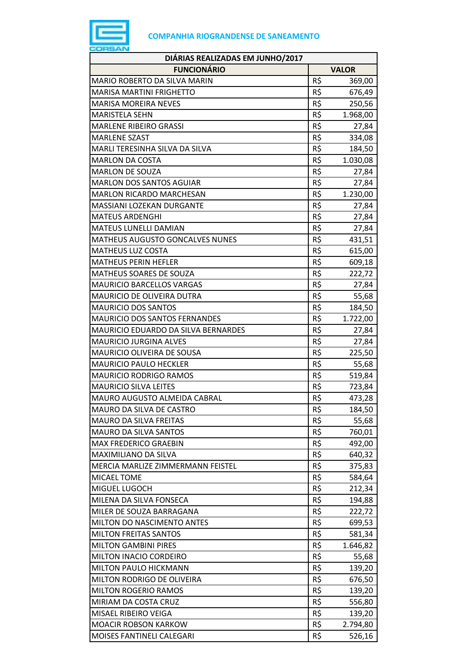

| DIÁRIAS REALIZADAS EM JUNHO/2017    |     |              |  |
|-------------------------------------|-----|--------------|--|
| <b>FUNCIONÁRIO</b>                  |     | <b>VALOR</b> |  |
| MARIO ROBERTO DA SILVA MARIN        | R\$ | 369,00       |  |
| <b>MARISA MARTINI FRIGHETTO</b>     | R\$ | 676,49       |  |
| <b>MARISA MOREIRA NEVES</b>         | R\$ | 250,56       |  |
| <b>MARISTELA SEHN</b>               | R\$ | 1.968,00     |  |
| <b>MARLENE RIBEIRO GRASSI</b>       | R\$ | 27,84        |  |
| <b>MARLENE SZAST</b>                | R\$ | 334,08       |  |
| MARLI TERESINHA SILVA DA SILVA      | R\$ | 184,50       |  |
| <b>MARLON DA COSTA</b>              | R\$ | 1.030,08     |  |
| <b>MARLON DE SOUZA</b>              | R\$ | 27,84        |  |
| MARLON DOS SANTOS AGUIAR            | R\$ | 27,84        |  |
| <b>MARLON RICARDO MARCHESAN</b>     | R\$ | 1.230,00     |  |
| MASSIANI LOZEKAN DURGANTE           | R\$ | 27,84        |  |
| <b>MATEUS ARDENGHI</b>              | R\$ | 27,84        |  |
| MATEUS LUNELLI DAMIAN               | R\$ | 27,84        |  |
| MATHEUS AUGUSTO GONCALVES NUNES     | R\$ | 431,51       |  |
| <b>MATHEUS LUZ COSTA</b>            | R\$ | 615,00       |  |
| <b>MATHEUS PERIN HEFLER</b>         | R\$ | 609,18       |  |
| MATHEUS SOARES DE SOUZA             | R\$ | 222,72       |  |
| <b>MAURICIO BARCELLOS VARGAS</b>    | R\$ | 27,84        |  |
| MAURICIO DE OLIVEIRA DUTRA          | R\$ | 55,68        |  |
| <b>MAURICIO DOS SANTOS</b>          | R\$ | 184,50       |  |
| MAURICIO DOS SANTOS FERNANDES       | R\$ | 1.722,00     |  |
| MAURICIO EDUARDO DA SILVA BERNARDES | R\$ | 27,84        |  |
| <b>MAURICIO JURGINA ALVES</b>       | R\$ | 27,84        |  |
| MAURICIO OLIVEIRA DE SOUSA          | R\$ | 225,50       |  |
| <b>MAURICIO PAULO HECKLER</b>       | R\$ | 55,68        |  |
| <b>MAURICIO RODRIGO RAMOS</b>       | R\$ | 519,84       |  |
| <b>MAURICIO SILVA LEITES</b>        | R\$ | 723,84       |  |
| <b>MAURO AUGUSTO ALMEIDA CABRAL</b> | R\$ | 473,28       |  |
| MAURO DA SILVA DE CASTRO            | R\$ | 184,50       |  |
| <b>MAURO DA SILVA FREITAS</b>       | R\$ | 55,68        |  |
| MAURO DA SILVA SANTOS               | R\$ | 760,01       |  |
| <b>MAX FREDERICO GRAEBIN</b>        | R\$ | 492,00       |  |
| <b>MAXIMILIANO DA SILVA</b>         | R\$ | 640,32       |  |
| MERCIA MARLIZE ZIMMERMANN FEISTEL   | R\$ | 375,83       |  |
| <b>MICAEL TOME</b>                  | R\$ | 584,64       |  |
| MIGUEL LUGOCH                       | R\$ | 212,34       |  |
| MILENA DA SILVA FONSECA             | R\$ | 194,88       |  |
| MILER DE SOUZA BARRAGANA            | R\$ | 222,72       |  |
| MILTON DO NASCIMENTO ANTES          | R\$ | 699,53       |  |
| <b>MILTON FREITAS SANTOS</b>        | R\$ | 581,34       |  |
| <b>MILTON GAMBINI PIRES</b>         | R\$ | 1.646,82     |  |
| MILTON INACIO CORDEIRO              | R\$ | 55,68        |  |
| MILTON PAULO HICKMANN               | R\$ | 139,20       |  |
| MILTON RODRIGO DE OLIVEIRA          | R\$ | 676,50       |  |
| <b>MILTON ROGERIO RAMOS</b>         | R\$ | 139,20       |  |
| MIRIAM DA COSTA CRUZ                | R\$ | 556,80       |  |
| MISAEL RIBEIRO VEIGA                | R\$ | 139,20       |  |
| <b>MOACIR ROBSON KARKOW</b>         | R\$ | 2.794,80     |  |
| MOISES FANTINELI CALEGARI           | R\$ | 526,16       |  |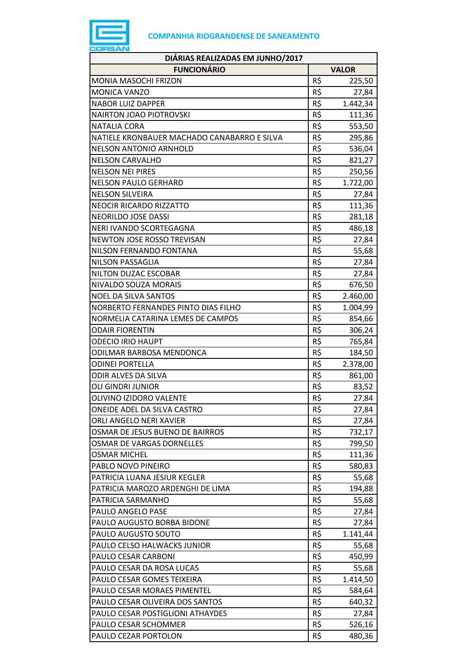

| DIÁRIAS REALIZADAS EM JUNHO/2017            |     |              |  |
|---------------------------------------------|-----|--------------|--|
| <b>FUNCIONÁRIO</b>                          |     | <b>VALOR</b> |  |
| <b>MONIA MASOCHI FRIZON</b>                 | R\$ | 225,50       |  |
| <b>MONICA VANZO</b>                         | R\$ | 27,84        |  |
| <b>NABOR LUIZ DAPPER</b>                    | R\$ | 1.442,34     |  |
| <b>NAIRTON JOAO PIOTROVSKI</b>              | R\$ | 111,36       |  |
| <b>NATALIA CORA</b>                         | R\$ | 553,50       |  |
| NATIELE KRONBAUER MACHADO CANABARRO E SILVA | R\$ | 295,86       |  |
| <b>NELSON ANTONIO ARNHOLD</b>               | R\$ | 536,04       |  |
| <b>NELSON CARVALHO</b>                      | R\$ | 821,27       |  |
| <b>NELSON NEI PIRES</b>                     | R\$ | 250,56       |  |
| <b>NELSON PAULO GERHARD</b>                 | R\$ | 1.722,00     |  |
| <b>NELSON SILVEIRA</b>                      | R\$ | 27,84        |  |
| <b>NEOCIR RICARDO RIZZATTO</b>              | R\$ | 111,36       |  |
| <b>NEORILDO JOSE DASSI</b>                  | R\$ | 281,18       |  |
| NERI IVANDO SCORTEGAGNA                     | R\$ | 486,18       |  |
| NEWTON JOSE ROSSO TREVISAN                  | R\$ | 27,84        |  |
| NILSON FERNANDO FONTANA                     | R\$ | 55,68        |  |
| NILSON PASSAGLIA                            | R\$ | 27,84        |  |
| NILTON DUZAC ESCOBAR                        | R\$ | 27,84        |  |
| NIVALDO SOUZA MORAIS                        | R\$ | 676,50       |  |
| <b>NOEL DA SILVA SANTOS</b>                 | R\$ | 2.460,00     |  |
| NORBERTO FERNANDES PINTO DIAS FILHO         | R\$ | 1.004,99     |  |
| NORMELIA CATARINA LEMES DE CAMPOS           | R\$ | 854,66       |  |
| <b>ODAIR FIORENTIN</b>                      | R\$ | 306,24       |  |
| <b>ODECIO IRIO HAUPT</b>                    | R\$ | 765,84       |  |
| ODILMAR BARBOSA MENDONCA                    | R\$ | 184,50       |  |
| <b>ODINEI PORTELLA</b>                      | R\$ | 2.378,00     |  |
| ODIR ALVES DA SILVA                         | R\$ | 861,00       |  |
| <b>OLI GINDRI JUNIOR</b>                    | R\$ | 83,52        |  |
| OLIVINO IZIDORO VALENTE                     | R\$ | 27,84        |  |
| ONEIDE ADEL DA SILVA CASTRO                 | R\$ | 27,84        |  |
| ORLI ANGELO NERI XAVIER                     | R\$ | 27,84        |  |
| OSMAR DE JESUS BUENO DE BAIRROS             | R\$ | 732,17       |  |
| OSMAR DE VARGAS DORNELLES                   | R\$ | 799,50       |  |
| <b>OSMAR MICHEL</b>                         | R\$ | 111,36       |  |
| PABLO NOVO PINEIRO                          | R\$ | 580,83       |  |
| PATRICIA LUANA JESIUR KEGLER                | R\$ | 55,68        |  |
| PATRICIA MAROZO ARDENGHI DE LIMA            | R\$ | 194,88       |  |
| PATRICIA SARMANHO                           | R\$ | 55,68        |  |
| PAULO ANGELO PASE                           | R\$ | 27,84        |  |
| PAULO AUGUSTO BORBA BIDONE                  | R\$ | 27,84        |  |
| PAULO AUGUSTO SOUTO                         | R\$ | 1.141,44     |  |
| PAULO CELSO HALWACKS JUNIOR                 | R\$ | 55,68        |  |
| PAULO CESAR CARBONI                         | R\$ | 450,99       |  |
| PAULO CESAR DA ROSA LUCAS                   | R\$ | 55,68        |  |
| PAULO CESAR GOMES TEIXEIRA                  | R\$ | 1.414,50     |  |
| PAULO CESAR MORAES PIMENTEL                 | R\$ | 584,64       |  |
| PAULO CESAR OLIVEIRA DOS SANTOS             | R\$ | 640,32       |  |
| PAULO CESAR POSTIGLIONI ATHAYDES            | R\$ | 27,84        |  |
| PAULO CESAR SCHOMMER                        | R\$ | 526,16       |  |
| PAULO CEZAR PORTOLON                        | R\$ | 480,36       |  |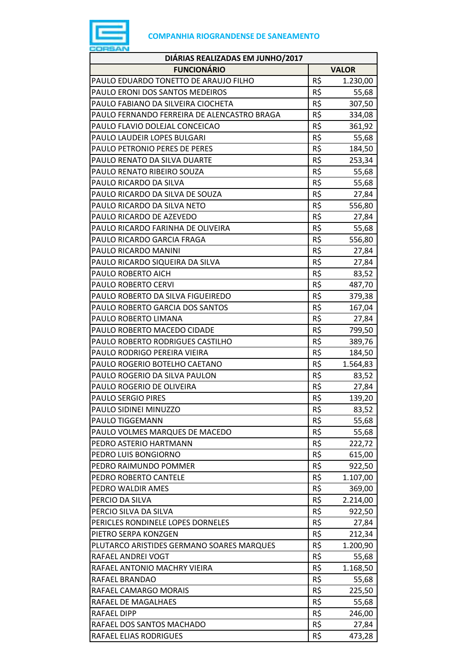

| <b>FUNCIONÁRIO</b><br><b>VALOR</b><br>R\$<br>PAULO EDUARDO TONETTO DE ARAUJO FILHO<br>1.230,00<br>R\$<br>PAULO ERONI DOS SANTOS MEDEIROS<br>55,68<br>R\$<br>PAULO FABIANO DA SILVEIRA CIOCHETA<br>307,50<br>R\$<br>PAULO FERNANDO FERREIRA DE ALENCASTRO BRAGA<br>334,08<br>R\$<br>PAULO FLAVIO DOLEJAL CONCEICAO<br>361,92<br>R\$<br>PAULO LAUDEIR LOPES BULGARI<br>55,68<br>R\$<br>PAULO PETRONIO PERES DE PERES<br>184,50<br>R\$<br>PAULO RENATO DA SILVA DUARTE<br>253,34<br>R\$<br>PAULO RENATO RIBEIRO SOUZA<br>55,68<br>R\$<br>55,68<br>PAULO RICARDO DA SILVA<br>R\$<br>PAULO RICARDO DA SILVA DE SOUZA<br>27,84<br>R\$<br>PAULO RICARDO DA SILVA NETO<br>556,80<br>R\$<br>PAULO RICARDO DE AZEVEDO<br>27,84<br>R\$<br>PAULO RICARDO FARINHA DE OLIVEIRA<br>55,68<br>R\$<br>556,80<br>PAULO RICARDO GARCIA FRAGA<br>R\$<br>PAULO RICARDO MANINI<br>27,84<br>R\$<br>PAULO RICARDO SIQUEIRA DA SILVA<br>27,84<br>R\$<br>PAULO ROBERTO AICH<br>83,52<br>R\$<br>PAULO ROBERTO CERVI<br>487,70<br>R\$<br>PAULO ROBERTO DA SILVA FIGUEIREDO<br>379,38<br>R\$<br>PAULO ROBERTO GARCIA DOS SANTOS<br>167,04<br>R\$<br>PAULO ROBERTO LIMANA<br>27,84<br>R\$<br>PAULO ROBERTO MACEDO CIDADE<br>799,50<br>R\$<br>PAULO ROBERTO RODRIGUES CASTILHO<br>389,76<br>R\$<br>PAULO RODRIGO PEREIRA VIEIRA<br>184,50<br>R\$<br>PAULO ROGERIO BOTELHO CAETANO<br>1.564,83<br>R\$<br>PAULO ROGERIO DA SILVA PAULON<br>83,52<br>R\$<br>PAULO ROGERIO DE OLIVEIRA<br>27,84<br>R\$<br><b>PAULO SERGIO PIRES</b><br>139,20<br>PAULO SIDINEI MINUZZO<br>R\$<br>83,52<br>R\$<br>PAULO TIGGEMANN<br>55,68<br>R\$<br>PAULO VOLMES MARQUES DE MACEDO<br>55,68<br>R\$<br>PEDRO ASTERIO HARTMANN<br>222,72<br>R\$<br>PEDRO LUIS BONGIORNO<br>615,00<br>R\$<br>PEDRO RAIMUNDO POMMER<br>922,50<br>R\$<br>1.107,00<br>PEDRO ROBERTO CANTELE<br>R\$<br>PEDRO WALDIR AMES<br>369,00<br>R\$<br>PERCIO DA SILVA<br>2.214,00<br>R\$<br>PERCIO SILVA DA SILVA<br>922,50<br>R\$<br>PERICLES RONDINELE LOPES DORNELES<br>27,84<br>R\$<br>PIETRO SERPA KONZGEN<br>212,34<br>R\$<br>PLUTARCO ARISTIDES GERMANO SOARES MARQUES<br>1.200,90<br>R\$<br>RAFAEL ANDREI VOGT<br>55,68<br>R\$<br>RAFAEL ANTONIO MACHRY VIEIRA<br>1.168,50<br>R\$<br>RAFAEL BRANDAO<br>55,68<br>R\$<br>RAFAEL CAMARGO MORAIS<br>225,50<br>R\$<br>55,68<br>RAFAEL DE MAGALHAES<br>R\$<br>RAFAEL DIPP<br>246,00<br>R\$<br>RAFAEL DOS SANTOS MACHADO<br>27,84<br>R\$<br>RAFAEL ELIAS RODRIGUES<br>473,28 | DIÁRIAS REALIZADAS EM JUNHO/2017 |  |
|-------------------------------------------------------------------------------------------------------------------------------------------------------------------------------------------------------------------------------------------------------------------------------------------------------------------------------------------------------------------------------------------------------------------------------------------------------------------------------------------------------------------------------------------------------------------------------------------------------------------------------------------------------------------------------------------------------------------------------------------------------------------------------------------------------------------------------------------------------------------------------------------------------------------------------------------------------------------------------------------------------------------------------------------------------------------------------------------------------------------------------------------------------------------------------------------------------------------------------------------------------------------------------------------------------------------------------------------------------------------------------------------------------------------------------------------------------------------------------------------------------------------------------------------------------------------------------------------------------------------------------------------------------------------------------------------------------------------------------------------------------------------------------------------------------------------------------------------------------------------------------------------------------------------------------------------------------------------------------------------------------------------------------------------------------------------------------------------------------------------------------------------------------------------------------------------------------------------------------------------------------------------------------------------------------------------------------------------------------------------------------------------------------------------------------------------|----------------------------------|--|
|                                                                                                                                                                                                                                                                                                                                                                                                                                                                                                                                                                                                                                                                                                                                                                                                                                                                                                                                                                                                                                                                                                                                                                                                                                                                                                                                                                                                                                                                                                                                                                                                                                                                                                                                                                                                                                                                                                                                                                                                                                                                                                                                                                                                                                                                                                                                                                                                                                           |                                  |  |
|                                                                                                                                                                                                                                                                                                                                                                                                                                                                                                                                                                                                                                                                                                                                                                                                                                                                                                                                                                                                                                                                                                                                                                                                                                                                                                                                                                                                                                                                                                                                                                                                                                                                                                                                                                                                                                                                                                                                                                                                                                                                                                                                                                                                                                                                                                                                                                                                                                           |                                  |  |
|                                                                                                                                                                                                                                                                                                                                                                                                                                                                                                                                                                                                                                                                                                                                                                                                                                                                                                                                                                                                                                                                                                                                                                                                                                                                                                                                                                                                                                                                                                                                                                                                                                                                                                                                                                                                                                                                                                                                                                                                                                                                                                                                                                                                                                                                                                                                                                                                                                           |                                  |  |
|                                                                                                                                                                                                                                                                                                                                                                                                                                                                                                                                                                                                                                                                                                                                                                                                                                                                                                                                                                                                                                                                                                                                                                                                                                                                                                                                                                                                                                                                                                                                                                                                                                                                                                                                                                                                                                                                                                                                                                                                                                                                                                                                                                                                                                                                                                                                                                                                                                           |                                  |  |
|                                                                                                                                                                                                                                                                                                                                                                                                                                                                                                                                                                                                                                                                                                                                                                                                                                                                                                                                                                                                                                                                                                                                                                                                                                                                                                                                                                                                                                                                                                                                                                                                                                                                                                                                                                                                                                                                                                                                                                                                                                                                                                                                                                                                                                                                                                                                                                                                                                           |                                  |  |
|                                                                                                                                                                                                                                                                                                                                                                                                                                                                                                                                                                                                                                                                                                                                                                                                                                                                                                                                                                                                                                                                                                                                                                                                                                                                                                                                                                                                                                                                                                                                                                                                                                                                                                                                                                                                                                                                                                                                                                                                                                                                                                                                                                                                                                                                                                                                                                                                                                           |                                  |  |
|                                                                                                                                                                                                                                                                                                                                                                                                                                                                                                                                                                                                                                                                                                                                                                                                                                                                                                                                                                                                                                                                                                                                                                                                                                                                                                                                                                                                                                                                                                                                                                                                                                                                                                                                                                                                                                                                                                                                                                                                                                                                                                                                                                                                                                                                                                                                                                                                                                           |                                  |  |
|                                                                                                                                                                                                                                                                                                                                                                                                                                                                                                                                                                                                                                                                                                                                                                                                                                                                                                                                                                                                                                                                                                                                                                                                                                                                                                                                                                                                                                                                                                                                                                                                                                                                                                                                                                                                                                                                                                                                                                                                                                                                                                                                                                                                                                                                                                                                                                                                                                           |                                  |  |
|                                                                                                                                                                                                                                                                                                                                                                                                                                                                                                                                                                                                                                                                                                                                                                                                                                                                                                                                                                                                                                                                                                                                                                                                                                                                                                                                                                                                                                                                                                                                                                                                                                                                                                                                                                                                                                                                                                                                                                                                                                                                                                                                                                                                                                                                                                                                                                                                                                           |                                  |  |
|                                                                                                                                                                                                                                                                                                                                                                                                                                                                                                                                                                                                                                                                                                                                                                                                                                                                                                                                                                                                                                                                                                                                                                                                                                                                                                                                                                                                                                                                                                                                                                                                                                                                                                                                                                                                                                                                                                                                                                                                                                                                                                                                                                                                                                                                                                                                                                                                                                           |                                  |  |
|                                                                                                                                                                                                                                                                                                                                                                                                                                                                                                                                                                                                                                                                                                                                                                                                                                                                                                                                                                                                                                                                                                                                                                                                                                                                                                                                                                                                                                                                                                                                                                                                                                                                                                                                                                                                                                                                                                                                                                                                                                                                                                                                                                                                                                                                                                                                                                                                                                           |                                  |  |
|                                                                                                                                                                                                                                                                                                                                                                                                                                                                                                                                                                                                                                                                                                                                                                                                                                                                                                                                                                                                                                                                                                                                                                                                                                                                                                                                                                                                                                                                                                                                                                                                                                                                                                                                                                                                                                                                                                                                                                                                                                                                                                                                                                                                                                                                                                                                                                                                                                           |                                  |  |
|                                                                                                                                                                                                                                                                                                                                                                                                                                                                                                                                                                                                                                                                                                                                                                                                                                                                                                                                                                                                                                                                                                                                                                                                                                                                                                                                                                                                                                                                                                                                                                                                                                                                                                                                                                                                                                                                                                                                                                                                                                                                                                                                                                                                                                                                                                                                                                                                                                           |                                  |  |
|                                                                                                                                                                                                                                                                                                                                                                                                                                                                                                                                                                                                                                                                                                                                                                                                                                                                                                                                                                                                                                                                                                                                                                                                                                                                                                                                                                                                                                                                                                                                                                                                                                                                                                                                                                                                                                                                                                                                                                                                                                                                                                                                                                                                                                                                                                                                                                                                                                           |                                  |  |
|                                                                                                                                                                                                                                                                                                                                                                                                                                                                                                                                                                                                                                                                                                                                                                                                                                                                                                                                                                                                                                                                                                                                                                                                                                                                                                                                                                                                                                                                                                                                                                                                                                                                                                                                                                                                                                                                                                                                                                                                                                                                                                                                                                                                                                                                                                                                                                                                                                           |                                  |  |
|                                                                                                                                                                                                                                                                                                                                                                                                                                                                                                                                                                                                                                                                                                                                                                                                                                                                                                                                                                                                                                                                                                                                                                                                                                                                                                                                                                                                                                                                                                                                                                                                                                                                                                                                                                                                                                                                                                                                                                                                                                                                                                                                                                                                                                                                                                                                                                                                                                           |                                  |  |
|                                                                                                                                                                                                                                                                                                                                                                                                                                                                                                                                                                                                                                                                                                                                                                                                                                                                                                                                                                                                                                                                                                                                                                                                                                                                                                                                                                                                                                                                                                                                                                                                                                                                                                                                                                                                                                                                                                                                                                                                                                                                                                                                                                                                                                                                                                                                                                                                                                           |                                  |  |
|                                                                                                                                                                                                                                                                                                                                                                                                                                                                                                                                                                                                                                                                                                                                                                                                                                                                                                                                                                                                                                                                                                                                                                                                                                                                                                                                                                                                                                                                                                                                                                                                                                                                                                                                                                                                                                                                                                                                                                                                                                                                                                                                                                                                                                                                                                                                                                                                                                           |                                  |  |
|                                                                                                                                                                                                                                                                                                                                                                                                                                                                                                                                                                                                                                                                                                                                                                                                                                                                                                                                                                                                                                                                                                                                                                                                                                                                                                                                                                                                                                                                                                                                                                                                                                                                                                                                                                                                                                                                                                                                                                                                                                                                                                                                                                                                                                                                                                                                                                                                                                           |                                  |  |
|                                                                                                                                                                                                                                                                                                                                                                                                                                                                                                                                                                                                                                                                                                                                                                                                                                                                                                                                                                                                                                                                                                                                                                                                                                                                                                                                                                                                                                                                                                                                                                                                                                                                                                                                                                                                                                                                                                                                                                                                                                                                                                                                                                                                                                                                                                                                                                                                                                           |                                  |  |
|                                                                                                                                                                                                                                                                                                                                                                                                                                                                                                                                                                                                                                                                                                                                                                                                                                                                                                                                                                                                                                                                                                                                                                                                                                                                                                                                                                                                                                                                                                                                                                                                                                                                                                                                                                                                                                                                                                                                                                                                                                                                                                                                                                                                                                                                                                                                                                                                                                           |                                  |  |
|                                                                                                                                                                                                                                                                                                                                                                                                                                                                                                                                                                                                                                                                                                                                                                                                                                                                                                                                                                                                                                                                                                                                                                                                                                                                                                                                                                                                                                                                                                                                                                                                                                                                                                                                                                                                                                                                                                                                                                                                                                                                                                                                                                                                                                                                                                                                                                                                                                           |                                  |  |
|                                                                                                                                                                                                                                                                                                                                                                                                                                                                                                                                                                                                                                                                                                                                                                                                                                                                                                                                                                                                                                                                                                                                                                                                                                                                                                                                                                                                                                                                                                                                                                                                                                                                                                                                                                                                                                                                                                                                                                                                                                                                                                                                                                                                                                                                                                                                                                                                                                           |                                  |  |
|                                                                                                                                                                                                                                                                                                                                                                                                                                                                                                                                                                                                                                                                                                                                                                                                                                                                                                                                                                                                                                                                                                                                                                                                                                                                                                                                                                                                                                                                                                                                                                                                                                                                                                                                                                                                                                                                                                                                                                                                                                                                                                                                                                                                                                                                                                                                                                                                                                           |                                  |  |
|                                                                                                                                                                                                                                                                                                                                                                                                                                                                                                                                                                                                                                                                                                                                                                                                                                                                                                                                                                                                                                                                                                                                                                                                                                                                                                                                                                                                                                                                                                                                                                                                                                                                                                                                                                                                                                                                                                                                                                                                                                                                                                                                                                                                                                                                                                                                                                                                                                           |                                  |  |
|                                                                                                                                                                                                                                                                                                                                                                                                                                                                                                                                                                                                                                                                                                                                                                                                                                                                                                                                                                                                                                                                                                                                                                                                                                                                                                                                                                                                                                                                                                                                                                                                                                                                                                                                                                                                                                                                                                                                                                                                                                                                                                                                                                                                                                                                                                                                                                                                                                           |                                  |  |
|                                                                                                                                                                                                                                                                                                                                                                                                                                                                                                                                                                                                                                                                                                                                                                                                                                                                                                                                                                                                                                                                                                                                                                                                                                                                                                                                                                                                                                                                                                                                                                                                                                                                                                                                                                                                                                                                                                                                                                                                                                                                                                                                                                                                                                                                                                                                                                                                                                           |                                  |  |
|                                                                                                                                                                                                                                                                                                                                                                                                                                                                                                                                                                                                                                                                                                                                                                                                                                                                                                                                                                                                                                                                                                                                                                                                                                                                                                                                                                                                                                                                                                                                                                                                                                                                                                                                                                                                                                                                                                                                                                                                                                                                                                                                                                                                                                                                                                                                                                                                                                           |                                  |  |
|                                                                                                                                                                                                                                                                                                                                                                                                                                                                                                                                                                                                                                                                                                                                                                                                                                                                                                                                                                                                                                                                                                                                                                                                                                                                                                                                                                                                                                                                                                                                                                                                                                                                                                                                                                                                                                                                                                                                                                                                                                                                                                                                                                                                                                                                                                                                                                                                                                           |                                  |  |
|                                                                                                                                                                                                                                                                                                                                                                                                                                                                                                                                                                                                                                                                                                                                                                                                                                                                                                                                                                                                                                                                                                                                                                                                                                                                                                                                                                                                                                                                                                                                                                                                                                                                                                                                                                                                                                                                                                                                                                                                                                                                                                                                                                                                                                                                                                                                                                                                                                           |                                  |  |
|                                                                                                                                                                                                                                                                                                                                                                                                                                                                                                                                                                                                                                                                                                                                                                                                                                                                                                                                                                                                                                                                                                                                                                                                                                                                                                                                                                                                                                                                                                                                                                                                                                                                                                                                                                                                                                                                                                                                                                                                                                                                                                                                                                                                                                                                                                                                                                                                                                           |                                  |  |
|                                                                                                                                                                                                                                                                                                                                                                                                                                                                                                                                                                                                                                                                                                                                                                                                                                                                                                                                                                                                                                                                                                                                                                                                                                                                                                                                                                                                                                                                                                                                                                                                                                                                                                                                                                                                                                                                                                                                                                                                                                                                                                                                                                                                                                                                                                                                                                                                                                           |                                  |  |
|                                                                                                                                                                                                                                                                                                                                                                                                                                                                                                                                                                                                                                                                                                                                                                                                                                                                                                                                                                                                                                                                                                                                                                                                                                                                                                                                                                                                                                                                                                                                                                                                                                                                                                                                                                                                                                                                                                                                                                                                                                                                                                                                                                                                                                                                                                                                                                                                                                           |                                  |  |
|                                                                                                                                                                                                                                                                                                                                                                                                                                                                                                                                                                                                                                                                                                                                                                                                                                                                                                                                                                                                                                                                                                                                                                                                                                                                                                                                                                                                                                                                                                                                                                                                                                                                                                                                                                                                                                                                                                                                                                                                                                                                                                                                                                                                                                                                                                                                                                                                                                           |                                  |  |
|                                                                                                                                                                                                                                                                                                                                                                                                                                                                                                                                                                                                                                                                                                                                                                                                                                                                                                                                                                                                                                                                                                                                                                                                                                                                                                                                                                                                                                                                                                                                                                                                                                                                                                                                                                                                                                                                                                                                                                                                                                                                                                                                                                                                                                                                                                                                                                                                                                           |                                  |  |
|                                                                                                                                                                                                                                                                                                                                                                                                                                                                                                                                                                                                                                                                                                                                                                                                                                                                                                                                                                                                                                                                                                                                                                                                                                                                                                                                                                                                                                                                                                                                                                                                                                                                                                                                                                                                                                                                                                                                                                                                                                                                                                                                                                                                                                                                                                                                                                                                                                           |                                  |  |
|                                                                                                                                                                                                                                                                                                                                                                                                                                                                                                                                                                                                                                                                                                                                                                                                                                                                                                                                                                                                                                                                                                                                                                                                                                                                                                                                                                                                                                                                                                                                                                                                                                                                                                                                                                                                                                                                                                                                                                                                                                                                                                                                                                                                                                                                                                                                                                                                                                           |                                  |  |
|                                                                                                                                                                                                                                                                                                                                                                                                                                                                                                                                                                                                                                                                                                                                                                                                                                                                                                                                                                                                                                                                                                                                                                                                                                                                                                                                                                                                                                                                                                                                                                                                                                                                                                                                                                                                                                                                                                                                                                                                                                                                                                                                                                                                                                                                                                                                                                                                                                           |                                  |  |
|                                                                                                                                                                                                                                                                                                                                                                                                                                                                                                                                                                                                                                                                                                                                                                                                                                                                                                                                                                                                                                                                                                                                                                                                                                                                                                                                                                                                                                                                                                                                                                                                                                                                                                                                                                                                                                                                                                                                                                                                                                                                                                                                                                                                                                                                                                                                                                                                                                           |                                  |  |
|                                                                                                                                                                                                                                                                                                                                                                                                                                                                                                                                                                                                                                                                                                                                                                                                                                                                                                                                                                                                                                                                                                                                                                                                                                                                                                                                                                                                                                                                                                                                                                                                                                                                                                                                                                                                                                                                                                                                                                                                                                                                                                                                                                                                                                                                                                                                                                                                                                           |                                  |  |
|                                                                                                                                                                                                                                                                                                                                                                                                                                                                                                                                                                                                                                                                                                                                                                                                                                                                                                                                                                                                                                                                                                                                                                                                                                                                                                                                                                                                                                                                                                                                                                                                                                                                                                                                                                                                                                                                                                                                                                                                                                                                                                                                                                                                                                                                                                                                                                                                                                           |                                  |  |
|                                                                                                                                                                                                                                                                                                                                                                                                                                                                                                                                                                                                                                                                                                                                                                                                                                                                                                                                                                                                                                                                                                                                                                                                                                                                                                                                                                                                                                                                                                                                                                                                                                                                                                                                                                                                                                                                                                                                                                                                                                                                                                                                                                                                                                                                                                                                                                                                                                           |                                  |  |
|                                                                                                                                                                                                                                                                                                                                                                                                                                                                                                                                                                                                                                                                                                                                                                                                                                                                                                                                                                                                                                                                                                                                                                                                                                                                                                                                                                                                                                                                                                                                                                                                                                                                                                                                                                                                                                                                                                                                                                                                                                                                                                                                                                                                                                                                                                                                                                                                                                           |                                  |  |
|                                                                                                                                                                                                                                                                                                                                                                                                                                                                                                                                                                                                                                                                                                                                                                                                                                                                                                                                                                                                                                                                                                                                                                                                                                                                                                                                                                                                                                                                                                                                                                                                                                                                                                                                                                                                                                                                                                                                                                                                                                                                                                                                                                                                                                                                                                                                                                                                                                           |                                  |  |
|                                                                                                                                                                                                                                                                                                                                                                                                                                                                                                                                                                                                                                                                                                                                                                                                                                                                                                                                                                                                                                                                                                                                                                                                                                                                                                                                                                                                                                                                                                                                                                                                                                                                                                                                                                                                                                                                                                                                                                                                                                                                                                                                                                                                                                                                                                                                                                                                                                           |                                  |  |
|                                                                                                                                                                                                                                                                                                                                                                                                                                                                                                                                                                                                                                                                                                                                                                                                                                                                                                                                                                                                                                                                                                                                                                                                                                                                                                                                                                                                                                                                                                                                                                                                                                                                                                                                                                                                                                                                                                                                                                                                                                                                                                                                                                                                                                                                                                                                                                                                                                           |                                  |  |
|                                                                                                                                                                                                                                                                                                                                                                                                                                                                                                                                                                                                                                                                                                                                                                                                                                                                                                                                                                                                                                                                                                                                                                                                                                                                                                                                                                                                                                                                                                                                                                                                                                                                                                                                                                                                                                                                                                                                                                                                                                                                                                                                                                                                                                                                                                                                                                                                                                           |                                  |  |
|                                                                                                                                                                                                                                                                                                                                                                                                                                                                                                                                                                                                                                                                                                                                                                                                                                                                                                                                                                                                                                                                                                                                                                                                                                                                                                                                                                                                                                                                                                                                                                                                                                                                                                                                                                                                                                                                                                                                                                                                                                                                                                                                                                                                                                                                                                                                                                                                                                           |                                  |  |
|                                                                                                                                                                                                                                                                                                                                                                                                                                                                                                                                                                                                                                                                                                                                                                                                                                                                                                                                                                                                                                                                                                                                                                                                                                                                                                                                                                                                                                                                                                                                                                                                                                                                                                                                                                                                                                                                                                                                                                                                                                                                                                                                                                                                                                                                                                                                                                                                                                           |                                  |  |
|                                                                                                                                                                                                                                                                                                                                                                                                                                                                                                                                                                                                                                                                                                                                                                                                                                                                                                                                                                                                                                                                                                                                                                                                                                                                                                                                                                                                                                                                                                                                                                                                                                                                                                                                                                                                                                                                                                                                                                                                                                                                                                                                                                                                                                                                                                                                                                                                                                           |                                  |  |
|                                                                                                                                                                                                                                                                                                                                                                                                                                                                                                                                                                                                                                                                                                                                                                                                                                                                                                                                                                                                                                                                                                                                                                                                                                                                                                                                                                                                                                                                                                                                                                                                                                                                                                                                                                                                                                                                                                                                                                                                                                                                                                                                                                                                                                                                                                                                                                                                                                           |                                  |  |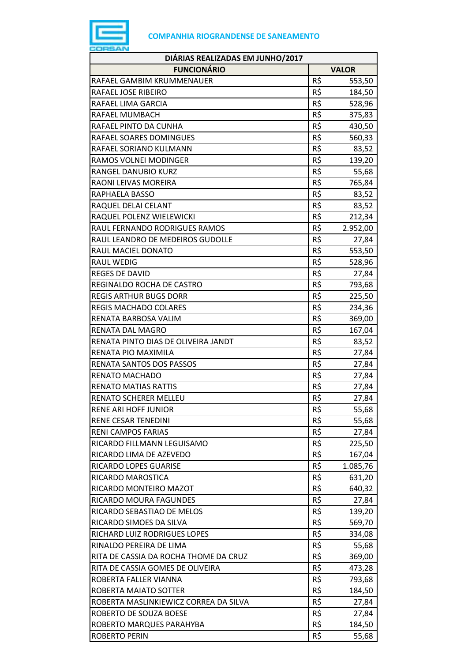

| DIÁRIAS REALIZADAS EM JUNHO/2017      |     |              |  |
|---------------------------------------|-----|--------------|--|
| <b>FUNCIONÁRIO</b>                    |     | <b>VALOR</b> |  |
| RAFAEL GAMBIM KRUMMENAUER             | R\$ | 553,50       |  |
| RAFAEL JOSE RIBEIRO                   | R\$ | 184,50       |  |
| RAFAEL LIMA GARCIA                    | R\$ | 528,96       |  |
| RAFAEL MUMBACH                        | R\$ | 375,83       |  |
| RAFAEL PINTO DA CUNHA                 | R\$ | 430,50       |  |
| RAFAEL SOARES DOMINGUES               | R\$ | 560,33       |  |
| RAFAEL SORIANO KULMANN                | R\$ | 83,52        |  |
| RAMOS VOLNEI MODINGER                 | R\$ | 139,20       |  |
| RANGEL DANUBIO KURZ                   | R\$ | 55,68        |  |
| RAONI LEIVAS MOREIRA                  | R\$ | 765,84       |  |
| RAPHAELA BASSO                        | R\$ | 83,52        |  |
| RAQUEL DELAI CELANT                   | R\$ | 83,52        |  |
| RAQUEL POLENZ WIELEWICKI              | R\$ | 212,34       |  |
| RAUL FERNANDO RODRIGUES RAMOS         | R\$ | 2.952,00     |  |
| RAUL LEANDRO DE MEDEIROS GUDOLLE      | R\$ | 27,84        |  |
| RAUL MACIEL DONATO                    | R\$ | 553,50       |  |
| RAUL WEDIG                            | R\$ | 528,96       |  |
| <b>REGES DE DAVID</b>                 | R\$ | 27,84        |  |
| REGINALDO ROCHA DE CASTRO             | R\$ | 793,68       |  |
| <b>REGIS ARTHUR BUGS DORR</b>         | R\$ | 225,50       |  |
| <b>REGIS MACHADO COLARES</b>          | R\$ | 234,36       |  |
| RENATA BARBOSA VALIM                  | R\$ | 369,00       |  |
| RENATA DAL MAGRO                      | R\$ | 167,04       |  |
| RENATA PINTO DIAS DE OLIVEIRA JANDT   | R\$ | 83,52        |  |
| RENATA PIO MAXIMILA                   | R\$ | 27,84        |  |
| RENATA SANTOS DOS PASSOS              | R\$ | 27,84        |  |
| <b>RENATO MACHADO</b>                 | R\$ | 27,84        |  |
| <b>RENATO MATIAS RATTIS</b>           | R\$ | 27,84        |  |
| <b>RENATO SCHERER MELLEU</b>          | R\$ | 27,84        |  |
| RENE ARI HOFF JUNIOR                  | R\$ | 55,68        |  |
| RENE CESAR TENEDINI                   | R\$ | 55,68        |  |
| RENI CAMPOS FARIAS                    | R\$ | 27,84        |  |
| RICARDO FILLMANN LEGUISAMO            | R\$ | 225,50       |  |
| RICARDO LIMA DE AZEVEDO               | R\$ | 167,04       |  |
| RICARDO LOPES GUARISE                 | R\$ | 1.085,76     |  |
| RICARDO MAROSTICA                     | R\$ | 631,20       |  |
| RICARDO MONTEIRO MAZOT                | R\$ | 640,32       |  |
| RICARDO MOURA FAGUNDES                | R\$ | 27,84        |  |
| RICARDO SEBASTIAO DE MELOS            | R\$ | 139,20       |  |
| RICARDO SIMOES DA SILVA               | R\$ | 569,70       |  |
| RICHARD LUIZ RODRIGUES LOPES          | R\$ | 334,08       |  |
| RINALDO PEREIRA DE LIMA               | R\$ | 55,68        |  |
| RITA DE CASSIA DA ROCHA THOME DA CRUZ | R\$ | 369,00       |  |
| RITA DE CASSIA GOMES DE OLIVEIRA      | R\$ | 473,28       |  |
| ROBERTA FALLER VIANNA                 | R\$ | 793,68       |  |
| ROBERTA MAIATO SOTTER                 | R\$ | 184,50       |  |
| ROBERTA MASLINKIEWICZ CORREA DA SILVA | R\$ | 27,84        |  |
| ROBERTO DE SOUZA BOESE                | R\$ | 27,84        |  |
| ROBERTO MARQUES PARAHYBA              | R\$ | 184,50       |  |
| ROBERTO PERIN                         | R\$ | 55,68        |  |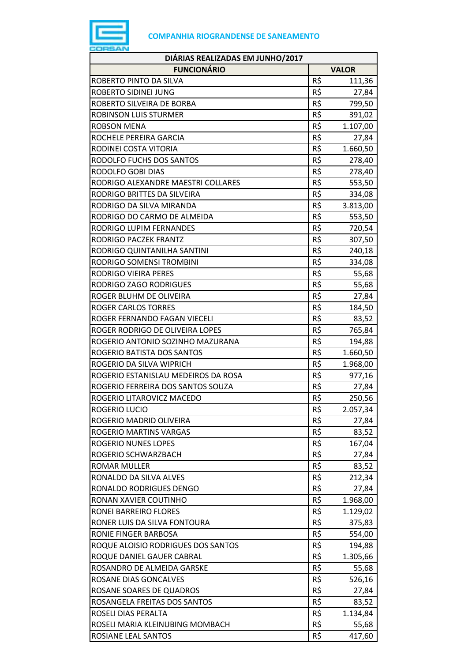

| DIÁRIAS REALIZADAS EM JUNHO/2017    |     |              |
|-------------------------------------|-----|--------------|
| <b>FUNCIONÁRIO</b>                  |     | <b>VALOR</b> |
| ROBERTO PINTO DA SILVA              | R\$ | 111,36       |
| ROBERTO SIDINEI JUNG                | R\$ | 27,84        |
| ROBERTO SILVEIRA DE BORBA           | R\$ | 799,50       |
| ROBINSON LUIS STURMER               | R\$ | 391,02       |
| ROBSON MENA                         | R\$ | 1.107,00     |
| ROCHELE PEREIRA GARCIA              | R\$ | 27,84        |
| RODINEI COSTA VITORIA               | R\$ | 1.660,50     |
| RODOLFO FUCHS DOS SANTOS            | R\$ | 278,40       |
| RODOLFO GOBI DIAS                   | R\$ | 278,40       |
| RODRIGO ALEXANDRE MAESTRI COLLARES  | R\$ | 553,50       |
| RODRIGO BRITTES DA SILVEIRA         | R\$ | 334,08       |
| RODRIGO DA SILVA MIRANDA            | R\$ | 3.813,00     |
| RODRIGO DO CARMO DE ALMEIDA         | R\$ | 553,50       |
| RODRIGO LUPIM FERNANDES             | R\$ | 720,54       |
| RODRIGO PACZEK FRANTZ               | R\$ | 307,50       |
| RODRIGO QUINTANILHA SANTINI         | R\$ | 240,18       |
| RODRIGO SOMENSI TROMBINI            | R\$ | 334,08       |
| RODRIGO VIEIRA PERES                | R\$ | 55,68        |
| RODRIGO ZAGO RODRIGUES              | R\$ | 55,68        |
| ROGER BLUHM DE OLIVEIRA             | R\$ | 27,84        |
| <b>ROGER CARLOS TORRES</b>          | R\$ | 184,50       |
| ROGER FERNANDO FAGAN VIECELI        | R\$ | 83,52        |
| ROGER RODRIGO DE OLIVEIRA LOPES     | R\$ | 765,84       |
| ROGERIO ANTONIO SOZINHO MAZURANA    | R\$ | 194,88       |
| ROGERIO BATISTA DOS SANTOS          | R\$ | 1.660,50     |
| ROGERIO DA SILVA WIPRICH            | R\$ | 1.968,00     |
| ROGERIO ESTANISLAU MEDEIROS DA ROSA | R\$ | 977,16       |
| ROGERIO FERREIRA DOS SANTOS SOUZA   | R\$ | 27,84        |
| ROGERIO LITAROVICZ MACEDO           | R\$ | 250,56       |
| ROGERIO LUCIO                       | R\$ | 2.057,34     |
| ROGERIO MADRID OLIVEIRA             | R\$ | 27,84        |
| ROGERIO MARTINS VARGAS              | R\$ | 83,52        |
| ROGERIO NUNES LOPES                 | R\$ | 167,04       |
| ROGERIO SCHWARZBACH                 | R\$ | 27,84        |
| ROMAR MULLER                        | R\$ | 83,52        |
| RONALDO DA SILVA ALVES              | R\$ | 212,34       |
| RONALDO RODRIGUES DENGO             | R\$ | 27,84        |
| RONAN XAVIER COUTINHO               | R\$ | 1.968,00     |
| RONEI BARREIRO FLORES               | R\$ | 1.129,02     |
| RONER LUIS DA SILVA FONTOURA        | R\$ | 375,83       |
| RONIE FINGER BARBOSA                | R\$ | 554,00       |
| ROQUE ALOISIO RODRIGUES DOS SANTOS  | R\$ | 194,88       |
| ROQUE DANIEL GAUER CABRAL           | R\$ | 1.305,66     |
| ROSANDRO DE ALMEIDA GARSKE          | R\$ | 55,68        |
| ROSANE DIAS GONCALVES               | R\$ | 526,16       |
| ROSANE SOARES DE QUADROS            | R\$ | 27,84        |
| ROSANGELA FREITAS DOS SANTOS        | R\$ | 83,52        |
| ROSELI DIAS PERALTA                 | R\$ | 1.134,84     |
| ROSELI MARIA KLEINUBING MOMBACH     | R\$ | 55,68        |
| ROSIANE LEAL SANTOS                 | R\$ | 417,60       |
|                                     |     |              |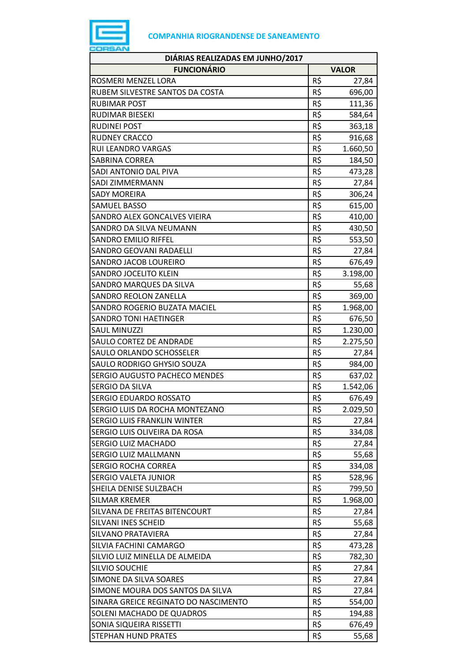

| DIÁRIAS REALIZADAS EM JUNHO/2017     |                 |              |
|--------------------------------------|-----------------|--------------|
| <b>FUNCIONÁRIO</b>                   |                 | <b>VALOR</b> |
| ROSMERI MENZEL LORA                  | R\$             | 27,84        |
| RUBEM SILVESTRE SANTOS DA COSTA      | R\$             | 696,00       |
| <b>RUBIMAR POST</b>                  | R\$             | 111,36       |
| RUDIMAR BIESEKI                      | R\$             | 584,64       |
| <b>RUDINEI POST</b>                  | R\$             | 363,18       |
| <b>RUDNEY CRACCO</b>                 | R\$             | 916,68       |
| <b>RUI LEANDRO VARGAS</b>            | R\$             | 1.660,50     |
| SABRINA CORREA                       | R\$             | 184,50       |
| SADI ANTONIO DAL PIVA                | R\$             | 473,28       |
| <b>SADI ZIMMERMANN</b>               | R\$             | 27,84        |
| SADY MOREIRA                         | R\$             | 306,24       |
| <b>SAMUEL BASSO</b>                  | R\$             | 615,00       |
| SANDRO ALEX GONCALVES VIEIRA         | R\$             | 410,00       |
| SANDRO DA SILVA NEUMANN              | R\$             | 430,50       |
| <b>SANDRO EMILIO RIFFEL</b>          | R\$             | 553,50       |
| SANDRO GEOVANI RADAELLI              | R\$             | 27,84        |
| SANDRO JACOB LOUREIRO                | R\$             | 676,49       |
| <b>SANDRO JOCELITO KLEIN</b>         | R\$             | 3.198,00     |
| SANDRO MARQUES DA SILVA              | R\$             | 55,68        |
| <b>SANDRO REOLON ZANELLA</b>         | R\$             | 369,00       |
| SANDRO ROGERIO BUZATA MACIEL         | R\$             | 1.968,00     |
| <b>SANDRO TONI HAETINGER</b>         | R\$             | 676,50       |
| <b>SAUL MINUZZI</b>                  | R\$             | 1.230,00     |
| SAULO CORTEZ DE ANDRADE              | R\$             | 2.275,50     |
| SAULO ORLANDO SCHOSSELER             | R\$             | 27,84        |
| SAULO RODRIGO GHYSIO SOUZA           | R\$             | 984,00       |
| SERGIO AUGUSTO PACHECO MENDES        | R\$             | 637,02       |
| SERGIO DA SILVA                      | R\$             | 1.542,06     |
| <b>SERGIO EDUARDO ROSSATO</b>        | R\$             | 676,49       |
| SERGIO LUIS DA ROCHA MONTEZANO       | R\$             | 2.029,50     |
| SERGIO LUIS FRANKLIN WINTER          | R\$             | 27,84        |
| SERGIO LUIS OLIVEIRA DA ROSA         | R\$             | 334,08       |
| SERGIO LUIZ MACHADO                  | R\$             | 27,84        |
| SERGIO LUIZ MALLMANN                 | R\$             | 55,68        |
| <b>SERGIO ROCHA CORREA</b>           | R\$             | 334,08       |
| SERGIO VALETA JUNIOR                 | R\$             | 528,96       |
| SHEILA DENISE SULZBACH               | R\$             | 799,50       |
| <b>SILMAR KREMER</b>                 | R\$             | 1.968,00     |
| SILVANA DE FREITAS BITENCOURT        | R\$             | 27,84        |
| SILVANI INES SCHEID                  | R\$             | 55,68        |
| SILVANO PRATAVIERA                   | R\$             | 27,84        |
| SILVIA FACHINI CAMARGO               | R\$             | 473,28       |
| SILVIO LUIZ MINELLA DE ALMEIDA       | R\$             | 782,30       |
| <b>SILVIO SOUCHIE</b>                | R\$             | 27,84        |
| SIMONE DA SILVA SOARES               | R\$             | 27,84        |
| SIMONE MOURA DOS SANTOS DA SILVA     | R\$             | 27,84        |
| SINARA GREICE REGINATO DO NASCIMENTO | $R\overline{S}$ | 554,00       |
| SOLENI MACHADO DE QUADROS            | R\$             | 194,88       |
| SONIA SIQUEIRA RISSETTI              | R\$             | 676,49       |
| <b>STEPHAN HUND PRATES</b>           | R\$             | 55,68        |
|                                      |                 |              |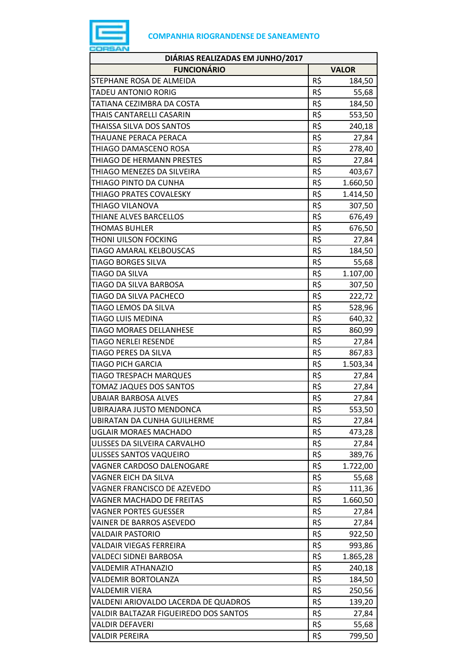

| DIÁRIAS REALIZADAS EM JUNHO/2017      |     |              |
|---------------------------------------|-----|--------------|
| <b>FUNCIONÁRIO</b>                    |     | <b>VALOR</b> |
| STEPHANE ROSA DE ALMEIDA              | R\$ | 184,50       |
| TADEU ANTONIO RORIG                   | R\$ | 55,68        |
| TATIANA CEZIMBRA DA COSTA             | R\$ | 184,50       |
| THAIS CANTARELLI CASARIN              | R\$ | 553,50       |
| THAISSA SILVA DOS SANTOS              | R\$ | 240,18       |
| THAUANE PERACA PERACA                 | R\$ | 27,84        |
| THIAGO DAMASCENO ROSA                 | R\$ | 278,40       |
| THIAGO DE HERMANN PRESTES             | R\$ | 27,84        |
| THIAGO MENEZES DA SILVEIRA            | R\$ | 403,67       |
| THIAGO PINTO DA CUNHA                 | R\$ | 1.660,50     |
| THIAGO PRATES COVALESKY               | R\$ | 1.414,50     |
| THIAGO VILANOVA                       | R\$ | 307,50       |
| THIANE ALVES BARCELLOS                | R\$ | 676,49       |
| THOMAS BUHLER                         | R\$ | 676,50       |
| THONI UILSON FOCKING                  | R\$ | 27,84        |
| TIAGO AMARAL KELBOUSCAS               | R\$ | 184,50       |
| TIAGO BORGES SILVA                    | R\$ | 55,68        |
| TIAGO DA SILVA                        | R\$ | 1.107,00     |
| TIAGO DA SILVA BARBOSA                | R\$ | 307,50       |
| TIAGO DA SILVA PACHECO                | R\$ | 222,72       |
| TIAGO LEMOS DA SILVA                  | R\$ | 528,96       |
| TIAGO LUIS MEDINA                     | R\$ | 640,32       |
| <b>TIAGO MORAES DELLANHESE</b>        | R\$ | 860,99       |
| <b>TIAGO NERLEI RESENDE</b>           | R\$ | 27,84        |
| TIAGO PERES DA SILVA                  | R\$ | 867,83       |
| <b>TIAGO PICH GARCIA</b>              | R\$ | 1.503,34     |
| <b>TIAGO TRESPACH MARQUES</b>         | R\$ | 27,84        |
| TOMAZ JAQUES DOS SANTOS               | R\$ | 27,84        |
| <b>UBAIAR BARBOSA ALVES</b>           | R\$ | 27,84        |
| UBIRAJARA JUSTO MENDONCA              | R\$ | 553,50       |
| <b>UBIRATAN DA CUNHA GUILHERME</b>    | R\$ | 27,84        |
| <b>UGLAIR MORAES MACHADO</b>          | R\$ | 473,28       |
| ULISSES DA SILVEIRA CARVALHO          | R\$ | 27,84        |
| ULISSES SANTOS VAQUEIRO               | R\$ | 389,76       |
| VAGNER CARDOSO DALENOGARE             | R\$ | 1.722,00     |
| VAGNER EICH DA SILVA                  | R\$ | 55,68        |
| VAGNER FRANCISCO DE AZEVEDO           | R\$ | 111,36       |
| VAGNER MACHADO DE FREITAS             | R\$ | 1.660,50     |
| <b>VAGNER PORTES GUESSER</b>          | R\$ | 27,84        |
| VAINER DE BARROS ASEVEDO              | R\$ | 27,84        |
| <b>VALDAIR PASTORIO</b>               | R\$ | 922,50       |
| VALDAIR VIEGAS FERREIRA               | R\$ | 993,86       |
| VALDECI SIDNEI BARBOSA                | R\$ | 1.865,28     |
| VALDEMIR ATHANAZIO                    | R\$ | 240,18       |
| VALDEMIR BORTOLANZA                   | R\$ | 184,50       |
| <b>VALDEMIR VIERA</b>                 | R\$ | 250,56       |
| VALDENI ARIOVALDO LACERDA DE QUADROS  | R\$ | 139,20       |
| VALDIR BALTAZAR FIGUEIREDO DOS SANTOS | R\$ | 27,84        |
| VALDIR DEFAVERI                       | R\$ | 55,68        |
| VALDIR PEREIRA                        | R\$ | 799,50       |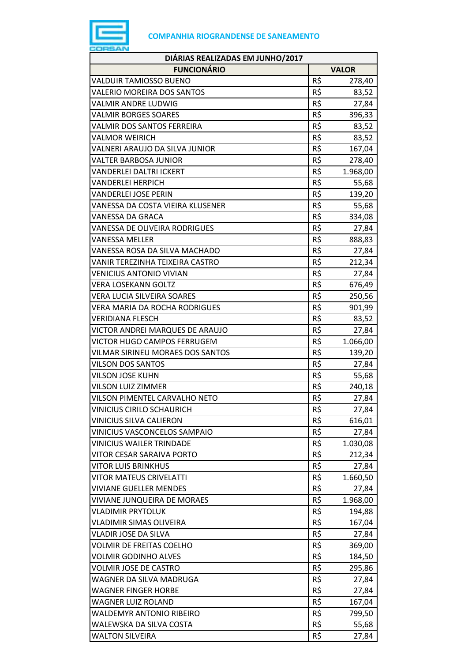

| DIÁRIAS REALIZADAS EM JUNHO/2017   |                 |              |
|------------------------------------|-----------------|--------------|
| <b>FUNCIONÁRIO</b>                 |                 | <b>VALOR</b> |
| VALDUIR TAMIOSSO BUENO             | R\$             | 278,40       |
| VALERIO MOREIRA DOS SANTOS         | $R\overline{S}$ | 83,52        |
| VALMIR ANDRE LUDWIG                | R\$             | 27,84        |
| <b>VALMIR BORGES SOARES</b>        | R\$             | 396,33       |
| VALMIR DOS SANTOS FERREIRA         | R\$             | 83,52        |
| VALMOR WEIRICH                     | R\$             | 83,52        |
| VALNERI ARAUJO DA SILVA JUNIOR     | R\$             | 167,04       |
| VALTER BARBOSA JUNIOR              | R\$             | 278,40       |
| VANDERLEI DALTRI ICKERT            | R\$             | 1.968,00     |
| <b>VANDERLEI HERPICH</b>           | R\$             | 55,68        |
| VANDERLEI JOSE PERIN               | R\$             | 139,20       |
| VANESSA DA COSTA VIEIRA KLUSENER   | R\$             | 55,68        |
| VANESSA DA GRACA                   | R\$             | 334,08       |
| VANESSA DE OLIVEIRA RODRIGUES      | R\$             | 27,84        |
| VANESSA MELLER                     | R\$             | 888,83       |
| VANESSA ROSA DA SILVA MACHADO      | R\$             | 27,84        |
| VANIR TEREZINHA TEIXEIRA CASTRO    | R\$             | 212,34       |
| <b>VENICIUS ANTONIO VIVIAN</b>     | R\$             | 27,84        |
| <b>VERA LOSEKANN GOLTZ</b>         | R\$             | 676,49       |
| VERA LUCIA SILVEIRA SOARES         | R\$             | 250,56       |
| VERA MARIA DA ROCHA RODRIGUES      | R\$             | 901,99       |
| <b>VERIDIANA FLESCH</b>            | R\$             | 83,52        |
| VICTOR ANDREI MARQUES DE ARAUJO    | R\$             | 27,84        |
| VICTOR HUGO CAMPOS FERRUGEM        | R\$             | 1.066,00     |
| VILMAR SIRINEU MORAES DOS SANTOS   | R\$             | 139,20       |
| VILSON DOS SANTOS                  | R\$             | 27,84        |
| <b>VILSON JOSE KUHN</b>            | R\$             | 55,68        |
| VILSON LUIZ ZIMMER                 | R\$             | 240,18       |
| VILSON PIMENTEL CARVALHO NETO      | R\$             | 27,84        |
| <b>VINICIUS CIRILO SCHAURICH</b>   | R\$             | 27,84        |
| VINICIUS SILVA CALIERON            | R\$             | 616,01       |
| VINICIUS VASCONCELOS SAMPAIO       | R\$             | 27,84        |
| <b>VINICIUS WAILER TRINDADE</b>    | R\$             | 1.030,08     |
| VITOR CESAR SARAIVA PORTO          | R\$             | 212,34       |
| VITOR LUIS BRINKHUS                | R\$             | 27,84        |
| <b>VITOR MATEUS CRIVELATTI</b>     | R\$             | 1.660,50     |
| <b>VIVIANE GUELLER MENDES</b>      | R\$             | 27,84        |
| <b>VIVIANE JUNQUEIRA DE MORAES</b> | R\$             | 1.968,00     |
| <b>VLADIMIR PRYTOLUK</b>           | R\$             | 194,88       |
| VLADIMIR SIMAS OLIVEIRA            | R\$             | 167,04       |
| VLADIR JOSE DA SILVA               | R\$             | 27,84        |
| <b>VOLMIR DE FREITAS COELHO</b>    | R\$             | 369,00       |
| <b>VOLMIR GODINHO ALVES</b>        | R\$             | 184,50       |
| VOLMIR JOSE DE CASTRO              | R\$             | 295,86       |
| WAGNER DA SILVA MADRUGA            | R\$             | 27,84        |
| <b>WAGNER FINGER HORBE</b>         | R\$             | 27,84        |
| WAGNER LUIZ ROLAND                 | R\$             | 167,04       |
| <b>WALDEMYR ANTONIO RIBEIRO</b>    | R\$             | 799,50       |
| WALEWSKA DA SILVA COSTA            | R\$             | 55,68        |
| <b>WALTON SILVEIRA</b>             | R\$             | 27,84        |